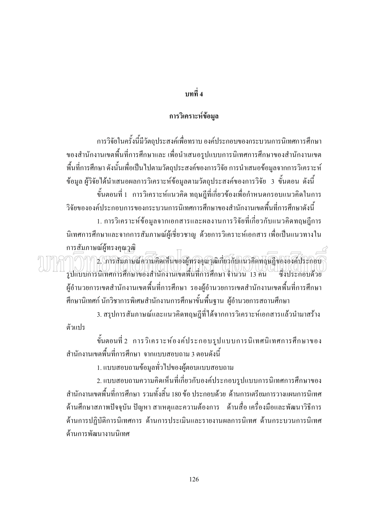## ึบทที่ 4

## การวิเคราะห์ข้อมูล

ึการวิจัยในครั้งนี้มีวัตถุประสงค์เพื่อทราบ องค์ประกอบของกระบวนการนิเทศการศึกษา ของสำนักงานเขตพื้นที่การศึกษาและ เพื่อนำเสนอรูปแบบการนิเทศการศึกษาของสำนักงานเขต ี พื้นที่การศึกษา ดังนั้นเพื่อเป็นไปตามวัตถุประสงค์ของการวิจัย การนำเสนอข้อมูลจากการวิเคราะห์ ข้อมูล ผู้วิจัยได้นำเสนอผลการวิเคราะห์ข้อมูลตามวัตถุประสงค์ของการวิจัย 3 ขั้นตอน ดังนี้

้ขั้นตอนที่ 1 การวิเคราะห์แนวคิด ทฤษฎีที่เกี่ยวข้องเพื่อกำหนดกรอบแนวคิดในการ วิจัยขององค์ประกอบการของกระบวนการนิเทศการศึกษาของสำนักงานเขตพื้นที่การศึกษาดังนี้ 1. การวิเคราะห์ข้อมูลจากเอกสารและผลงานการวิจัยที่เกี่ยวกับแนวคิดทฤษฎีการ

้นิเทศการศึกษาและจากการสัมภาษณ์ผู้เชี่ยวชาญ ด้วยการวิเคราะห์เอกสาร เพื่อเป็นแนวทางใน การสัมภาษณ์ผู้ทรงคุณวุฒิ

.<br>2. โการสันภาษณ์ความคิดเห็นของผู้ทรงคุณวุฒิเกี่ยวกับแนวคิดทฤษฎีขององค์ประกอบ ี่<br>รูปแบบการนิเทศการศึกษาของสำนักงานเขตพื้นที่การศึกษา จำนวน 13 คน เนียว\™น 11 ไม่ \\_<br>ซึ่งประกอบด้วย ผู้อำนวยการเขตสำนักงานเขตพื้นที่การศึกษา รองผู้อำนวยการเขตสำนักงานเขตพื้นที่การศึกษา ้ศึกษานิเทศก์ นักวิชาการพิเศษสำนักงานการศึกษาขั้นพื้นฐาน ผู้อำนวยการสถานศึกษา

3. สรุปการสัมภาษณ์และแนวคิดทฤษฎีที่ได้จากการวิเคราะห์เอกสารแล้วนำมาสร้าง ตัวแปร

์ ขั้นตอนที่ 2 การวิเคราะห์องค์ประกอบรูปแบบการนิเทศนิเทศการศึกษาของ ี สำนักงานเขตพื้นที่การศึกษา จากแบบสอบถาม 3 ตอนดังนี้

1. แบบสอบถามข้อมลทั่วไปของผู้ตอบแบบสอบถาม

2. แบบสอบถามความคิดเห็นที่เกี่ยวกับองค์ประกอบรปแบบการนิเทศการศึกษาของ ี สำนักงานเขตพื้นที่การศึกษา รวมทั้งสิ้น 180 ข้อ ประกอบด้วย ด้านการเตรียมการวางแผนการนิเทศ ้ด้านศึกษาสภาพปัจจุบัน ปัญหา สาเหตุและความต้องการ ด้านสื่อ เครื่องมือและพัฒนาวิธีการ ด้านการปฏิบัติการนิเทศการ ด้านการประเมินและรายงานผลการนิเทศ ด้านกระบวนการนิเทศ ด้านการพัฒนางานนิเทศ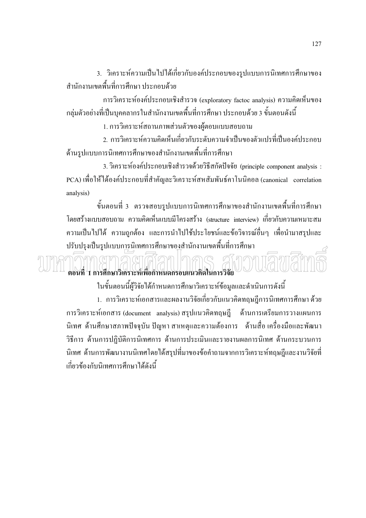3. วิเคราะห์ความเป็นไปได้เกี่ยวกับองค์ประกอบของรูปแบบการนิเทศการศึกษาของ ้สำนักงานเขตพื้นที่การศึกษา ประกอบด้วย

การวิเคราะห์องค์ประกอบเชิงสำรวจ (exploratory factoc analysis) ความคิดเห็นของ ึกลุ่มตัวอย่างที่เป็นบุคคลากรในสำนักงานเขตพื้นที่การศึกษา ประกอบด้วย 3 ขั้นตอนดังนี้

1. การวิเคราะห์สถานภาพส่วนตัวของผู้ตอบแบบสอบถาม

่ 2. การวิเคราะห์ความคิดเห็นเกี่ยวกับระดับความจำเป็นของตัวแปรที่เป็นองค์ประกอบ ด้านรูปแบบการนิเทศการศึกษาของสำนักงานเขตพื้นที่การศึกษา

3. วิเคราะห์องค์ประกอบเชิงสำรวจด้วยวิธีสกัดปัจจัย (principle component analysis : PCA) เพื่อให้ได้องค์ประกอบที่สำคัญละวิเคราะห์สหสัมพันธ์คาโนนิคอล (canonical correlation analysis)

้ขั้นตอนที่ 3 ตรวจสอบรูปแบบการนิเทศการศึกษาของสำนักงานเขตพื้นที่การศึกษา โดยสร้างแบบสอบถาม ความคิดเห็นแบบมีโครงสร้าง (structure interview) เกี่ยวกับความเหมาะสม ี ความเป็นไปได้ ความถูกต้อง และการนำไปใช้ประโยชน์และข้อวิจารณ์อื่นๆ เพื่อนำมาสรุปและ ปรับปรุงเป็นรูปแบบการนิเทศการศึกษาของสำนักงานเขตพื้นที่การศึกษา

## ตอนที่ 1 การศึกษาวิเคราะห์เพื่อกำหนดกรอบแนวคิดในการวิจัย

ในขั้นตอนนี้ผู้วิจัยได้กำหนดการศึกษาวิเคราะห์ข้อมูลและดำเนินการดังนี้ 1. การวิเคราะห์เอกสารและผลงานวิจัยเกี่ยวกับแนวคิดทฤษฎีการนิเทศการศึกษา ด้วย ี การวิเคราะห์เอกสาร (document analysis) สรุปแนวคิดทฤษฎี ด้านการเตรียมการวางแผนการ นิเทศ ด้านศึกษาสภาพปัจจุบัน ปัญหา สาเหตุและความต้องการ ด้านสื่อ เครื่องมือและพัฒนา วิธีการ ด้านการปฏิบัติการนิเทศการ ด้านการประเมินและรายงานผลการนิเทศ ด้านกระบวนการ นิเทศ ด้านการพัฒนางานนิเทศโดยใด้สรุปที่มาของข้อคำถามจากการวิเคราะห์ทฤษฎีและงานวิจัยที่ เกี่ยวข้องกับนิเทศการศึกษาได้ดังนี้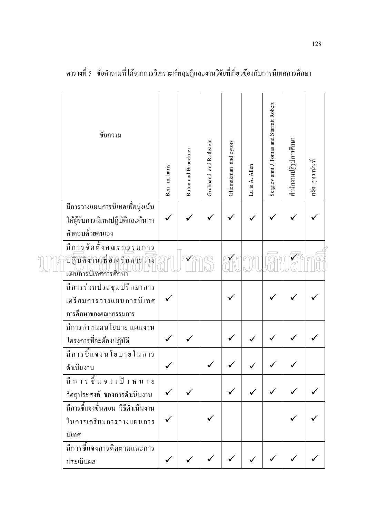| ข้อความ                                                          | Ben m. haris | Buton and Brueckner | Gruboand and Rothstein | Glicmakman and oytors | Lu is A. Allen | Sergiov anni J Tomas and Starratt Robert | สำนักงานปฏิรูปการศึกษา | สงัด อุทรานันท์ |
|------------------------------------------------------------------|--------------|---------------------|------------------------|-----------------------|----------------|------------------------------------------|------------------------|-----------------|
| มีการวางแผนการนิเทศเพื่อมุ่งเน้น                                 |              |                     |                        |                       |                |                                          |                        |                 |
| ให้ผู้รับการนิเทศปฏิบัติและค้นหา                                 |              |                     |                        |                       |                |                                          |                        |                 |
| คำตอบด้วยตนเอง                                                   |              |                     |                        |                       |                |                                          |                        |                 |
| ปฏิบัติงานเพื่อเคริมการากง<br>แผนการนิเทศการศึกษา                |              |                     |                        |                       |                |                                          |                        |                 |
| มีการร่วมประชุมปรึกษาการ<br>เตรียมการวางแผนการนิเทศ              |              |                     |                        |                       |                |                                          |                        |                 |
| การศึกษาของคณะกรรมการ<br>มีการกำหนดนโยบาย แผนงาน                 |              |                     |                        |                       |                |                                          |                        |                 |
| โครงการที่จะต้องปฏิบัติ                                          |              |                     |                        |                       |                |                                          |                        |                 |
| มีการชี้แจงนโยบายในการ                                           |              |                     |                        |                       |                |                                          |                        |                 |
| ดำเนินงาน                                                        |              |                     |                        |                       |                |                                          |                        |                 |
|                                                                  |              |                     |                        |                       |                |                                          |                        |                 |
| วัตถุประสงค์ ของการคำเนินงาน<br>มีการชี้แจงขั้นตอน วิธีดำเนินงาน |              |                     |                        |                       |                |                                          |                        |                 |
| ในการเตรียมการวางแผนการ                                          |              |                     |                        |                       |                |                                          |                        |                 |
| นิเทศ                                                            |              |                     |                        |                       |                |                                          |                        |                 |
| มีการชี้แจงการติดตามและการ                                       |              |                     |                        |                       |                |                                          |                        |                 |
| ประเมินผล                                                        |              |                     |                        |                       |                |                                          |                        |                 |

ตารางที่ 5 ข้อคำถามที่ได้จากการวิเคราะห์ทฤษฎีและงานวิจัยที่เกี่ยวข้องกับการนิเทศการศึกษา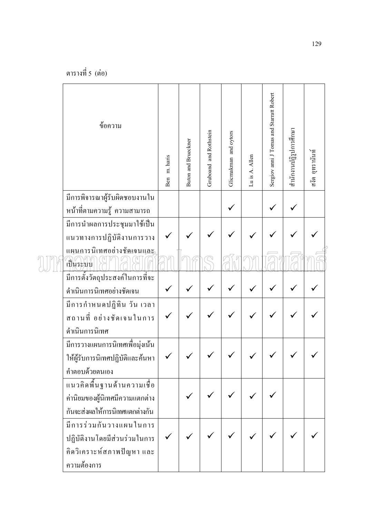| ข้อความ                                                                                              | Ben m. haris | <b>Buton and Brueckner</b> | Gruboand and Rothstein | Glicmakman and oytors | Lu is A. Allen | Sergiov anni J Tomas and Starratt Robert | สำนักงานปฏิรูปการศึกษา | สงัด อูทรานันท์ |
|------------------------------------------------------------------------------------------------------|--------------|----------------------------|------------------------|-----------------------|----------------|------------------------------------------|------------------------|-----------------|
| มีการพิจารณาผู้รับผิดชอบงานใน<br>หน้าที่ตามความรู้ ความสามารถ                                        |              |                            |                        |                       |                |                                          |                        |                 |
| มีการนำผลการประชุมมาใช้เป็น<br>แนวทางการปฏิบัติงานการวาง                                             |              |                            |                        |                       |                |                                          |                        |                 |
| แผนการนิเทศอย่างชัดเจนและ<br>้เป็นระบบ                                                               |              |                            |                        |                       |                |                                          |                        |                 |
| มีการตั้งวัตถุประสงค์ในการที่จะ<br>คำเนินการนิเทศอย่างชัดเจน                                         |              |                            |                        |                       |                |                                          |                        |                 |
| มีการกำหนดปฏิทิน วัน เวลา<br>ิสถานที่ อย่างชัดเจนในการ<br>ดำเนินการนิเทศ                             |              |                            |                        |                       |                |                                          |                        |                 |
| มีการวางแผนการนิเทศเพื่อมุ่งเน้น<br>ให้ผู้รับการนิเทศปฏิบัติและค้นหา  <br>คำตอบด้วยตนเอง             |              |                            |                        |                       |                |                                          |                        |                 |
| แนวคิดพื้นฐานด้านความเชื่อ<br>ค่านิยมของผู้นิเทศมีความแตกต่าง<br>กันจะส่งผลให้การนิเทศแตกต่างกัน     |              |                            |                        |                       |                |                                          |                        |                 |
| มีการร่วมกันวางแผนในการ<br>ปฏิบัติงานโดยมีส่วนร่วมในการ<br>้คิดวิเคราะห์สภาพปัญหา และ<br>ความต้องการ |              |                            |                        |                       |                |                                          |                        |                 |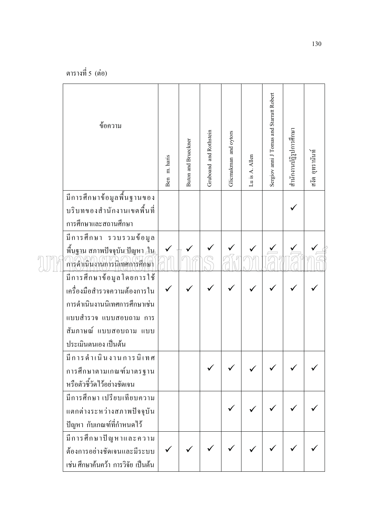| ข้อความ                                                                      | Ben m. haris | Buton and Brueckner | Gruboand and Rothstein | Glicmakman and oytors | Lu is A. Allen | Sergiov anni J Tomas and Starratt Robert | สำนักงานปฏิรูปการศึกษา | สงัด อุทรานันท์ |
|------------------------------------------------------------------------------|--------------|---------------------|------------------------|-----------------------|----------------|------------------------------------------|------------------------|-----------------|
| มีการศึกษาข้อมูลพื้นฐานของ                                                   |              |                     |                        |                       |                |                                          |                        |                 |
| บริบทของสำนักงานเขตพื้นที่                                                   |              |                     |                        |                       |                |                                          |                        |                 |
| การศึกษาและสถานศึกษา                                                         |              |                     |                        |                       |                |                                          |                        |                 |
| มีการศึกษา รวบรวมข้อมูล                                                      |              |                     |                        |                       |                |                                          |                        |                 |
| พื้นฐาน สภาพปัจจุบัน <u>ปั</u> ญหา <u>ใน</u><br>การดำเนินงานการนิเทศการศึกษา |              |                     |                        |                       |                |                                          |                        |                 |
|                                                                              |              |                     |                        |                       |                |                                          |                        |                 |
| เครื่องมือสำรวจความต้องการใน                                                 |              |                     |                        |                       |                |                                          |                        |                 |
| การดำเนินงานนิเทศการศึกษาเช่น                                                |              |                     |                        |                       |                |                                          |                        |                 |
| แบบสำรวจ แบบสอบถาม การ                                                       |              |                     |                        |                       |                |                                          |                        |                 |
| สัมภาษณ์ แบบสอบถาม แบบ                                                       |              |                     |                        |                       |                |                                          |                        |                 |
| ประเมินตนเอง เป็นต้น                                                         |              |                     |                        |                       |                |                                          |                        |                 |
| มีการคำเนินงานการนิเทศ                                                       |              |                     |                        |                       |                |                                          |                        |                 |
| การศึกษาตามเกณฑ์มาตรฐาน                                                      |              |                     |                        |                       |                |                                          |                        |                 |
| หรือตัวชี้วัดไว้อย่างชัดเจน                                                  |              |                     |                        |                       |                |                                          |                        |                 |
| มีการศึกษา เปรียบเทียบความ                                                   |              |                     |                        |                       |                |                                          |                        |                 |
| แตกต่างระหว่างสภาพปัจจุบัน                                                   |              |                     |                        |                       |                |                                          |                        |                 |
| ปัญหา กับเกณฑ์ที่กำหนดไว้                                                    |              |                     |                        |                       |                |                                          |                        |                 |
| มีการศึกษาปัญหาและความ                                                       |              |                     |                        |                       |                |                                          |                        |                 |
| ด้องการอย่างชัดเจนและมีระบบ                                                  |              |                     |                        |                       |                |                                          |                        |                 |
| เช่น ศึกษาค้นคว้า การวิจัย เป็นต้น                                           |              |                     |                        |                       |                |                                          |                        |                 |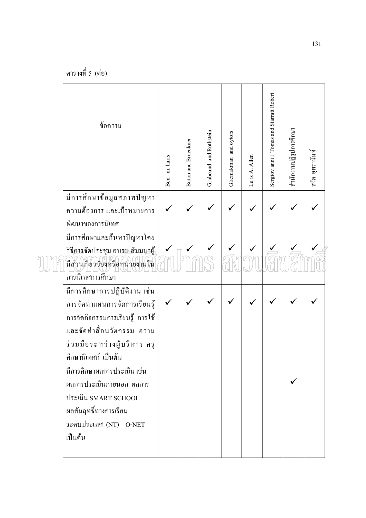| ข้อความ                                                                                                                                                                              |              | <b>Buton and Brueckner</b> | Gruboand and Rothstein | Glicmakman and oytors |                | Sergiov anni J Tomas and Starratt Robert | สำนักงานปฏิรูปการศึกษา | สงัด อุทรานันท์ |
|--------------------------------------------------------------------------------------------------------------------------------------------------------------------------------------|--------------|----------------------------|------------------------|-----------------------|----------------|------------------------------------------|------------------------|-----------------|
|                                                                                                                                                                                      | Ben m. haris |                            |                        |                       | Lu is A. Allen |                                          |                        |                 |
| มีการศึกษาข้อมูลสภาพปัญหา<br>ความต้องการ และเป้าหมายการ<br>พัฒนาของการนิเทศ                                                                                                          |              |                            |                        |                       |                |                                          |                        |                 |
| มีการศึกษาและค้นหาปัญหาโดย<br>วิธีการจัดประชุม อบรม สัมมนา <u>ผู้</u><br>มีส่วนเกี่ยวข้องหรือหน่วยงานใน<br>การนิเทศการศึกษา                                                          |              |                            |                        |                       |                |                                          |                        |                 |
| มีการศึกษาการปฏิบัติงาน เช่น<br>การจัดทำแผนการจัดการเรียนรู้<br>การจัดกิจกรรมการเรียนรู้ การใช้<br>และจัดทำสื่อนวัตกรรม ความ<br>ร่วมมือระหว่างผู้บริหาร ครู<br>์ศึกษานิเทศก์ เป็นต้น |              |                            |                        |                       |                |                                          |                        |                 |
| มีการศึกษาผลการประเมิน เช่น<br>ผลการประเมินภายนอก ผลการ<br>ประเมิน SMART SCHOOL<br>ผลสัมฤทธิ์ทางการเรียน<br>ระดับประเทศ (NT) O-NET<br>เป็นต้น                                        |              |                            |                        |                       |                |                                          |                        |                 |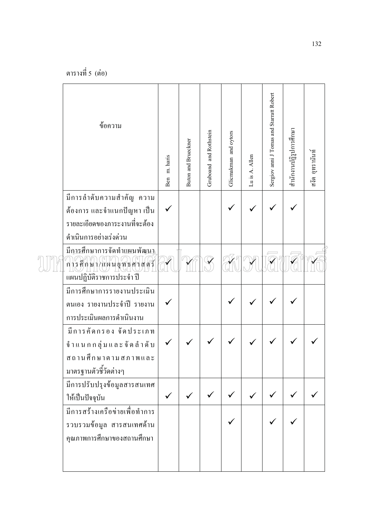| ข้อความ                                                                                          | Ben m. haris | <b>Buton and Brueckner</b> | Gruboand and Rothstein | Glicmakman and oytors | Lu is A. Allen | Sergiov anni J Tomas and Starratt Robert | สำนักงานปฏิรูปการศึกษา | สงัด อุทรานันท์ |
|--------------------------------------------------------------------------------------------------|--------------|----------------------------|------------------------|-----------------------|----------------|------------------------------------------|------------------------|-----------------|
| มีการลำดับความสำคัญ ความ                                                                         |              |                            |                        |                       |                |                                          |                        |                 |
| ค้องการ และจำแนกปัญหา เป็น<br>รายละเอียดของภาระงานที่จะต้อง                                      |              |                            |                        |                       |                |                                          |                        |                 |
| ดำเนินการอย่างเร่งด่วน                                                                           |              |                            |                        |                       |                |                                          |                        |                 |
| มีการศึกษาการจัดทำแผนพัฒนา<br>การศึกษา/แผนยุทธศาสตร์<br>แผนปฏิบัติราชการประจำ ปี                 |              |                            |                        |                       |                |                                          |                        |                 |
| มีการศึกษาการรายงานประเมิน<br>ตนเอง รายงานประจำปี รายงาน<br>การประเมินผลการคำเนินงาน             |              |                            |                        |                       |                |                                          |                        |                 |
| มีการคัดกรอง จัดประเภท<br>จำแนกกลุ่มและจัดลำคับ<br>ิสถานศึกษาตามสภาพและ<br>มาตรฐานตัวชี้วัดต่างๆ |              |                            |                        |                       |                |                                          |                        |                 |
| มีการปรับปรุงข้อมูลสารสนเทศ<br>ให้เป็นปัจจุบัน                                                   |              |                            |                        |                       |                |                                          |                        |                 |
| มีการสร้างเครือข่ายเพื่อทำการ<br>รวบรวมข้อมูล สารสนเทศด้าน<br>คุณภาพการศึกษาของสถานศึกษา         |              |                            |                        |                       |                |                                          |                        |                 |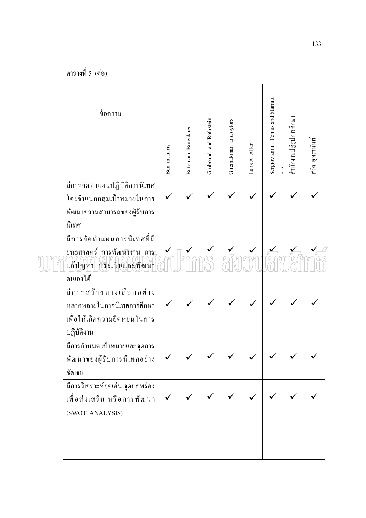| ข้อความ                                                                                              | Ben m. haris | <b>Buton and Brueckner</b> | Gruboand and Rothstein | Glicmakman and oytors | Lu is A. Allen | Sergiov anni J Tomas and Starratt | สำนักงานปฏิรูปการศึกษา | สงัด อูทรานันท์ |
|------------------------------------------------------------------------------------------------------|--------------|----------------------------|------------------------|-----------------------|----------------|-----------------------------------|------------------------|-----------------|
| มีการจัดทำแผนปฏิบัติการนิเทศ<br>โดยจำแนกกลุ่มเป้าหมายในการ<br>พัฒนาความสามารถของผู้รับการ<br>นิเทศ   |              |                            |                        |                       |                |                                   |                        |                 |
| มีการจัดทำแผนการนิเทศที่มี<br>ยุทธศาสตร์ การพัฒนางาน การ<br>แก้ปัญหา ประเมินและพัฒนา<br>ตนเองใด้     |              |                            |                        |                       |                |                                   |                        |                 |
| มีการสร้างทางเลือกอย่าง<br>หลากหลายในการนิเทศการศึกษา<br>เพื่อให้เกิดความยืดหยุ่นในการ<br>ปฏิบัติงาน |              |                            |                        |                       |                |                                   |                        |                 |
| ้มีการกำหนด เป้าหมายและจุดการ<br>พัฒนาของผู้รับการนิเทศอย่าง<br>ชัดเจน                               | $\checkmark$ |                            |                        |                       |                |                                   |                        |                 |
| มีการวิเคราะห์จุดเค่น จุดบกพร่อง<br>เพื่อส่งเสริม หรือการพัฒนา<br>(SWOT ANALYSIS)                    |              |                            |                        |                       |                |                                   |                        |                 |
|                                                                                                      |              |                            |                        |                       |                |                                   |                        |                 |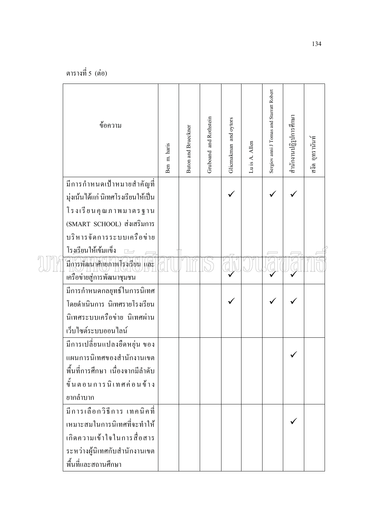| ข้อความ                                                   | Ben m. haris | Buton and Brueckner | Gruboand and Rothstein | Glicmakman and oytors | Lu is A. Allen | Sergiov anni J Tomas and Starratt Robert | สำนักงานปฏิรูปการศึกษา | สงัด อุทรานันท์ |
|-----------------------------------------------------------|--------------|---------------------|------------------------|-----------------------|----------------|------------------------------------------|------------------------|-----------------|
| มีการกำหนดเป้าหมายสำคัญที่                                |              |                     |                        |                       |                |                                          |                        |                 |
| มุ่งเน้นได้แก่ นิเทศโรงเรียนให้เป็น                       |              |                     |                        |                       |                |                                          |                        |                 |
| โรงเรียนคุณภาพมาตรฐาน                                     |              |                     |                        |                       |                |                                          |                        |                 |
| (SMART SCHOOL) ส่งเสริมการ                                |              |                     |                        |                       |                |                                          |                        |                 |
| บริหารจัดการระบบเครือข่าย<br>โร <u>งเรีย</u> นให้เข้มแข็ง |              |                     |                        |                       |                |                                          |                        |                 |
| มีการพัฒนาศักยภาพโรงเรียน และ                             |              |                     |                        |                       |                |                                          |                        |                 |
| เครือข่ายสู่การพัฒนาชุมชน                                 |              |                     |                        |                       |                |                                          |                        |                 |
| มีการกำหนดกลยุทธ์ในการนิเทศ                               |              |                     |                        |                       |                |                                          |                        |                 |
| โดยดำเนินการ นิเทศรายโรงเรียน                             |              |                     |                        |                       |                |                                          |                        |                 |
| นิเทศระบบเครือข่าย นิเทศผ่าน                              |              |                     |                        |                       |                |                                          |                        |                 |
| เว็บไซต์ระบบออนไลน์                                       |              |                     |                        |                       |                |                                          |                        |                 |
| มีการเปลี่ยนแปลงยืดหยุ่น ของ                              |              |                     |                        |                       |                |                                          |                        |                 |
| แผนการนิเทศของสำนักงานเขต                                 |              |                     |                        |                       |                |                                          |                        |                 |
| พื้นที่การศึกษา เนื่องจากมีลำดับ                          |              |                     |                        |                       |                |                                          |                        |                 |
| ขั้นตอนการนิเทศค่อนข้าง                                   |              |                     |                        |                       |                |                                          |                        |                 |
| ยากลำบาก                                                  |              |                     |                        |                       |                |                                          |                        |                 |
| มีการเลือกวิธีการ เทคนิคที่                               |              |                     |                        |                       |                |                                          |                        |                 |
| เหมาะสมในการนิเทศที่จะทำให้                               |              |                     |                        |                       |                |                                          |                        |                 |
| ้เกิดความเข้าใจในการสื่อสาร                               |              |                     |                        |                       |                |                                          |                        |                 |
| ระหว่างผู้นิเทศกับสำนักงานเขต                             |              |                     |                        |                       |                |                                          |                        |                 |
| พื้นที่และสถานศึกษา                                       |              |                     |                        |                       |                |                                          |                        |                 |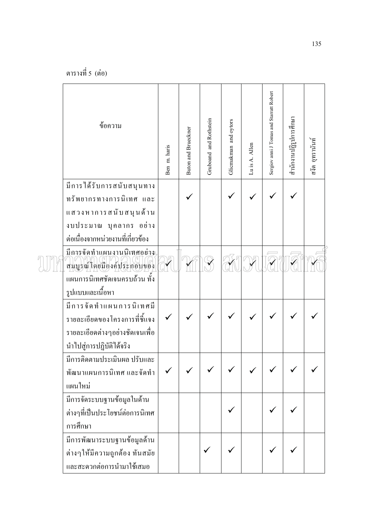| ข้อความ                                                 | Ben m. haris | Buton and Brueckner | Gruboand and Rothstein | Glicmakman and oytors | Lu is A. Allen | Sergiov anni J Tomas and Starratt Robert | สำนักงานปฏิรูปการศึกษา | สงัด อูทรานันท์ |
|---------------------------------------------------------|--------------|---------------------|------------------------|-----------------------|----------------|------------------------------------------|------------------------|-----------------|
| มีการใค้รับการสนับสนุนทาง<br>ทรัพยากรทางการนิเทศ และ    |              |                     |                        |                       |                |                                          |                        |                 |
| แสวงหาการสนับสนุน <b>ค้าน</b>                           |              |                     |                        |                       |                |                                          |                        |                 |
| งบประมาณ บุคลากร อย่าง                                  |              |                     |                        |                       |                |                                          |                        |                 |
| ต่อเนื่องจากหน่วยงานที่เกี่ยวข้อง                       |              |                     |                        |                       |                |                                          |                        |                 |
| มีการจัดทำแผนงานนิเทศอย่าง<br>สมบูรณ์โดยมืองค์ประกอบของ |              |                     |                        |                       |                |                                          |                        |                 |
| แผนการนิเทศชัดเจนครบถ้วน ทั้ง                           |              |                     |                        |                       |                |                                          |                        |                 |
| รูปแบบและเนื้อหา                                        |              |                     |                        |                       |                |                                          |                        |                 |
| มีการจัดทำแผนการนิเทศมี                                 |              |                     |                        |                       |                |                                          |                        |                 |
| รายละเอียดของโครงการที่ชี้แจง                           |              |                     |                        |                       |                |                                          |                        |                 |
| รายละเอียดต่างๆอย่างชัดเจนเพื่อ                         |              |                     |                        |                       |                |                                          |                        |                 |
| นำไปสู่การปฏิบัติได้จริง                                |              |                     |                        |                       |                |                                          |                        |                 |
| มีการติดตามประเมินผล ปรับและ                            |              |                     |                        |                       |                |                                          |                        |                 |
| พัฒนาแผนการนิเทศ และจัดทำ<br>แผนใหม่                    |              |                     |                        |                       |                |                                          |                        |                 |
| มีการจัดระบบฐานข้อมูลในด้าน                             |              |                     |                        |                       |                |                                          |                        |                 |
| ต่างๆที่เป็นประโยชน์ต่อการนิเทศ                         |              |                     |                        |                       |                |                                          |                        |                 |
| การศึกษา                                                |              |                     |                        |                       |                |                                          |                        |                 |
| มีการพัฒนาระบบฐานข้อมูลค้าน                             |              |                     |                        |                       |                |                                          |                        |                 |
| ต่างๆให้มีความถูกต้อง ทันสมัย                           |              |                     |                        |                       |                |                                          |                        |                 |
| และสะควกต่อการนำมาใช้เสมอ                               |              |                     |                        |                       |                |                                          |                        |                 |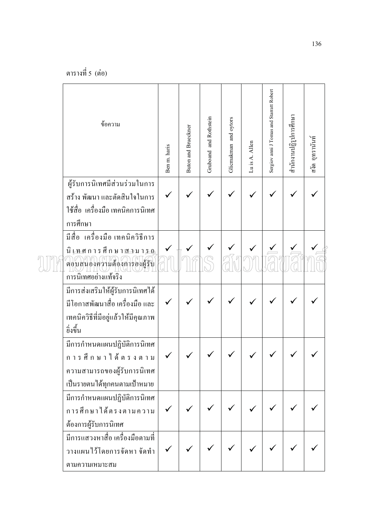| ข้อความ                                                                                                                      | Ben m. haris | Buton and Brueckner | Gruboand and Rothstein | Glicmakman and oytors | Lu is A. Allen | Sergiov anni J Tomas and Starratt Robert | สำนักงานปฏิรูปการศึกษา | สงัด อุทรานันท์ |
|------------------------------------------------------------------------------------------------------------------------------|--------------|---------------------|------------------------|-----------------------|----------------|------------------------------------------|------------------------|-----------------|
| ผู้รับการนิเทศมีส่วนร่วมในการ<br>สร้าง พัฒนา และตัดสินใจในการ<br>ใช้สื่อ เครื่องมือ เทคนิคการนิเทศ<br>การศึกษา               |              |                     |                        |                       |                |                                          |                        |                 |
| มีสื่อ เครื่องมือเทคนิควิธีการ<br>นิเทศการศึกษา <u>สว</u> มา <u>รถ</u><br>ตอบสนองความต้องการองผู้รับ<br>การนิเทศอย่างแท้จริง |              |                     |                        |                       |                |                                          |                        |                 |
| มีการส่งเสริมให้ผู้รับการนิเทศได้<br>มีโอกาสพัฒนาสื่อ เครื่องมือ และ<br>เทคนิควิธีที่มีอยู่แล้วให้มีคุณภาพ<br>อิ่งขึ้น       |              |                     |                        |                       |                |                                          |                        |                 |
| มีการกำหนดแผนปฏิบัติการนิเทศ<br>การศึกษาได้ตรงตาม<br>ความสามารถของผู้รับการนิเทศ<br>เป็นรายตนได้ทุกคนตามเป้าหมาย             |              |                     |                        |                       |                |                                          |                        |                 |
| มีการกำหนดแผนปฏิบัติการนิเทศ<br>การศึกษาได้ตรงตามความ<br>ต้องการผู้รับการนิเทศ                                               |              |                     |                        |                       |                |                                          |                        |                 |
| มีการแสวงหาสื่อ เครื่องมือตามที่<br>วางแผนไว้โดยการจัดหา จัดทำ<br>ตามความเหมาะสม                                             |              |                     |                        |                       |                |                                          |                        |                 |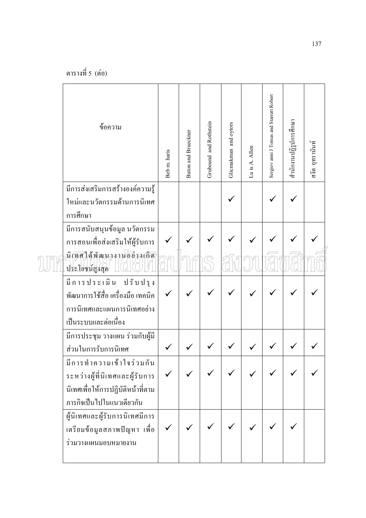| ข้อความ                                                                                                                      | Beb m. haris | Buton and Brueckner | Gruboand and Rothstein | Glicmakman and oytors | Lu is A. Allen | Sergiov anni J Tomas and Starratt Robert | สำนักงานปฏิรูปการศึกษา | สงัด อุทรานันท์ |
|------------------------------------------------------------------------------------------------------------------------------|--------------|---------------------|------------------------|-----------------------|----------------|------------------------------------------|------------------------|-----------------|
| มีการส่งเสริมการสร้างองค์ความรู้                                                                                             |              |                     |                        |                       |                |                                          |                        |                 |
| ใหม่และนวัตกรรมด้านการนิเทศ                                                                                                  |              |                     |                        |                       |                |                                          |                        |                 |
| การศึกษา                                                                                                                     |              |                     |                        |                       |                |                                          |                        |                 |
| มีการสนับสนุนข้อมูล นวัตกรรม                                                                                                 |              |                     |                        |                       |                |                                          |                        |                 |
| การสอนเพื่อส่งเสริมให้ผู้รับการ                                                                                              |              |                     |                        |                       |                |                                          |                        |                 |
| นิเทศได้พัฒนางานอ <sup>ีย่</sup> างเกิด<br>ประโยชน์สูงสุด                                                                    |              |                     |                        |                       |                |                                          |                        |                 |
| มีการประเมิน ปรับปรุง<br>พัฒนาการใช้สื่อ เครื่องมือ เทคนิค<br>การนิเทศและแผนการนิเทศอย่าง<br>เป็นระบบและต่อเนื่อง            |              |                     |                        |                       |                |                                          |                        |                 |
| มีการประชุม วางแผน ร่วมกับผู้มี                                                                                              |              |                     |                        |                       |                |                                          |                        |                 |
| ส่วนในการรับการนิเทศ                                                                                                         |              |                     |                        |                       |                |                                          |                        |                 |
| มีการทำความเข้าใจร่วมกัน<br>ระหว่างผู้ที่นิเทศและผู้รับการ<br>นิเทศเพื่อให้การปฏิบัติหน้าที่ตาม<br>ภารกิจเป็นไปในแนวเดียวกัน |              |                     |                        |                       |                |                                          |                        |                 |
| ผู้นิเทศและผู้รับการนิเทศมีการ                                                                                               |              |                     |                        |                       |                |                                          |                        |                 |
| เตรียมข้อมูลสภาพปัญหา เพื่อ<br>ร่วมวางแผนมอบหมายงาน                                                                          |              |                     |                        |                       |                |                                          |                        |                 |
|                                                                                                                              |              |                     |                        |                       |                |                                          |                        |                 |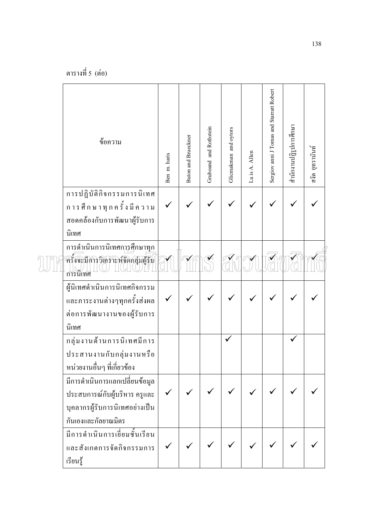| ข้อความ                                         | Ben m. haris | <b>Buton and Brueckner</b> | Gruboand and Rothstein | Glicmakman and oytors | Lu is A. Allen | Sergiov anni J Tomas and Starratt Robert | สำนักงานปฏิรูปการศึกษา | สงัด อุทรานันท์ |
|-------------------------------------------------|--------------|----------------------------|------------------------|-----------------------|----------------|------------------------------------------|------------------------|-----------------|
| การปฏิบัติกิจกรรมการนิเทศ                       |              |                            |                        |                       |                |                                          |                        |                 |
| การศึกษาทุกครั้งมีความ                          |              |                            |                        |                       |                |                                          |                        |                 |
| สอดคล้องกับการพัฒนาผู้รับการ                    |              |                            |                        |                       |                |                                          |                        |                 |
| นิเทศ                                           |              |                            |                        |                       |                |                                          |                        |                 |
| การคำเนินการนิเทศการศึกษาทุก                    |              |                            |                        |                       |                |                                          |                        |                 |
| ครั้งจะมีการวิเคราะห์จัดกลุ่มผู้รับ<br>การนิเทศ |              |                            |                        |                       |                |                                          |                        |                 |
| ผู้นิเทศดำเนินการนิเทศกิจกรรม                   |              |                            |                        |                       |                |                                          |                        |                 |
| และภาระงานต่างๆทุกครั้งส่งผล                    |              |                            |                        |                       |                |                                          |                        |                 |
| ต่อการพัฒนางานของผู้รับการ                      |              |                            |                        |                       |                |                                          |                        |                 |
| นิเทศ                                           |              |                            |                        |                       |                |                                          |                        |                 |
| กลุ่มงานด้านการนิเทศมีการ                       |              |                            |                        |                       |                |                                          |                        |                 |
| ประสานงานกับกลุ่มงานหรือ                        |              |                            |                        |                       |                |                                          |                        |                 |
| หน่วยงานอื่นๆ ที่เกี่ยวข้อง                     |              |                            |                        |                       |                |                                          |                        |                 |
| มีการคำเนินการแลกเปลี่ยนข้อมูล                  |              |                            |                        |                       |                |                                          |                        |                 |
| ประสบการณ์กับผู้บริหาร ครูและ                   |              |                            |                        |                       |                |                                          |                        |                 |
| บุคลากรผู้รับการนิเทศอย่างเป็น                  |              |                            |                        |                       |                |                                          |                        |                 |
| กันเองและกัลยาณมิตร                             |              |                            |                        |                       |                |                                          |                        |                 |
| มีการคำเนินการเขี้ยมชั้นเรียน                   |              |                            |                        |                       |                |                                          |                        |                 |
| และสังเกตการจัดกิจกรรมการ                       |              |                            |                        |                       |                |                                          |                        |                 |
| เรียนรู้                                        |              |                            |                        |                       |                |                                          |                        |                 |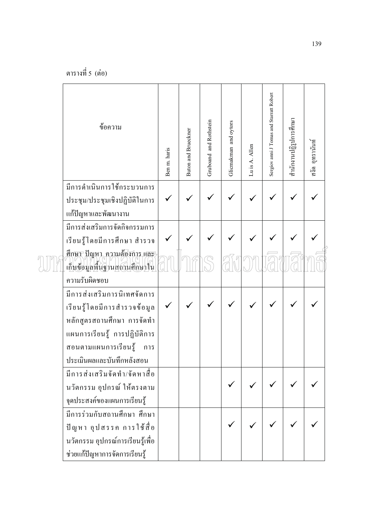| ข้อความ                                                                            | Ben m. haris | <b>Buton and Brueckner</b> | Gruboand and Rothstein | Glicmakman and oytors | Lu is A. Allen | Sergiov anni J Tomas and Starratt Robert | สำนักงานปฏิรูปการศึกษา | สงัด อุทรานันท์ |
|------------------------------------------------------------------------------------|--------------|----------------------------|------------------------|-----------------------|----------------|------------------------------------------|------------------------|-----------------|
| มีการคำเนินการใช้กระบวนการ<br>ประชุม/ประชุมเชิงปฏิบัติในการ<br>แก้ปัญหาและพัฒนางาน |              |                            |                        |                       |                |                                          |                        |                 |
| มีการส่งเสริมการจัดกิจกรรมการ<br>เรียนรู้โดยมีการศึกษา สำรวจ                       |              |                            |                        |                       |                |                                          |                        |                 |
| <u>สึกษา ปัญหา ความต้องการ และ </u><br>เก็บข้อมูลพื้นฐานสถานศึกษาใน                |              |                            |                        |                       |                |                                          |                        |                 |
| ความรับผิดชอบ                                                                      |              |                            |                        |                       |                |                                          |                        |                 |
| มีการส่งเสริมการนิเทศจัดการ                                                        |              |                            |                        |                       |                |                                          |                        |                 |
| เรียนรู้โดยมีการสำรวจข้อมูล                                                        |              |                            |                        |                       |                |                                          |                        |                 |
| หลักสูตรสถานศึกษา การจัดทำ                                                         |              |                            |                        |                       |                |                                          |                        |                 |
| แผนการเรียนรู้ การปฏิบัติการ                                                       |              |                            |                        |                       |                |                                          |                        |                 |
| สอนตามแผนการเรียนรู้<br>การ                                                        |              |                            |                        |                       |                |                                          |                        |                 |
| ประเมินผลและบันทึกหลังสอน                                                          |              |                            |                        |                       |                |                                          |                        |                 |
| มีการส่งเสริมจัดทำ/จัดหาสื่อ                                                       |              |                            |                        |                       |                |                                          |                        |                 |
| นวัตกรรม อุปกรณ์ ให้ตรงตาม                                                         |              |                            |                        |                       |                |                                          |                        |                 |
| จุดประสงค์ของแผนการเรียนรู้                                                        |              |                            |                        |                       |                |                                          |                        |                 |
| มีการร่วมกับสถานศึกษา ศึกษา                                                        |              |                            |                        |                       |                |                                          |                        |                 |
| ปัญหา อุปสรรค การใช้สื่อ                                                           |              |                            |                        |                       |                |                                          |                        |                 |
| นวัตกรรม อุปกรณ์การเรียนรู้เพื่อ                                                   |              |                            |                        |                       |                |                                          |                        |                 |
| ช่วยแก้ปัญหาการจัดการเรียนรู้                                                      |              |                            |                        |                       |                |                                          |                        |                 |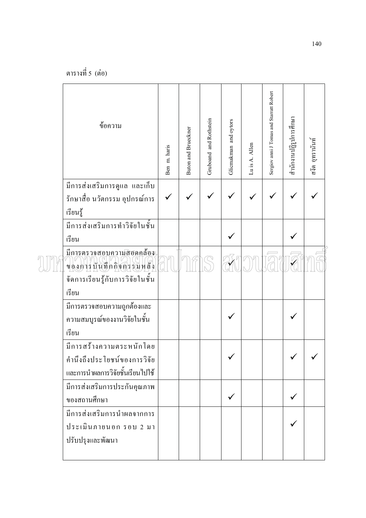| ข้อความ                                                                                     | Ben m. haris | Buton and Brueckner | Gruboand and Rothstein | Glicmakman and oytors | Lu is A. Allen | Sergiov anni J Tomas and Starratt Robert | สำนักงานปฏิรูปการศึกษา | สงัด อูทรานันท์ |
|---------------------------------------------------------------------------------------------|--------------|---------------------|------------------------|-----------------------|----------------|------------------------------------------|------------------------|-----------------|
| มีการส่งเสริมการดูแล และเก็บ<br>รักษาสื่อ นวัตกรรม อุปกรณ์การ<br>เรียนรู้                   |              |                     |                        |                       |                |                                          |                        |                 |
| มีการส่งเสริมการทำวิจัยในชั้น<br>เรียน                                                      |              |                     |                        |                       |                |                                          |                        |                 |
| มีการตรวจสอบความสอดคล้อง<br>ของการบันทึกกิจกรรมหลัง                                         |              |                     |                        |                       |                |                                          |                        |                 |
| จัดการเรียนรู้กับการวิจัยในชั้น<br>เรียน                                                    |              |                     |                        |                       |                |                                          |                        |                 |
| มีการตรวจสอบความถูกต้องและ<br>ความสมบูรณ์ของงานวิจัยในชั้น<br>เรียน                         |              |                     |                        |                       |                |                                          |                        |                 |
| มีการสร้างความตระหนักโดย<br>คำนึงถึงประโยชน์ของการวิจัย<br>และการนำผลการวิจัยชั้นเรียนไปใช้ |              |                     |                        |                       |                |                                          | ╱                      |                 |
| มีการส่งเสริมการประกันคุณภาพ<br>ของสถานศึกษา                                                |              |                     |                        |                       |                |                                          |                        |                 |
| มีการส่งเสริมการนำผลจากการ<br>ประเมินภายนอก รอบ 2 มา<br>ปรับปรุงและพัฒนา                    |              |                     |                        |                       |                |                                          |                        |                 |
|                                                                                             |              |                     |                        |                       |                |                                          |                        |                 |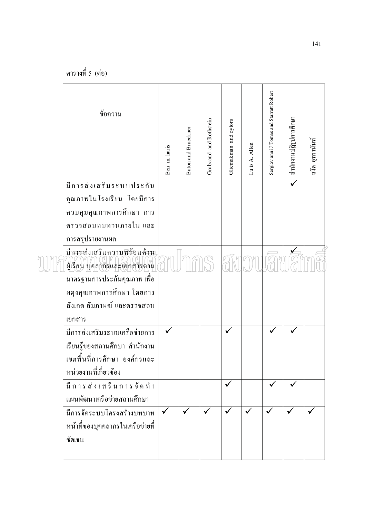| ข้อความ                                                    | Ben m. haris | Buton and Brueckner | Gruboand and Rothstein | Glicmakman and oytors | Lu is A. Allen | Sergiov anni J Tomas and Starratt Robert | สำนักงานปฏิรูปการศึกษา | สงัด อูทรานันท์ |
|------------------------------------------------------------|--------------|---------------------|------------------------|-----------------------|----------------|------------------------------------------|------------------------|-----------------|
| มีการส่งเสริมระบบประกัน                                    |              |                     |                        |                       |                |                                          |                        |                 |
| คุณภาพในโรงเรียน โดยมีการ                                  |              |                     |                        |                       |                |                                          |                        |                 |
| ควบคุมคุณภาพการศึกษา การ                                   |              |                     |                        |                       |                |                                          |                        |                 |
| ตรวจสอบทบทวนภายใน และ                                      |              |                     |                        |                       |                |                                          |                        |                 |
| การสรุปรายงานผล                                            |              |                     |                        |                       |                |                                          |                        |                 |
| มีการส่งเสริมความพร้อมด้าน<br>ผู้เรียน บุคลากรและเอกสารตาม |              |                     |                        |                       |                |                                          |                        |                 |
| มาตรฐานการประกันคุณภาพ เพื่อ                               |              |                     |                        |                       |                |                                          |                        |                 |
| ผดุงกุณภาพการศึกษา โดยการ                                  |              |                     |                        |                       |                |                                          |                        |                 |
| สังเกต สัมภาษณ์ และตรวจสอบ                                 |              |                     |                        |                       |                |                                          |                        |                 |
| เอกสาร                                                     |              |                     |                        |                       |                |                                          |                        |                 |
| มีการส่งเสริมระบบเครือข่ายการ                              |              |                     |                        |                       |                |                                          |                        |                 |
| เรียนรู้ของสถานศึกษา สำนักงาน                              |              |                     |                        |                       |                |                                          |                        |                 |
| เขตพื้นที่การศึกษา องค์กรและ                               |              |                     |                        |                       |                |                                          |                        |                 |
| หน่วยงานที่เกี่ยวข้อง                                      |              |                     |                        |                       |                |                                          |                        |                 |
| มีการส่งเสริมการจัดทำ                                      |              |                     |                        | $\checkmark$          |                |                                          |                        |                 |
| แผนพัฒนาเครือข่ายสถานศึกษา                                 |              |                     |                        |                       |                |                                          |                        |                 |
| มีการจัดระบบโครงสร้างบทบาท                                 | $\checkmark$ | $\checkmark$        |                        |                       |                |                                          |                        |                 |
| หน้าที่ของบุคคลากรในเครือข่ายที่                           |              |                     |                        |                       |                |                                          |                        |                 |
| ชัดเจน                                                     |              |                     |                        |                       |                |                                          |                        |                 |
|                                                            |              |                     |                        |                       |                |                                          |                        |                 |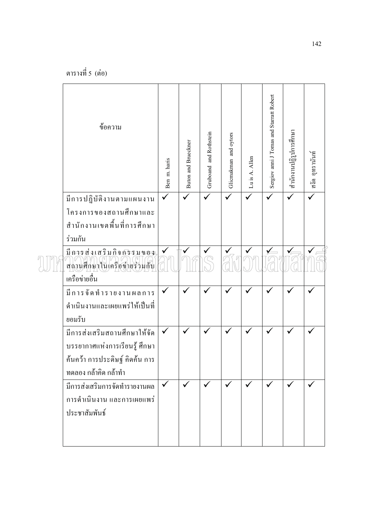| ข้อความ                                               | Ben m. haris | <b>Buton and Brueckner</b> | Gruboand and Rothstein | Glicmakman and oytors | Lu is A. Allen | Sergiov anni J Tomas and Starratt Robert | สำนักงานปฏิรูปการศึกษา | สงัด อุทรานันท์ |
|-------------------------------------------------------|--------------|----------------------------|------------------------|-----------------------|----------------|------------------------------------------|------------------------|-----------------|
| มีการปฏิบัติงานตามแผนงาน                              |              |                            |                        |                       |                |                                          | ✓                      |                 |
| โครงการของสถานศึกษาและ<br>สำนักงานเขตพื้นที่การศึกษา  |              |                            |                        |                       |                |                                          |                        |                 |
| ร่วมกัน                                               |              |                            |                        |                       |                |                                          |                        |                 |
| มีการส่งเสริมกิจกรรมของ<br>สถานศึกษาในเครือขายร่วมกับ |              | $\checkmark$               | $\checkmark$           |                       |                |                                          |                        |                 |
| เครือข่ายอื่น                                         |              |                            |                        |                       |                |                                          |                        |                 |
| มีการจัดทำรายงานผลการ                                 |              |                            | $\checkmark$           |                       |                |                                          |                        |                 |
| ดำเนินงานและเผยแพร่ให้เป็นที่<br>ยอมรับ               |              |                            |                        |                       |                |                                          |                        |                 |
| มีการส่งเสริมสถานศึกษาให้จัด                          | $\checkmark$ | $\checkmark$               | ✓                      |                       | $\checkmark$   |                                          | $\checkmark$           |                 |
| บรรยากาศแห่งการเรียนรู้ ศึกษา                         |              |                            |                        |                       |                |                                          |                        |                 |
| ค้นคว้า การประดิษฐ์ คิดค้น การ                        |              |                            |                        |                       |                |                                          |                        |                 |
| ทดลอง กล้าคิด กล้าทำ                                  |              |                            |                        |                       |                |                                          |                        |                 |
| มีการส่งเสริมการจัดทำรายงานผล                         | $\checkmark$ | $\checkmark$               | $\checkmark$           |                       | $\checkmark$   | $\checkmark$                             |                        |                 |
| การคำเนินงาน และการเผยแพร่                            |              |                            |                        |                       |                |                                          |                        |                 |
| ประชาสัมพันธ์                                         |              |                            |                        |                       |                |                                          |                        |                 |
|                                                       |              |                            |                        |                       |                |                                          |                        |                 |
|                                                       |              |                            |                        |                       |                |                                          |                        |                 |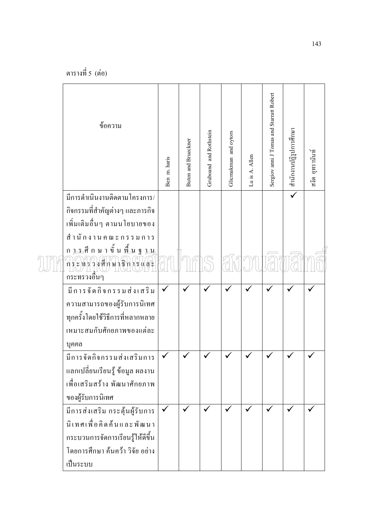| ข้อความ                                                                          | Ben m. haris | Buton and Brueckner | Gruboand and Rothstein | Glicmakman and oytors | Lu is A. Allen | Sergiov anni J Tomas and Starratt Robert | สำนักงานปฏิรูปการศึกษา | สงัด อูทรานันท์ |
|----------------------------------------------------------------------------------|--------------|---------------------|------------------------|-----------------------|----------------|------------------------------------------|------------------------|-----------------|
| มีการคำเนินงานติดตามโครงการ/                                                     |              |                     |                        |                       |                |                                          |                        |                 |
| ้กิจกรรมที่สำคัญต่างๆ และภารกิจ                                                  |              |                     |                        |                       |                |                                          |                        |                 |
| เพิ่มเติมอื่นๆ ตามนโยบายของ                                                      |              |                     |                        |                       |                |                                          |                        |                 |
| สำนักงานคณะกรรมการ                                                               |              |                     |                        |                       |                |                                          |                        |                 |
| ก <u>รร</u> ศึกษาขั้นพื้นฐ<br>$7 - 11$<br>ักระพร่วงศึกษาธิการแสะ<br>กระทรวงอื่นๆ |              |                     |                        |                       |                |                                          |                        |                 |
| มีการจัดกิจกรรมส่งเสริม                                                          |              |                     |                        |                       |                |                                          |                        |                 |
| ความสามารถของผู้รับการนิเทศ                                                      |              |                     |                        |                       |                |                                          |                        |                 |
| ทุกครั้งโดยใช้วิธีการที่หลากหลาย                                                 |              |                     |                        |                       |                |                                          |                        |                 |
| เหมาะสมกับศักยภาพของแต่ละ                                                        |              |                     |                        |                       |                |                                          |                        |                 |
| บุคคล                                                                            |              |                     |                        |                       |                |                                          |                        |                 |
| มีการจัดกิจกรรมส่งเสริมการ                                                       |              |                     |                        |                       | ✓              |                                          |                        |                 |
| ้แลกเปลี่ยนเรียนรู้ ข้อมูล ผลงาน                                                 |              |                     |                        |                       |                |                                          |                        |                 |
| เพื่อเสริมสร้าง พัฒนาศักยภาพ                                                     |              |                     |                        |                       |                |                                          |                        |                 |
| ของผู้รับการนิเทศ                                                                |              |                     |                        |                       |                |                                          |                        |                 |
| มีการส่งเสริม กระตุ้นผู้รับการ                                                   |              |                     |                        |                       |                |                                          |                        |                 |
| นิเทศเพื่อคิดค้นและพัฒนา                                                         |              |                     |                        |                       |                |                                          |                        |                 |
| กระบวนการจัดการเรียนรู้ให้ดีขึ้น                                                 |              |                     |                        |                       |                |                                          |                        |                 |
| โดยการศึกษา ค้นคว้า วิจัย อย่าง                                                  |              |                     |                        |                       |                |                                          |                        |                 |
| เป็นระบบ                                                                         |              |                     |                        |                       |                |                                          |                        |                 |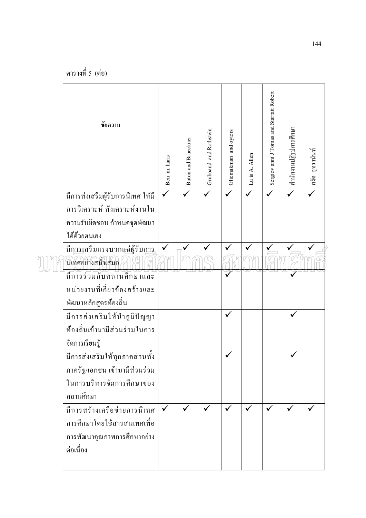| ข้อความ                                            | Ben m. haris | Buton and Brueckner | Gruboand and Rothstein | Glicmakman and oytors | Lu is A. Allen | Sergiov anni J Tomas and Starratt Robert | สำนักงานปฏิรูปการศึกษา | สงัด อุทรานันท์ |
|----------------------------------------------------|--------------|---------------------|------------------------|-----------------------|----------------|------------------------------------------|------------------------|-----------------|
| มีการส่งเสริมผู้รับการนิเทศ ให้มี                  |              |                     |                        |                       |                |                                          |                        |                 |
| การวิเคราะห์ สังเคราะห์งานใน                       |              |                     |                        |                       |                |                                          |                        |                 |
| ความรับผิดชอบ กำหนดจุดพัฒนา                        |              |                     |                        |                       |                |                                          |                        |                 |
| ได้ด้วยตนเอง                                       |              |                     |                        |                       |                |                                          |                        |                 |
| มีการเสริมแรงบวกแก่ผู้รับการ<br>นิเทศอย่างสม่ำเสมอ |              |                     |                        |                       |                |                                          |                        |                 |
| มีการร่วมกับสถานศึกษาและ                           |              |                     |                        |                       |                |                                          |                        |                 |
| หน่วยงานที่เกี่ยวข้องสร้างและ                      |              |                     |                        |                       |                |                                          |                        |                 |
| พัฒนาหลักสูตรท้องถิ่น                              |              |                     |                        |                       |                |                                          |                        |                 |
| มีการส่งเสริมให้นำภูมิปัญญา                        |              |                     |                        |                       |                |                                          |                        |                 |
| ท้องถิ่นเข้ามามีส่วนร่วมในการ                      |              |                     |                        |                       |                |                                          |                        |                 |
| จัดการเรียนรู้                                     |              |                     |                        |                       |                |                                          |                        |                 |
| มีการส่งเสริมให้ทุกภาคส่วนทั้ง                     |              |                     |                        |                       |                |                                          |                        |                 |
| ภาครัฐ/เอกชน เข้ามามีส่วนร่วม                      |              |                     |                        |                       |                |                                          |                        |                 |
| ในการบริหารจัดการศึกษาของ                          |              |                     |                        |                       |                |                                          |                        |                 |
| สถานศึกษา                                          |              |                     |                        |                       |                |                                          |                        |                 |
| มีการสร้างเครือข่ายการนิเทศ                        |              |                     |                        |                       |                |                                          |                        |                 |
| การศึกษาโดยใช้สารสนเทศเพื่อ                        |              |                     |                        |                       |                |                                          |                        |                 |
| การพัฒนาคุณภาพการศึกษาอย่าง                        |              |                     |                        |                       |                |                                          |                        |                 |
| ต่อเนื่อง                                          |              |                     |                        |                       |                |                                          |                        |                 |
|                                                    |              |                     |                        |                       |                |                                          |                        |                 |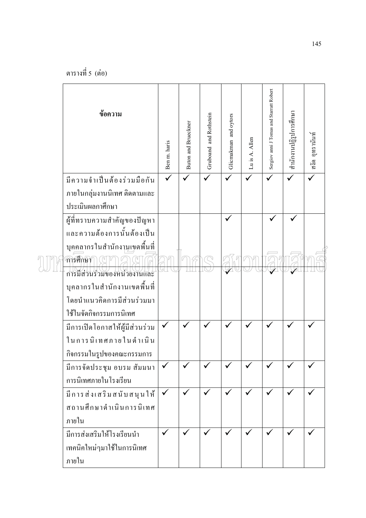| ข้อความ                        | Ben m. haris | Buton and Brueckner | Gruboand and Rothstein | Glicmakman and oytors | Luis A. Allen | Sergiov anni J Tomas and Starratt Robert | สำนักงานปฏิรูปการศึกษา | สงัด อุทรานันท์ |
|--------------------------------|--------------|---------------------|------------------------|-----------------------|---------------|------------------------------------------|------------------------|-----------------|
| มีความจำเป็นต้องร่วมมือกัน     |              |                     |                        |                       |               |                                          |                        |                 |
| ภายในกลุ่มงานนิเทศ ติดตามและ   |              |                     |                        |                       |               |                                          |                        |                 |
| ประเมินผลกาศึกษา               |              |                     |                        |                       |               |                                          |                        |                 |
| ผู้ที่ทราบความสำคัญของปัญหา    |              |                     |                        |                       |               |                                          |                        |                 |
| และความต้องการนั้นต้องเป็น     |              |                     |                        |                       |               |                                          |                        |                 |
| บุคคลากรในสำนักงานเขตพื้นที่   |              |                     |                        |                       |               |                                          |                        |                 |
| การศึกษา                       |              |                     |                        |                       |               |                                          |                        |                 |
| การมีส่วนร่วมของหน่วยงานและ    |              |                     |                        |                       |               |                                          |                        |                 |
| บุคลากรในสำนักงานเขตพื้นที่    |              |                     |                        |                       |               |                                          |                        |                 |
| โดยนำแนวคิดการมีส่วนร่วมมา     |              |                     |                        |                       |               |                                          |                        |                 |
| ใช้ในจัดกิจกรรมการนิเทศ        |              |                     |                        |                       |               |                                          |                        |                 |
| มีการเปิดโอกาสให้ผู้มีส่วนร่วม | $\checkmark$ |                     |                        |                       |               |                                          |                        |                 |
| ในการนิเทศภายในคำเนิน          |              |                     |                        |                       |               |                                          |                        |                 |
| กิจกรรมในรูปของคณะกรรมการ      |              |                     |                        |                       |               |                                          |                        |                 |
| มีการจัดประชุม อบรม สัมมนา     |              |                     |                        |                       |               |                                          |                        |                 |
| การนิเทศภายในโรงเรียน          |              |                     |                        |                       |               |                                          |                        |                 |
| มีการส่งเสริมสนับสนุนให้       |              |                     |                        |                       |               |                                          |                        |                 |
| สถานศึกษาดำเนินการนิเทศ        |              |                     |                        |                       |               |                                          |                        |                 |
| ภายใน                          |              |                     |                        |                       |               |                                          |                        |                 |
| มีการส่งเสริมให้โรงเรียนนำ     | $\checkmark$ |                     |                        |                       |               |                                          |                        |                 |
| เทคนิคใหม่ๆมาใช้ในการนิเทศ     |              |                     |                        |                       |               |                                          |                        |                 |
| ภายใน                          |              |                     |                        |                       |               |                                          |                        |                 |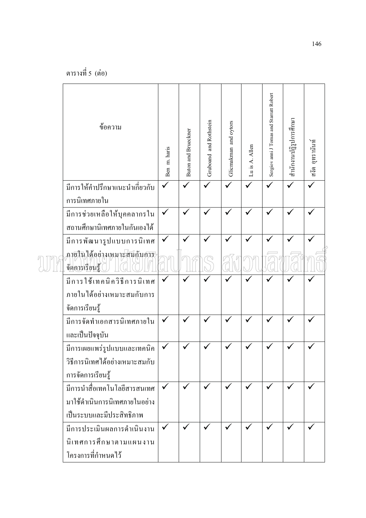| ข้อความ                                                      | Ben m. haris | <b>Buton and Brueckner</b> | Gruboand and Rothstein | Glicmakman and oytors | Lu is A. Allen | Sergiov anni J Tomas and Starratt Robert | สำนักงานปฏิรูปการศึกษา | สงัด อุทรานันท์ |
|--------------------------------------------------------------|--------------|----------------------------|------------------------|-----------------------|----------------|------------------------------------------|------------------------|-----------------|
| มีการให้คำปรึกษาแนะนำเกี่ยวกับ<br>การนิเทศภายใน              |              |                            |                        |                       |                |                                          |                        |                 |
| มีการช่วยเหลือให้บุคคลากรใน<br>ิสถานศึกษานิเทศภายในกันเองได้ | $\checkmark$ |                            |                        |                       |                |                                          |                        |                 |
| มีการพัฒนารูปแบบการนิเทศ                                     | $\checkmark$ |                            |                        |                       |                |                                          |                        |                 |
| ภายในใด้อย่างเหมาะสัมกับก <del>าร</del><br>จัดการเรียนรู้    |              |                            |                        |                       |                |                                          |                        |                 |
| มีการใช้เทคนิควิธีการนิเทศ                                   | ✓            |                            |                        |                       |                |                                          |                        |                 |
| ภายในได้อย่างเหมาะสมกับการ                                   |              |                            |                        |                       |                |                                          |                        |                 |
| จัดการเรียนรู้                                               |              |                            |                        |                       |                |                                          |                        |                 |
| มีการจัดทำเอกสารนิเทศภายใน                                   | $\checkmark$ |                            |                        |                       |                |                                          |                        |                 |
| และเป็นปัจจุบัน                                              |              |                            |                        |                       |                |                                          |                        |                 |
| มีการเผยแพร่รูปแบบและเทคนิค                                  | $\checkmark$ |                            |                        |                       |                |                                          |                        |                 |
| วิธีการนิเทศได้อย่างเหมาะสมกับ                               |              |                            |                        |                       |                |                                          |                        |                 |
| การจัดการเรียนรู้                                            |              |                            |                        |                       |                |                                          |                        |                 |
| มีการนำสื่อเทคโนโลยีสารสนเทศ                                 | $\checkmark$ | $\checkmark$               | $\checkmark$           |                       | $\checkmark$   | $\checkmark$                             |                        | $\checkmark$    |
| มาใช้ดำเนินการนิเทศภายในอย่าง                                |              |                            |                        |                       |                |                                          |                        |                 |
| เป็นระบบและมีประสิทธิภาพ                                     |              |                            |                        |                       |                |                                          |                        |                 |
| มีการประเมินผลการคำเนินงาน                                   | $\checkmark$ | $\checkmark$               | $\checkmark$           | ✓                     | $\checkmark$   |                                          |                        | ✓               |
| นิเทศการศึกษาตามแผนงาน                                       |              |                            |                        |                       |                |                                          |                        |                 |
| โครงการที่กำหนดไว้                                           |              |                            |                        |                       |                |                                          |                        |                 |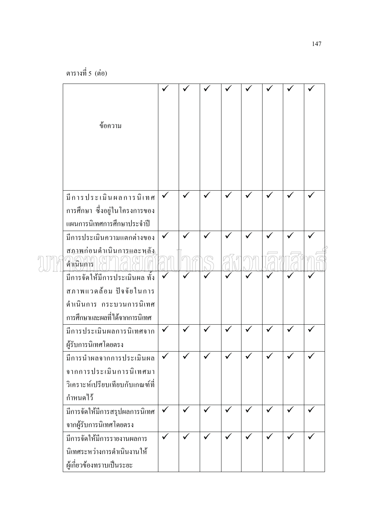| ข้อความ                         |              |              |   |  |  |              |
|---------------------------------|--------------|--------------|---|--|--|--------------|
|                                 |              |              |   |  |  |              |
|                                 |              |              |   |  |  |              |
|                                 |              |              |   |  |  |              |
|                                 |              |              |   |  |  |              |
| มีการประเมินผลการนิเทศ          |              |              |   |  |  |              |
| การศึกษา ซึ่งอยู่ในโครงการของ   |              |              |   |  |  |              |
| แผนการนิเทศการศึกษาประจำปี      |              |              |   |  |  |              |
| มีการประเมินความแตกต่างของ      |              |              |   |  |  |              |
| สภาพก่อนคำเนินการและหลัง        |              |              |   |  |  |              |
| ดำเนินการ                       |              |              |   |  |  |              |
| มีการจัดให้มีการประเมินผล ทั้ง  |              |              |   |  |  |              |
| สภาพแวดล้อม ปัจจัยในการ         |              |              |   |  |  |              |
| คำเนินการ กระบวนการนิเทศ        |              |              |   |  |  |              |
| ุการศึกษาและผลที่ได้จากการนิเทศ |              |              |   |  |  |              |
| มีการประเมินผลการนิเทศจาก       |              |              |   |  |  |              |
| ผู้รับการนิเทศโดยตรง            |              |              |   |  |  |              |
| มีการนำผลจากการประเมินผล        |              |              |   |  |  |              |
| จากการประเมินการนิเทศมา         |              |              |   |  |  |              |
| วิเคราะห์เปรียบเทียบกับเกณฑ์ที่ |              |              |   |  |  |              |
| กำหนดไว้                        |              |              |   |  |  |              |
| มีการจัดให้มีการสรุปผลการนิเทศ  | $\checkmark$ | $\checkmark$ |   |  |  | ✓            |
| จากผู้รับการนิเทศโดยตรง         |              |              |   |  |  |              |
| มีการจัดให้มีการรายงานผลการ     | $\checkmark$ | $\checkmark$ | ✓ |  |  | $\checkmark$ |
| นิเทศระหว่างการดำเนินงานให้     |              |              |   |  |  |              |
| ผู้เกี่ยวข้องทราบเป็นระยะ       |              |              |   |  |  |              |
|                                 |              |              |   |  |  |              |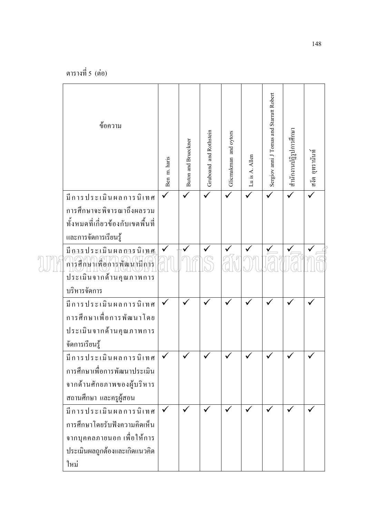| ข้อความ                           | Ben m. haris | <b>Buton and Brueckner</b> | Gruboand and Rothstein | Glicmakman and oytors | Lu is A. Allen | Sergiov anni J Tomas and Starratt Robert | สำนักงานปฏิรูปการศึกษา | สงัด อุทรานันท์ |
|-----------------------------------|--------------|----------------------------|------------------------|-----------------------|----------------|------------------------------------------|------------------------|-----------------|
| มีการประเมินผลการนิเทศ            |              |                            |                        | ✓                     |                | $\checkmark$                             |                        | $\checkmark$    |
| การศึกษาจะพิจารณาถึงผลรวม         |              |                            |                        |                       |                |                                          |                        |                 |
| ทั้งหมดที่เกี่ยวข้องกับเขตพื้นที่ |              |                            |                        |                       |                |                                          |                        |                 |
| และการจัดการเรียนรู้              |              |                            |                        |                       |                |                                          |                        |                 |
| มี การประเมินผล การนิเ <u>ทศ</u>  |              |                            |                        |                       |                |                                          |                        |                 |
| ์<br>การศึกษาเพื่อการพัฒนามีการ   |              |                            |                        |                       |                |                                          |                        |                 |
| ประเมินจากค้านคุณภาพการ           |              |                            |                        |                       |                |                                          |                        |                 |
| บริหารจัดการ                      |              |                            |                        |                       |                |                                          |                        |                 |
| มีการประเมินผลการนิเทศ            | $\checkmark$ | $\checkmark$               |                        |                       |                |                                          |                        |                 |
| การศึกษาเพื่อการพัฒนาโดย          |              |                            |                        |                       |                |                                          |                        |                 |
| ประเมินจากค้านคุณภาพการ           |              |                            |                        |                       |                |                                          |                        |                 |
| จัดการเรียนรู้                    |              |                            |                        |                       |                |                                          |                        |                 |
| มีการประเมินผลการนิเทศ            |              |                            |                        |                       |                |                                          |                        |                 |
| การศึกษาเพื่อการพัฒนาประเมิน      |              |                            |                        |                       |                |                                          |                        |                 |
| จากค้านศักยภาพของผู้บริหาร        |              |                            |                        |                       |                |                                          |                        |                 |
| สถานศึกษา และครูผู้สอน            |              |                            |                        |                       |                |                                          |                        |                 |
| มีการประเมินผลการนิเทศ            | $\checkmark$ | $\checkmark$               |                        |                       |                |                                          |                        |                 |
| การศึกษาโดยรับฟังความคิดเห็น      |              |                            |                        |                       |                |                                          |                        |                 |
| จากบุคคลภายนอก เพื่อให้การ        |              |                            |                        |                       |                |                                          |                        |                 |
| ประเมินผลถูกต้องและเกิดแนวคิด     |              |                            |                        |                       |                |                                          |                        |                 |
| ใหม่                              |              |                            |                        |                       |                |                                          |                        |                 |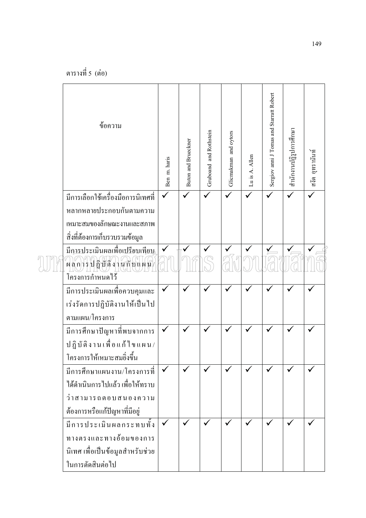| ข้อความ                            | Ben m. haris | <b>Buton and Brueckner</b> | Gruboand and Rothstein | Glicmakman and oytors | Lu is A. Allen | Sergiov anni J Tomas and Starratt Robert | สำนักงานปฏิรูปการศึกษา | สงัด อุทรานันท์ |
|------------------------------------|--------------|----------------------------|------------------------|-----------------------|----------------|------------------------------------------|------------------------|-----------------|
| มีการเลือกใช้เครื่องมือการนิเทศที่ |              |                            |                        | ✓                     |                | $\checkmark$                             |                        | $\checkmark$    |
| หลากหลายประกอบกันตามความ           |              |                            |                        |                       |                |                                          |                        |                 |
| เหมาะสมของลักษณะงานและสภาพ         |              |                            |                        |                       |                |                                          |                        |                 |
| สิ่งที่ต้องการเก็บรวบรวมข้อมูล     |              |                            |                        |                       |                |                                          |                        |                 |
| มีการประเมินผลเพื่อเปรียบเทียบ     |              |                            |                        |                       |                |                                          |                        |                 |
| ้ผลการปฏิบัติงานก็บนผน             |              |                            |                        |                       |                |                                          |                        |                 |
| โครงการกำหน <sup>ี่</sup> คไว้     |              |                            |                        |                       |                |                                          |                        |                 |
| มีการประเมินผลเพื่อควบคุมและ       |              |                            |                        |                       |                |                                          |                        |                 |
| เร่งรัดการปฏิบัติงานให้เป็นไป      |              |                            |                        |                       |                |                                          |                        |                 |
| ตามแผน/โครงการ                     |              |                            |                        |                       |                |                                          |                        |                 |
| มีการศึกษาปัญหาที่พบจากการ         |              |                            |                        |                       |                |                                          |                        |                 |
| ปฏิบัติงานเพื่อแก้ไขแผน/           |              |                            |                        |                       |                |                                          |                        |                 |
| โครงการให้เหมาะสมยิ่งขึ้น          |              |                            |                        |                       |                |                                          |                        |                 |
| มีการศึกษาแผนงาน/โครงการที่        |              |                            |                        |                       |                |                                          |                        |                 |
| ได้ดำเนินการไปแล้ว เพื่อให้ทราบ    |              |                            |                        |                       |                |                                          |                        |                 |
| ว่าสามารถตอบสนองความ               |              |                            |                        |                       |                |                                          |                        |                 |
| ต้องการหรือแก้ปัญหาที่มีอยู่       |              |                            |                        |                       |                |                                          |                        |                 |
| มีการประเมินผลกระทบทั้ง            |              |                            |                        |                       |                |                                          |                        |                 |
| ทางตรงและทางอ้อมของการ             |              |                            |                        |                       |                |                                          |                        |                 |
| นิเทศ เพื่อเป็นข้อมูลสำหรับช่วย    |              |                            |                        |                       |                |                                          |                        |                 |
| ในการตัดสินต่อไป                   |              |                            |                        |                       |                |                                          |                        |                 |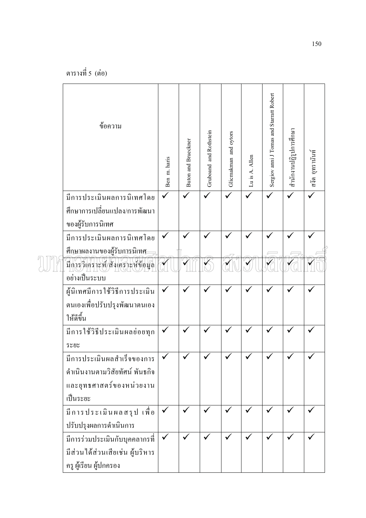| ข้อความ                                                                                              | Ben m. haris | <b>Buton and Brueckner</b> | Gruboand and Rothstein | Glicmakman and oytors | Lu is A. Allen | Sergiov anni J Tomas and Starratt Robert | สำนักงานปฏิรูปการศึกษา | สงัด อุทรานันท์ |
|------------------------------------------------------------------------------------------------------|--------------|----------------------------|------------------------|-----------------------|----------------|------------------------------------------|------------------------|-----------------|
| มีการประเมินผลการนิเทศโดย<br>้ศึกษาการเปลี่ยนแปลง/การพัฒนา<br>ของผู้รับการนิเทศ                      |              |                            |                        |                       |                |                                          |                        |                 |
| มีการประเมินผลการนิเทศโดย<br>ศึกษาผลงานของผู้รับการนิเทศ                                             |              |                            |                        |                       |                |                                          |                        |                 |
| <u>มีการวิเคราะห์/สังเคราะห์ข้อมูล</u><br>อย่างเป็นระบบ                                              |              |                            |                        |                       |                |                                          |                        |                 |
| ผู้นิเทศมีการใช้วิธีการประเมิน<br>ตนเองเพื่อปรับปรุงพัฒนาตนเอง<br>ให้ดีขึ้น                          |              |                            |                        |                       |                |                                          |                        |                 |
| มีการใช้วิธีประเมินผลย่อยทุก<br>วะยะ                                                                 |              |                            |                        |                       |                |                                          |                        |                 |
| มีการประเมินผลสำเร็จของการ<br>คำเนินงานตามวิสัยทัศน์ พันธกิจ<br>และยุทธศาสตร์ของหน่วยงาน<br>เป็นระยะ |              |                            |                        |                       |                |                                          |                        |                 |
| มีการประเมินผลสรุป เพื่อ<br>ปรับปรุงผลการคำเนินการ                                                   |              |                            |                        |                       |                |                                          |                        |                 |
| มีการร่วมประเมินกับบุคคลากรที่<br>มีส่วนใด้ส่วนเสียเช่น ผู้บริหาร<br>ครู ผู้เรียน ผู้ปกครอง          |              |                            |                        |                       |                |                                          |                        |                 |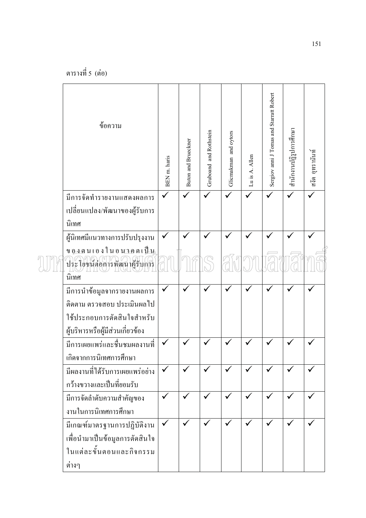| ข้อความ                                                    | BEN m. haris | <b>Buton and Brueckner</b> | Gruboand and Rothstein | Glicmakman and oytors | Lu is A. Allen | Sergiov anni J Tomas and Starratt Robert | สำนักงานปฏิรูปการศึกษา | สงัด อุทรานันท์ |
|------------------------------------------------------------|--------------|----------------------------|------------------------|-----------------------|----------------|------------------------------------------|------------------------|-----------------|
| มีการจัดทำรายงานแสดงผลการ<br>เปลี่ยนแปลง/พัฒนาของผู้รับการ |              |                            |                        | $\checkmark$          |                |                                          |                        |                 |
| นิเทศ                                                      |              |                            |                        |                       |                |                                          |                        |                 |
| ผู้นิเทศมีแนวทางการปรับปรุงงาน                             |              |                            |                        |                       |                |                                          |                        |                 |
| <u>ของตนเองในอนาคตเป็น</u><br>ประโยชน์ต่อการพัฒนาผู้รับการ |              |                            |                        |                       |                |                                          |                        |                 |
| นิเทศ                                                      |              |                            |                        |                       |                |                                          |                        |                 |
| มีการนำข้อมูลจากรายงานผลการ                                |              |                            |                        |                       |                |                                          |                        |                 |
| ติดตาม ตรวจสอบ ประเมินผลไป                                 |              |                            |                        |                       |                |                                          |                        |                 |
| ใช้ประกอบการตัดสินใจสำหรับ                                 |              |                            |                        |                       |                |                                          |                        |                 |
| ผู้บริหารหรือผู้มีส่วนเกี่ยวข้อง                           |              |                            |                        |                       |                |                                          |                        |                 |
| มีการเผยแพร่และชื่นชมผลงานที่<br>เกิดจากการนิเทศการศึกษา   |              |                            |                        |                       |                |                                          |                        |                 |
| มีผลงานที่ได้รับการเผยแพร่อย่าง                            |              |                            |                        |                       |                |                                          |                        |                 |
| กว้างขวางและเป็นที่ยอมรับ                                  |              |                            |                        |                       |                |                                          |                        |                 |
| มีการจัดลำดับความสำคัญของ                                  |              |                            |                        |                       |                |                                          |                        |                 |
| งานในการนิเทศการศึกษา                                      |              |                            |                        |                       |                |                                          |                        |                 |
| มีเกณฑ์มาตรฐานการปฏิบัติงาน                                |              | $\checkmark$               |                        |                       |                |                                          |                        |                 |
| เพื่อนำมาเป็นข้อมูลการตัดสินใจ                             |              |                            |                        |                       |                |                                          |                        |                 |
| ในแต่ละขั้นตอนและกิจกรรม                                   |              |                            |                        |                       |                |                                          |                        |                 |
| ต่างๆ                                                      |              |                            |                        |                       |                |                                          |                        |                 |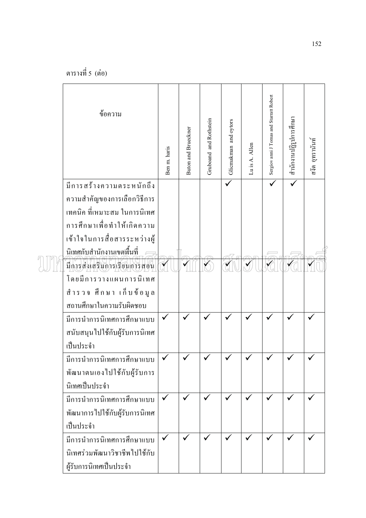| ข้อความ                                                                                                                                                                             | Ben m. haris | Buton and Brueckner | Gruboand and Rothstein | Glicmakman and oytors | Lu is A. Allen | Sergiov anni J Tomas and Starratt Robert | สำนักงานปฏิรูปการศึกษา | สงัด อุทรานันท์ |
|-------------------------------------------------------------------------------------------------------------------------------------------------------------------------------------|--------------|---------------------|------------------------|-----------------------|----------------|------------------------------------------|------------------------|-----------------|
| มีการสร้างความตระหนักถึง<br>ความสำคัญของการเลือกวิธีการ<br>เทคนิค ที่เหมาะสม ในการนิเทศ<br>การศึกษาเพื่อทำให้เกิดความ<br>เข้าใจในการสื่อสารระหว่างผู้<br>นิเหศกับสำนักงานเขตพื้นที่ |              |                     |                        |                       |                |                                          |                        |                 |
| มีการส่งเสริมการเรียนการสอน<br>โดยมีการวางแผนการนิเทศ<br>้สำรวจ ศึกษา เก็บข้อมูล<br>สถานศึกษาในความรับผิดชอบ                                                                        |              |                     |                        |                       |                |                                          |                        |                 |
| มีการนำการนิเทศการศึกษาแบบ<br>สนับสนุนไปใช้กับผู้รับการนิเทศ<br>เป็นประจำ                                                                                                           | $\checkmark$ |                     |                        |                       |                |                                          |                        |                 |
| มีการนำการนิเทศการศึกษาแบบ<br>พัฒนาตนเองไปใช้กับผู้รับการ<br>นิเทศเป็นประจำ                                                                                                         |              |                     |                        |                       |                |                                          |                        |                 |
| มีการนำการนิเทศการศึกษาแบบ<br>พัฒนาการไปใช้กับผู้รับการนิเทศ<br>เป็นประจำ                                                                                                           | $\checkmark$ |                     |                        |                       | ✓              |                                          | ✓                      |                 |
| มีการนำการนิเทศการศึกษาแบบ<br>นิเทศร่วมพัฒนาวิชาชีพไปใช้กับ<br>ผู้รับการนิเทศเป็นประจำ                                                                                              |              |                     |                        |                       |                |                                          |                        |                 |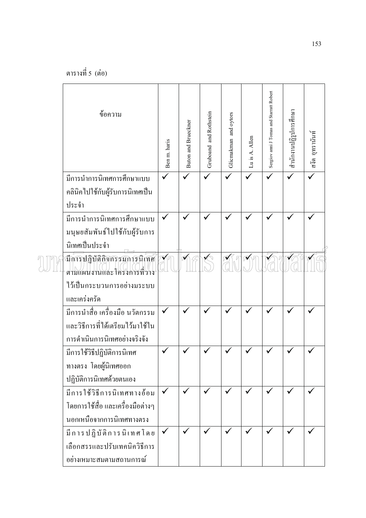| ข้อความ                                                                                                 | Ben m. haris | Buton and Brueckner | Gruboand and Rothstein | Glicmakman and oytors | Luis A. Allen | Sergiov anni J Tomas and Starratt Robert | สำนักงานปฏิรูปการศึกษา | สงัด อุทรานันท์ |
|---------------------------------------------------------------------------------------------------------|--------------|---------------------|------------------------|-----------------------|---------------|------------------------------------------|------------------------|-----------------|
| มีการนำการนิเทศการศึกษาแบบ<br>้คลินิคไปใช้กับผู้รับการนิเทศเป็น                                         |              |                     |                        |                       |               |                                          | $\checkmark$           |                 |
| ประจำ<br>มีการนำการนิเทศการศึกษาแบบ<br>มนุษยสัมพันธ์ไปใช้กับผู้รับการ<br>นิเทศเป็นประจำ                 |              |                     |                        |                       |               |                                          |                        |                 |
| มีการปฏิบัติกิจกรรมการนิเทศ<br>ตามแผนงานและโครงการที่ว่าง<br>ใว้เป็นกระบวนการอย่างมระบบ<br>และเคร่งครัด |              |                     |                        |                       |               |                                          |                        |                 |
| มีการนำสื่อ เครื่องมือ นวัตกรรม<br>และวิธีการที่ได้เตรียมไว้มาใช้ใน<br>การคำเนินการนิเทศอย่างจริงจัง    |              |                     |                        |                       |               |                                          |                        |                 |
| มีการใช้วิธีปฏิบัติการนิเทศ<br>ทางตรง โดยผู้นิเทศออก<br>ปฏิบัติการนิเทศด้วยตนเอง                        |              |                     |                        |                       |               |                                          |                        |                 |
| มีการใช้วิธีการนิเทศทางอ้อม<br>โดยการใช้สื่อ และเครื่องมือต่างๆ<br>นอกเหนือจากการนิเทศทางตรง            |              | $\checkmark$        |                        |                       | $\checkmark$  |                                          |                        |                 |
| มีการปฏิบัติการนิเทศโดย<br>เลือกสรรและปรับเทคนิควิธีการ<br>อย่างเหมาะสมตามสถานการณ์                     |              |                     |                        |                       |               |                                          |                        |                 |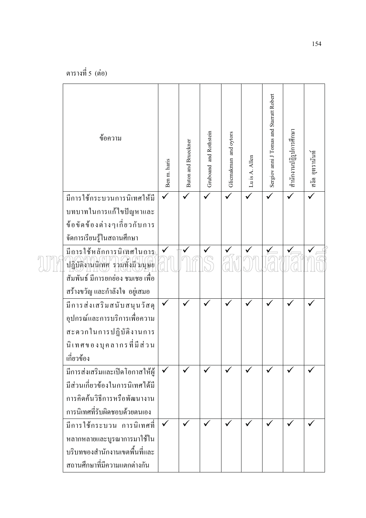| ข้อความ                                                      | Ben m. haris | Buton and Brueckner | Gruboand and Rothstein | Glicmakman and oytors | Lu is A. Allen | Sergiov anni J Tomas and Starratt Robert | สำนักงานปฏิรูปการศึกษา | สงัด อุทรานันท์         |
|--------------------------------------------------------------|--------------|---------------------|------------------------|-----------------------|----------------|------------------------------------------|------------------------|-------------------------|
| มีการใช้กระบวนการนิเทศให้มี                                  |              |                     |                        |                       |                |                                          |                        | $\overline{\checkmark}$ |
| บทบาทในการแก้ไขปัญหาและ                                      |              |                     |                        |                       |                |                                          |                        |                         |
| ข้อขัดข้องต่างๆเกี่ยวกับการ                                  |              |                     |                        |                       |                |                                          |                        |                         |
| จัดการเรียนรู้ในสถานศึกษา                                    |              |                     |                        |                       |                |                                          |                        |                         |
| มีการใช้หลักการนิเฑศในการ<br>ปฏิบัติงานนิเทศ รวมทั้งมี มนุษย |              |                     |                        |                       |                |                                          |                        |                         |
| สัมพันธ์ มีการยกย่อง ชมเชย เพื่อ                             |              |                     |                        |                       |                |                                          |                        |                         |
| ิสร้างขวัญ และกำลังใจ อยู่เสมอ                               |              |                     |                        |                       |                |                                          |                        |                         |
| มีการส่งเสริมสนับสนุนวัสคุ                                   |              | $\checkmark$        |                        |                       |                |                                          |                        |                         |
| อุปกรณ์และการบริการเพื่อความ                                 |              |                     |                        |                       |                |                                          |                        |                         |
| สะควกในการปฏิบัติงานการ                                      |              |                     |                        |                       |                |                                          |                        |                         |
| นิเทศของบุคลากรที่มีส่วน                                     |              |                     |                        |                       |                |                                          |                        |                         |
| เกี่ยวข้อง                                                   |              |                     |                        |                       |                |                                          |                        |                         |
| มีการส่งเสริมและเปิดโอกาสให้ผู้                              |              |                     |                        |                       |                |                                          |                        |                         |
| มีส่วนเกี่ยวข้องในการนิเทศได้มี                              |              |                     |                        |                       |                |                                          |                        |                         |
| การคิดค้นวิธีการหรือพัฒนางาน                                 |              |                     |                        |                       |                |                                          |                        |                         |
| การนิเทศที่รับผิดชอบด้วยตนเอง                                |              |                     |                        |                       |                |                                          |                        |                         |
| มีการใช้กระบวน การนิเทศที่                                   |              |                     |                        |                       |                |                                          |                        |                         |
| หลากหลายและบูรณาการมาใช้ใน                                   |              |                     |                        |                       |                |                                          |                        |                         |
| บริบทของสำนักงานเขตพื้นที่และ                                |              |                     |                        |                       |                |                                          |                        |                         |
| ิสถานศึกษาที่มีความแตกต่างกัน                                |              |                     |                        |                       |                |                                          |                        |                         |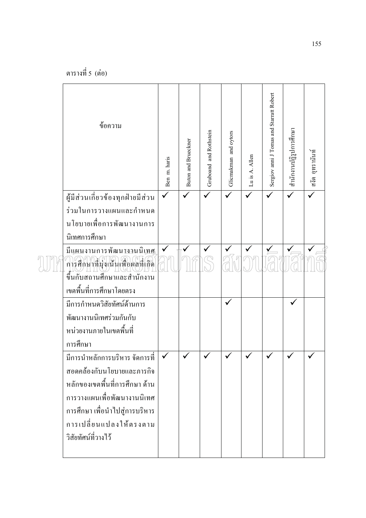| ข้อความ                                                       | Ben m. haris | <b>Buton and Brueckner</b> | Gruboand and Rothstein | Glicmakman and oytors | Lu is A. Allen | Sergiov anni J Tomas and Starratt Robert | สำนักงานปฏิรูปการศึกษา | สงัด อุทรานันท์ |
|---------------------------------------------------------------|--------------|----------------------------|------------------------|-----------------------|----------------|------------------------------------------|------------------------|-----------------|
| ผู้มีส่วนเกี่ยวข้องทุกฝ่ายมีส่วน                              |              |                            |                        |                       |                | $\checkmark$                             |                        | $\checkmark$    |
| ร่วมในการวางแผนและกำหนด                                       |              |                            |                        |                       |                |                                          |                        |                 |
| นโยบายเพื่อการพัฒนางานการ                                     |              |                            |                        |                       |                |                                          |                        |                 |
| นิเทศการศึกษา                                                 |              |                            |                        |                       |                |                                          |                        |                 |
| มีแผนงานการพัฒนางานนิเทศ<br>การศึกษาที่มุ่งเน้นเพื่อผลที่เกิด |              |                            |                        |                       |                |                                          |                        |                 |
| ขึ้นกับสถานศึกษาและสำนักงาน                                   |              |                            |                        |                       |                |                                          |                        |                 |
| เขตพื้นที่การศึกษาโดยตรง                                      |              |                            |                        |                       |                |                                          |                        |                 |
| มีการกำหนดวิสัยทัศน์ด้านการ                                   |              |                            |                        | $\checkmark$          |                |                                          |                        |                 |
| พัฒนางานนิเทศร่วมกันกับ                                       |              |                            |                        |                       |                |                                          |                        |                 |
| หน่วยงานภายในเขตพื้นที่                                       |              |                            |                        |                       |                |                                          |                        |                 |
| การศึกษา<br>มีการนำหลักการบริหาร จัดการที่                    |              |                            |                        |                       |                |                                          |                        |                 |
| สอดคล้องกับนโยบายและภารกิจ                                    |              |                            |                        |                       |                |                                          |                        |                 |
| หลักของเขตพื้นที่การศึกษา ด้าน                                |              |                            |                        |                       |                |                                          |                        |                 |
| ิการวางแผนเพื่อพัฒนางานนิเทศ                                  |              |                            |                        |                       |                |                                          |                        |                 |
| การศึกษา เพื่อนำไปสู่การบริหาร                                |              |                            |                        |                       |                |                                          |                        |                 |
| การเปลี่ยนแปลงให้ตรงตาม                                       |              |                            |                        |                       |                |                                          |                        |                 |
| วิสัยทัศน์ที่วางไว้                                           |              |                            |                        |                       |                |                                          |                        |                 |
|                                                               |              |                            |                        |                       |                |                                          |                        |                 |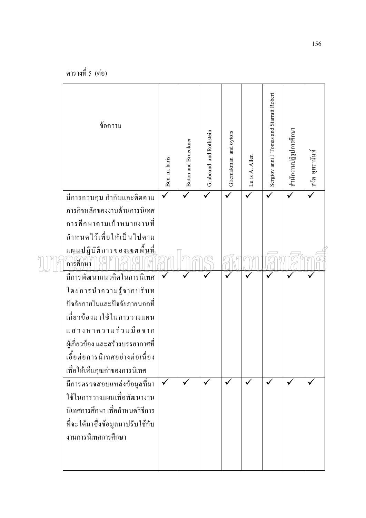| ข้อความ                            | Ben m. haris | <b>Buton and Brueckner</b> | Gruboand and Rothstein | Glicmakman and oytors | Lu is A. Allen | Sergiov anni J Tomas and Starratt Robert | สำนักงานปฏิรูปการศึกษา | สงัด อุทรานันท์ |
|------------------------------------|--------------|----------------------------|------------------------|-----------------------|----------------|------------------------------------------|------------------------|-----------------|
| มีการควบคุม กำกับและติดตาม         |              | $\checkmark$               |                        | $\checkmark$          | $\checkmark$   |                                          | $\checkmark$           |                 |
| ภารกิจหลักของงานด้านการนิเทศ       |              |                            |                        |                       |                |                                          |                        |                 |
| การศึกษาตามเป้าหมายงานที่          |              |                            |                        |                       |                |                                          |                        |                 |
| กำหนดไว้เพื่อให้เป็นไปตาม          |              |                            |                        |                       |                |                                          |                        |                 |
| แผนปฏิบัติการของเขตพื้น <u>ที่</u> |              |                            |                        |                       |                |                                          |                        |                 |
| การศึกษา                           |              |                            |                        |                       |                |                                          |                        |                 |
| มีการพัฒนาแนวคิดในการนิเทศ         |              |                            |                        |                       |                |                                          |                        |                 |
| โดยการนำความรู้จากบริบท            |              |                            |                        |                       |                |                                          |                        |                 |
| ปัจจัยภายในและปัจจัยภายนอกที่      |              |                            |                        |                       |                |                                          |                        |                 |
| เกี่ยวข้องมาใช้ในการวางแผน         |              |                            |                        |                       |                |                                          |                        |                 |
| แสวงหาความร่วมมือจาก               |              |                            |                        |                       |                |                                          |                        |                 |
| ผู้เกี่ยวข้อง และสร้างบรรยากาศที่  |              |                            |                        |                       |                |                                          |                        |                 |
| เอื้อต่อการนิเทศอย่างต่อเนื่อง     |              |                            |                        |                       |                |                                          |                        |                 |
| เพื่อให้เห็นคุณค่าของการนิเทศ      |              |                            |                        |                       |                |                                          |                        |                 |
| มีการตรวจสอบแหล่งข้อมูลที่มา       |              | ✓                          |                        |                       |                |                                          |                        | $\checkmark$    |
| ใช้ในการวางแผนเพื่อพัฒนางาน        |              |                            |                        |                       |                |                                          |                        |                 |
| นิเทศการศึกษา เพื่อกำหนดวิธีการ    |              |                            |                        |                       |                |                                          |                        |                 |
| ที่จะใด้มาซึ่งข้อมูลมาปรับใช้กับ   |              |                            |                        |                       |                |                                          |                        |                 |
| งานการนิเทศการศึกษา                |              |                            |                        |                       |                |                                          |                        |                 |
|                                    |              |                            |                        |                       |                |                                          |                        |                 |
|                                    |              |                            |                        |                       |                |                                          |                        |                 |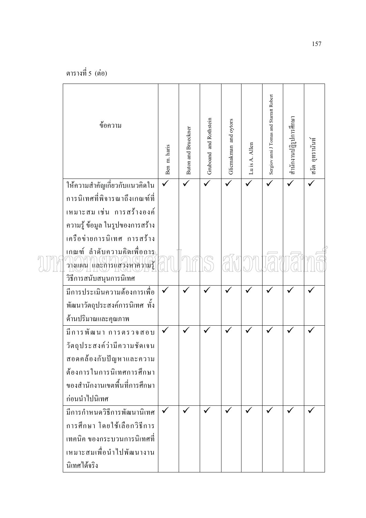| ข้อความ                                                        | Ben m. haris | <b>Buton and Brueckner</b> | Gruboand and Rothstein | Glicmakman and oytors | Lu is A. Allen | Sergiov anni J Tomas and Starratt Robert | สำนักงานปฏิรูปการศึกษา | สงัด อูทรานันท์ |
|----------------------------------------------------------------|--------------|----------------------------|------------------------|-----------------------|----------------|------------------------------------------|------------------------|-----------------|
| ให้ความสำคัญเกี่ยวกับแนวคิดใน                                  |              |                            |                        |                       |                |                                          |                        |                 |
| การนิเทศที่พิจารณาถึงเกณฑ์ที่                                  |              |                            |                        |                       |                |                                          |                        |                 |
| เหมาะสม เช่น การสร้างองค์                                      |              |                            |                        |                       |                |                                          |                        |                 |
| ้ความรู้ ข้อมูล ในรูปของการสร้าง<br>เครือข่ายการนิเทศ การสร้าง |              |                            |                        |                       |                |                                          |                        |                 |
| เกณฑ์ ลำดับความคิดเพื่อการ                                     |              |                            |                        |                       |                |                                          |                        |                 |
| วางแผน (และการแสวงหาความรู้                                    |              |                            |                        |                       |                |                                          |                        |                 |
| วิธีการสนับสนุนการนิเทศ                                        |              |                            |                        |                       |                |                                          |                        |                 |
| มีการประเมินความต้องการเพื่อ                                   |              |                            |                        |                       |                |                                          |                        |                 |
| พัฒนาวัตถุประสงค์การนิเทศ ทั้ง                                 |              |                            |                        |                       |                |                                          |                        |                 |
| ด้านปริมาณและคุณภาพ                                            |              |                            |                        |                       |                |                                          |                        |                 |
| มีการพัฒนา การตรวจสอบ                                          |              |                            |                        |                       |                |                                          |                        |                 |
| วัตถุประสงค์ว่ามีความชัดเจน                                    |              |                            |                        |                       |                |                                          |                        |                 |
| สอดคล้องกับปัญหาและความ                                        |              |                            |                        |                       |                |                                          |                        |                 |
| ด้องการในการนิเทศการศึกษา                                      |              |                            |                        |                       |                |                                          |                        |                 |
| ของสำนักงานเขตพื้นที่การศึกษา                                  |              |                            |                        |                       |                |                                          |                        |                 |
| ก่อนนำไปนิเทศ                                                  |              |                            |                        |                       |                |                                          |                        |                 |
| มีการกำหนดวิธีการพัฒนานิเทศ                                    |              |                            |                        |                       |                |                                          |                        |                 |
| การศึกษา โดยใช้เลือกวิธีการ                                    |              |                            |                        |                       |                |                                          |                        |                 |
| เทคนิค ของกระบวนการนิเทศที่                                    |              |                            |                        |                       |                |                                          |                        |                 |
| เหมาะสมเพื่อนำไปพัฒนางาน                                       |              |                            |                        |                       |                |                                          |                        |                 |
| นิเทศได้จริง                                                   |              |                            |                        |                       |                |                                          |                        |                 |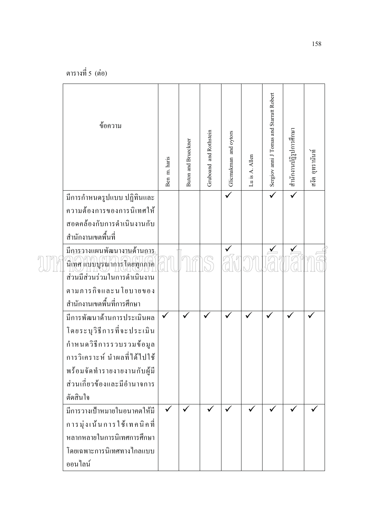| ข้อความ                                          | Ben m. haris | Buton and Brueckner | Gruboand and Rothstein | Glicmakman and oytors | Lu is A. Allen | Sergiov anni J Tomas and Starratt Robert | สำนักงานปฏิรูปการศึกษา | สงัด อุทรานันท์ |
|--------------------------------------------------|--------------|---------------------|------------------------|-----------------------|----------------|------------------------------------------|------------------------|-----------------|
| มีการกำหนดรูปแบบ ปฏิทินและ                       |              |                     |                        | $\checkmark$          |                | $\checkmark$                             |                        |                 |
| ความต้องการของการนิเทศให้                        |              |                     |                        |                       |                |                                          |                        |                 |
| สอดคล้องกับการคำเนินงานกับ<br>สำนักงานเขตพื้นที่ |              |                     |                        |                       |                |                                          |                        |                 |
| มีการวางแผนพัฒนางานด้านการ                       |              |                     |                        |                       |                |                                          |                        |                 |
| นี้เทศ แบบบูรณาการโดยทุกภาค                      |              |                     |                        |                       |                |                                          |                        |                 |
| ส่วนมีส่วนร่วมในการดำเนินงาน                     |              |                     |                        |                       |                |                                          |                        |                 |
| ตามภารกิจและนโยบายของ                            |              |                     |                        |                       |                |                                          |                        |                 |
| สำนักงานเขตพื้นที่การศึกษา                       |              |                     |                        |                       |                |                                          |                        |                 |
| มีการพัฒนาด้านการประเมินผล                       |              |                     |                        |                       |                |                                          |                        |                 |
| โดยระบุวิธีการที่จะประเมิน                       |              |                     |                        |                       |                |                                          |                        |                 |
| กำหนดวิธีการรวบรวมข้อมูล                         |              |                     |                        |                       |                |                                          |                        |                 |
| การวิเคราะห์ นำผลที่ได้ไปใช้                     |              |                     |                        |                       |                |                                          |                        |                 |
| พร้อมจัดทำรายงายงานกับผู้มี                      |              |                     |                        |                       |                |                                          |                        |                 |
| ส่วนเกี่ยวข้องและมีอำนาจการ                      |              |                     |                        |                       |                |                                          |                        |                 |
| ตัดสินใจ                                         |              |                     |                        |                       |                |                                          |                        |                 |
| มีการวางเป้าหมายในอนาคตให้มี                     |              | $\checkmark$        |                        |                       |                |                                          |                        |                 |
| การมุ่งเน้นการใช้เทคนิคที่                       |              |                     |                        |                       |                |                                          |                        |                 |
| หลากหลายในการนิเทศการศึกษา                       |              |                     |                        |                       |                |                                          |                        |                 |
| โดยเฉพาะการนิเทศทางไกลแบบ                        |              |                     |                        |                       |                |                                          |                        |                 |
| ออนไลน์                                          |              |                     |                        |                       |                |                                          |                        |                 |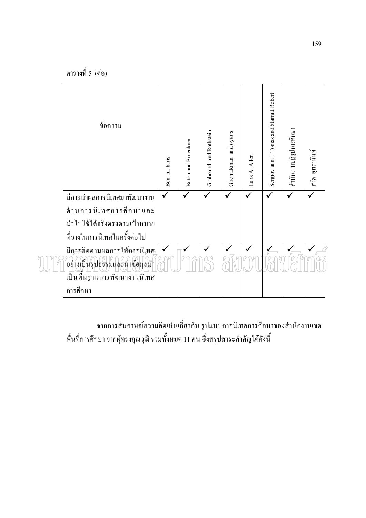| ข้อความ                                                       | Ben m. haris | <b>Buton and Brueckner</b> | Gruboand and Rothstein | Glicmakman and oytors | Lu is A. Allen | Sergiov anni J Tomas and Starratt Robert | สำนักงานปฏิรูปการศึกษา | สงัด อูทรานันท์ |
|---------------------------------------------------------------|--------------|----------------------------|------------------------|-----------------------|----------------|------------------------------------------|------------------------|-----------------|
| มีการนำผลการนิเทศมาพัฒนางาน                                   |              |                            |                        |                       |                |                                          |                        |                 |
| ค้านการนิเทศการศึกษาและ                                       |              |                            |                        |                       |                |                                          |                        |                 |
| นำไปใช้ได้จริงตรงตามเป้าหมาย                                  |              |                            |                        |                       |                |                                          |                        |                 |
| ที่วางในการนิเทศในครั้งต่อไป                                  |              |                            |                        |                       |                |                                          |                        |                 |
| มีการติดตามผลการให้การนิเทศ<br>้อย่างเป็นรูปธรรมและนำช้อมูลมา |              |                            |                        |                       |                |                                          |                        |                 |
| เป็นพื้นฐานการพัฒนางานนิเทศ                                   |              |                            |                        |                       |                |                                          |                        |                 |
| การศึกษา                                                      |              |                            |                        |                       |                |                                          |                        |                 |

จากการสัมภาษณ์ความคิดเห็นเกี่ยวกับ รูปแบบการนิเทศการคึกษาของสำนักงานเขต ี<br>พื้นที่การศึกษา จากผู้ทรงคุณวุฒิ รวมทั้งหมด 11 คน ซึ่งสรุปสาระสำคัญได้ดังนี้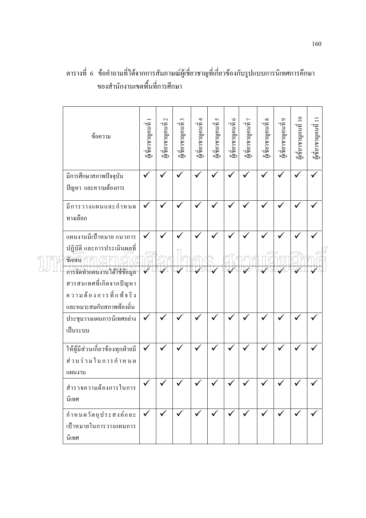| ข้อความ                                                         | ผู้แช้ยวชาญคนที่ | $\mathcal{L}$<br>ะ สู่<br>ผู้เชียวชาญคนที่ | ะ ที่เขาชาญคนที่ 3 | น<br>ผู้เชี่ยวชาญคนที่ 4 | ชูเชียวชาญคนที่ 5 | ะ สีเขียวชาญคนที่ 6 | ผู้เชียวชาญคนที่ 7 | $\infty$<br>ะ สู่<br>ผู้เชียวชาญคนที่ | ผู้เชี่ยวชาญคนที่ 9 | ผู้เชี่ยวชาญคนที่ 10 | ะ<br>ผู้เชี่ยวชาญคนที่ 11 |
|-----------------------------------------------------------------|------------------|--------------------------------------------|--------------------|--------------------------|-------------------|---------------------|--------------------|---------------------------------------|---------------------|----------------------|---------------------------|
| มีการศึกษาสภาพปัจจุบัน<br>ปัญหา และความต้องการ                  | $\checkmark$     |                                            |                    |                          |                   |                     |                    |                                       |                     |                      |                           |
| มีการวางแผนและกำหนด<br>ทางเลือก                                 | ✓                |                                            |                    |                          |                   |                     |                    |                                       |                     |                      |                           |
| แผนงานมีเป้าหมาย แนวการ<br>ปฏิบัติ และการประเมินผลที่           | ✓                |                                            |                    |                          |                   |                     |                    |                                       |                     |                      |                           |
| ชัดเจน<br>การจัดทำแผนงานใส้ใช้ข้อมูล<br>สารสนเทศที่เกิดจากปัญหา | ✔                |                                            |                    |                          |                   |                     |                    |                                       |                     |                      |                           |
| ความต้องการที่แท้จริง<br>และหมาะสมกับสภาพท้องถิ่น               |                  |                                            |                    |                          |                   |                     |                    |                                       |                     |                      |                           |
| ประชุมวางแผนการนิเทศอย่าง<br>เป็นระบบ                           | $\checkmark$     |                                            |                    |                          |                   |                     |                    |                                       |                     |                      |                           |
| ให้ผู้มีส่วนเกี่ยวข้องทุกฝ่ายมี<br>ส่วนร่วมในการกำหนด<br>แผนงาน | $\checkmark$     | $\checkmark$                               | ✔                  |                          |                   |                     |                    |                                       |                     |                      |                           |
| สำรวจความต้องการในการ<br>นิเทศ                                  |                  |                                            |                    |                          |                   |                     |                    |                                       |                     |                      |                           |
| กำหนดวัตถุประสงค์และ<br>เป้าหมายในการวางแผนการ<br>นิเทศ         | $\checkmark$     | $\checkmark$                               | $\checkmark$       | $\checkmark$             | $\checkmark$      | $\checkmark$        | $\checkmark$       | $\checkmark$                          | $\checkmark$        | $\checkmark$         |                           |

## ตารางที่ 6 ข้อคำถามที่ได้จากการสัมภาษณ์ผู้เชี่ยวชาญที่เกี่ยวข้องกับรูปแบบการนิเทศการคึกษา ของสำนักงานเขตพื้นที่การศึกษา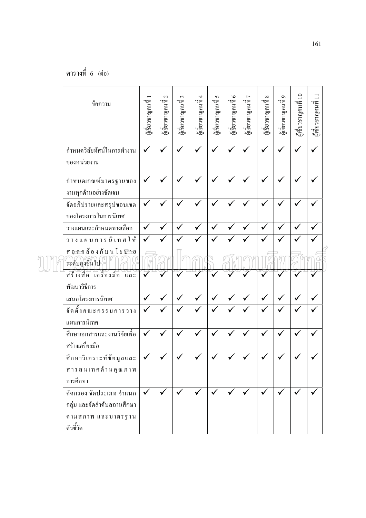| ข้อความ                                                                                  | พี่เชียวชาญคนที่ | $\mathcal{L}$<br>ซูเชียวชาญคนที่ | $\epsilon$<br>มล่องกฤคนที่ | ษ สีเขียวชาญคนที่ 4 | $\sigma$<br>มล่องกฤดเหนื่ | มูเชียวชาญคนที่ 6<br>ผู้เชียวชาญคนที่ 6 | $\overline{ }$<br>มล่องกฤคนที่ | $\infty$<br>น<br>ผู้เชียวชาญคนที่ | $\mathbf{\Omega}$<br>มู่สื่ยวชาญคนที่ | ชูเชี่ยวชาญคนที่ 10 | $\equiv$<br>น<br>ผู้เชียวชาญคนที่ |
|------------------------------------------------------------------------------------------|------------------|----------------------------------|----------------------------|---------------------|---------------------------|-----------------------------------------|--------------------------------|-----------------------------------|---------------------------------------|---------------------|-----------------------------------|
| กำหนดวิสัยทัศน์ในการทำงาน<br>ของหน่วยงาน                                                 | $\checkmark$     |                                  | $\checkmark$               |                     |                           |                                         |                                | ✓                                 |                                       |                     |                                   |
| กำหนดเกณฑ์มาตรฐานของ<br>งานทุกค้านอย่างชัดเจน                                            | $\checkmark$     | $\checkmark$                     | $\checkmark$               |                     |                           |                                         |                                | $\checkmark$                      | $\checkmark$                          | ✔                   |                                   |
| จัดอภิปรายและสรุปขอบเขต<br>ของโครงการในการนิเทศ                                          | $\checkmark$     |                                  | $\checkmark$               |                     |                           |                                         |                                |                                   |                                       | ✔                   |                                   |
| วางแผนและกำหนดทางเลือก                                                                   | $\checkmark$     | $\checkmark$                     | $\checkmark$               | ✓                   | ✓                         | ✓                                       | $\checkmark$                   | $\checkmark$                      | $\checkmark$                          | $\checkmark$        | $\checkmark$                      |
| วางแผนการนิเทศให้                                                                        | $\checkmark$     |                                  |                            |                     |                           |                                         |                                |                                   |                                       |                     |                                   |
| สอดคล้องกับนโยบิวย<br>ระดับสูงชื้นไป                                                     |                  |                                  |                            |                     |                           |                                         |                                |                                   |                                       |                     |                                   |
| สร้างสือ เครื่องมือ และ                                                                  |                  |                                  |                            |                     |                           |                                         |                                |                                   |                                       |                     |                                   |
| พัฒนาวิธีการ                                                                             |                  |                                  |                            |                     |                           |                                         |                                |                                   |                                       |                     |                                   |
| เสนอโครงการนิเทศ                                                                         | $\checkmark$     | $\checkmark$                     | $\checkmark$               | $\checkmark$        | $\checkmark$              | $\checkmark$                            | $\checkmark$                   | $\checkmark$                      | $\checkmark$                          | $\checkmark$        | $\checkmark$                      |
| ____<br>จัดตั้งคณะกรรมการวาง<br>แผนการนิเทศ                                              | $\checkmark$     |                                  |                            |                     |                           |                                         |                                | $\checkmark$                      |                                       |                     |                                   |
| ศึกษาเอกสารและงานวิจัยเพื่อ<br>สร้างเครื่องมือ                                           | $\checkmark$     |                                  |                            |                     |                           |                                         |                                |                                   |                                       |                     |                                   |
| ศึกษาวิเคราะห์ข้อมูลและ<br>สารสนเทศด้านคุณภาพ<br>การศึกษา                                | ✓                |                                  |                            |                     |                           |                                         |                                | ✓                                 | ✔                                     | $\checkmark$        | $\checkmark$                      |
| คัดกรอง จัดประเภท จำแนก<br>กลุ่ม และจัดลำดับสถานศึกษา<br>ตามสภาพ และมาตรฐาน<br>ตัวชี้วัด | $\checkmark$     |                                  | $\checkmark$               |                     |                           |                                         |                                |                                   |                                       |                     |                                   |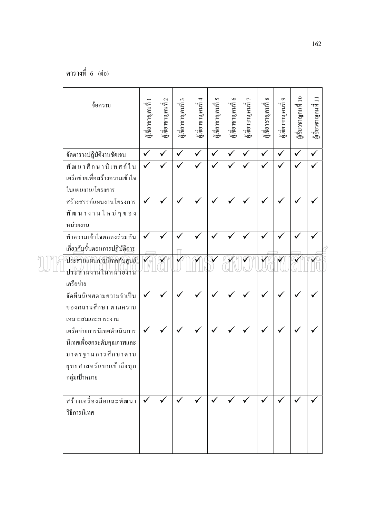| ข้อความ                                          | นเชียวชาญคนที่ 1 | $\mathcal{L}$<br>ะ<br>ผู้เชียวชาญคนที่ | นเชียวชาญคนที่ 3 | ะ สีเขียวชาญคนที่ 4 | ผู้เชียวชาญคนที่ 5 | มู่<br>ผู้เชี่ยวชาญคนที่ 6 | ผู้เชียวชาญคนที่ 7 | $\infty$<br>y ส่<br>ผู้เชียวชาญคนที | $\sigma$<br>น<br>ผู้เชียวชาญคนที่ | ะส่งขวชาญคนที่ 10 | นเชียวชาญคนที่ 11 |
|--------------------------------------------------|------------------|----------------------------------------|------------------|---------------------|--------------------|----------------------------|--------------------|-------------------------------------|-----------------------------------|-------------------|-------------------|
| จัดตารางปฏิบัติงานชัดเจน                         | $\checkmark$     | $\checkmark$                           | $\checkmark$     | $\checkmark$        | $\checkmark$       | $\checkmark$               | $\checkmark$       | $\checkmark$                        | $\checkmark$                      | $\checkmark$      | $\checkmark$      |
| __<br>พัฒนาศึกษานิเทศก์ใน                        | $\checkmark$     |                                        |                  |                     |                    |                            |                    |                                     |                                   |                   |                   |
| เครือข่ายเพื่อสร้างความเข้าใจ                    |                  |                                        |                  |                     |                    |                            |                    |                                     |                                   |                   |                   |
| ในแผนงาน/โครงการ                                 |                  |                                        |                  |                     |                    |                            |                    |                                     |                                   |                   |                   |
| สร้างสรรค์แผนงานโครงการ                          | $\checkmark$     |                                        |                  |                     |                    |                            |                    |                                     |                                   |                   |                   |
| พัฒนางานใหม่ๆของ                                 |                  |                                        |                  |                     |                    |                            |                    |                                     |                                   |                   |                   |
| หน่วยงาน                                         |                  |                                        |                  |                     |                    |                            |                    |                                     |                                   |                   |                   |
| ทำความเข้าใจตกลงร่วมกัน                          | $\checkmark$     | $\checkmark$                           | $\checkmark$     |                     |                    |                            |                    |                                     |                                   | $\checkmark$      |                   |
| เกี่ย <u>วกับ</u> ขั้นตอนการปฏิบัติ <u>การ</u>   |                  |                                        |                  |                     |                    |                            |                    |                                     |                                   |                   |                   |
| ประสานแผนการนิเทศกับศูนย์<br>ประสานงานในหน่วยงาน |                  |                                        |                  |                     |                    |                            |                    |                                     |                                   |                   |                   |
| เครือข่าย                                        |                  |                                        |                  |                     |                    |                            |                    |                                     |                                   |                   |                   |
| จัดทีมนิเทศตามความจำเป็น                         | $\checkmark$     | $\checkmark$                           | $\checkmark$     |                     |                    |                            |                    | ✓                                   |                                   |                   |                   |
| ของสถานศึกษา ตามความ                             |                  |                                        |                  |                     |                    |                            |                    |                                     |                                   |                   |                   |
| เหมาะสมและภาระงาน                                |                  |                                        |                  |                     |                    |                            |                    |                                     |                                   |                   |                   |
| เครือข่ายการนิเทศดำเนินการ                       | $\checkmark$     |                                        | $\checkmark$     |                     |                    |                            |                    | $\checkmark$                        |                                   | $\checkmark$      | ✓                 |
| นิเทศเพื่อยกระดับกุณภาพและ                       |                  |                                        |                  |                     |                    |                            |                    |                                     |                                   |                   |                   |
| มาตรฐานการศึกษาตาม                               |                  |                                        |                  |                     |                    |                            |                    |                                     |                                   |                   |                   |
| ยุทธศาสตร์แบบเข้าถึงทุก                          |                  |                                        |                  |                     |                    |                            |                    |                                     |                                   |                   |                   |
| กลุ่มเป้าหมาย                                    |                  |                                        |                  |                     |                    |                            |                    |                                     |                                   |                   |                   |
| สร้างเครื่องมือและพัฒนา                          | $\checkmark$     | $\checkmark$                           | $\checkmark$     |                     | $\checkmark$       | $\checkmark$               |                    | $\checkmark$                        |                                   |                   |                   |
| วิธีการนิเทศ                                     |                  |                                        |                  |                     |                    |                            |                    |                                     |                                   | $\checkmark$      | $\checkmark$      |
|                                                  |                  |                                        |                  |                     |                    |                            |                    |                                     |                                   |                   |                   |
|                                                  |                  |                                        |                  |                     |                    |                            |                    |                                     |                                   |                   |                   |
|                                                  |                  |                                        |                  |                     |                    |                            |                    |                                     |                                   |                   |                   |
|                                                  |                  |                                        |                  |                     |                    |                            |                    |                                     |                                   |                   |                   |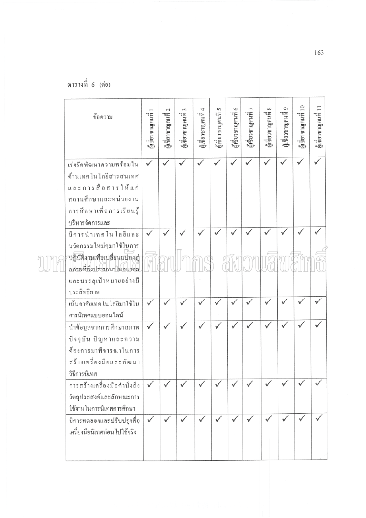ตารางที่ 6 (ต่อ)

 $\bar{z}$ 

| ข้อความ                                                                                                                                        | ผู้เชี่ยวชาญคนที่ | $\mathcal{L}$<br>ผู้เชียวชาญคนที่ | ผู้เชี่ยวชาญคนที่ 3 | ผู้เชี่ยวชาญคนที่ 4 | ผู้เชี่ยวชาญคนที่ 5 | ผู้เชี่ยวชาญคนที่ 6 | ผู้เชี่ยวชาญคนที่ 7 | ${}^{\infty}$<br>มู่ส่ววชาญคนที่ | ผู้เชียวชาญคนที่ 9 | ะผู้ชื่อวชาญคนที่ 10 | ผู้เชียวชาญคนที่ 11 |
|------------------------------------------------------------------------------------------------------------------------------------------------|-------------------|-----------------------------------|---------------------|---------------------|---------------------|---------------------|---------------------|----------------------------------|--------------------|----------------------|---------------------|
| เร่งรัคพัฒนาความพร้อมใน<br>ด้านเทคโนโลยีสารสนเทศ<br>และการสื่อสารให้แก่<br>สถานศึกษาและหน่วยงาน<br>การศึกษาเพื่อการเรียนรู้<br>บริหารจัดการและ | $\checkmark$      |                                   | ✓                   | $\checkmark$        | ✓                   | ✓                   |                     |                                  |                    |                      |                     |
| มีการนำเทคโนโลยีและ<br>นวัตกรรมใหม่ๆมาใช้ในการ<br>ปฏิบัติภาพเพื่อเปลี่ยนแปลงสู่<br>สภาพที่พึงปรารถนาในอนาคต                                    | $\checkmark$      |                                   |                     |                     | ✓                   |                     |                     |                                  |                    |                      |                     |
| และบรรลุเป้าหมายอย่างมี<br>ประสิทธิภาพ                                                                                                         |                   |                                   |                     |                     |                     |                     |                     |                                  |                    |                      |                     |
| เน้นอาศัยเทคโนโลยีมาใช้ใน<br>การนิเทศแบบออนไลน์                                                                                                |                   |                                   |                     |                     |                     |                     |                     |                                  |                    |                      |                     |
| นำข้อมูลจากการศึกษาสภาพ<br>ปัจจุบัน ปัญหาและความ<br>ค้องการมาพิจารณาในการ<br>สร้างเครื่องมือและพัฒนา<br>วิธีการนิเทศ                           |                   |                                   |                     |                     | ✓                   |                     | $\checkmark$        |                                  |                    |                      |                     |
| การสร้างเครื่องมือคำนึงถึง<br>วัตถุประสงค์และลักษณะการ<br>ใช้งานในการนิเทศการศึกษา                                                             |                   |                                   |                     |                     |                     |                     |                     |                                  |                    |                      |                     |
| มีการทดลองและปรับปรุงสื่อ<br>เครื่องมือนิเทศก่อนไปใช้จริง                                                                                      |                   |                                   |                     |                     |                     |                     |                     |                                  |                    |                      |                     |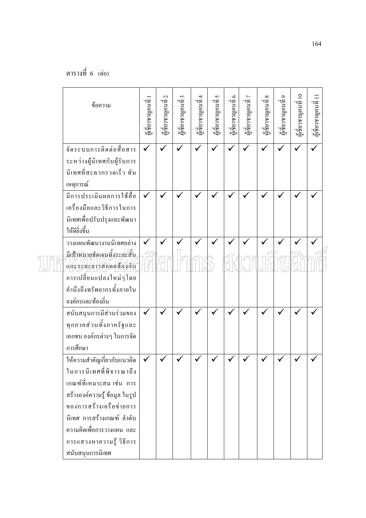| ข้อความ                                                                                                                                                                                                                                                  | ซูเชียวชาญคนที่ | $\mathbf{c}$<br>ะ<br>ผู้เชียวชาญคนที | ะ ผู้ยวชาญคนที่ 3 | ะ สีเขียวชาญคนที่ 4 | ะ คีนด <sub>ี</sub><br>ผู้เขียวชาญคนที่ 5 | ผู้เชียวชาญคนที่ 6 | ะ ก็เทยวชาญคนที่ 7 | $\infty$<br>ะ ส่<br>ผู้เชียวชาญคนที | $\sigma$<br>น<br>ผู้เชียวชาญคนที่ | ะ สีเขียวชาญคนที่ 10 | มูเชี่ยวชาญคนที่ 11 |
|----------------------------------------------------------------------------------------------------------------------------------------------------------------------------------------------------------------------------------------------------------|-----------------|--------------------------------------|-------------------|---------------------|-------------------------------------------|--------------------|--------------------|-------------------------------------|-----------------------------------|----------------------|---------------------|
| จัคระบบการติดต่อสื่อสาร<br>ระหว่างผู้นิเทศกับผู้รับการ<br>นิเทศที่สะควกรวดเร็ว ทัน<br>เหตุการณ์                                                                                                                                                          | $\checkmark$    | $\checkmark$                         | $\checkmark$      | $\checkmark$        | ✓                                         |                    |                    | $\checkmark$                        |                                   | $\checkmark$         | $\checkmark$        |
| มีการประเมินผลการใช้สื่อ<br>เครื่องมือและวิธีการในการ<br>นิเทศเพื่อปรับปรุงและพัฒนา<br>ให้ดียิ่งขึ้น                                                                                                                                                     | $\checkmark$    |                                      |                   |                     |                                           |                    |                    |                                     |                                   |                      |                     |
| วางแผนพัฒนางานนิเทศอย่าง<br>มีเป้าหมายชัดเจนทั้งระยะสั้น<br>และระยะยาวสอดคล้องกับ<br>การเปลี่ยนแปลงใหม่ๆโดย<br>คำนึงถึงทรัพยากรทั้งภายใน<br>องค์กรและท้องถิ่น                                                                                            |                 |                                      |                   |                     |                                           |                    |                    |                                     |                                   |                      |                     |
| สนับสนุนการมีส่วนร่วมของ<br>ทุกภาคส่วนทั้งภาครัฐและ<br>เอกชน องค์กรต่างๆ ในการจัด<br>การศึกษา                                                                                                                                                            |                 |                                      |                   |                     |                                           |                    |                    |                                     |                                   |                      |                     |
| ให้ความสำคัญเกี่ยวกับแนวคิด<br>ในการนิเทศที่พิจารณาถึง<br>เกณฑ์ที่เหมาะสม เช่น การ<br>สร้างองค์ความรู้ ข้อมูล ในรูป<br>ของการสร้างเครือข่ายการ<br>นิเทศ การสร้างเกณฑ์ ลำดับ<br>ความคิดเพื่อการวางแผน และ<br>การแสวงหาความรู้ วิธีการ<br>สนับสนุนการนิเทศ |                 |                                      |                   |                     |                                           |                    |                    |                                     |                                   |                      |                     |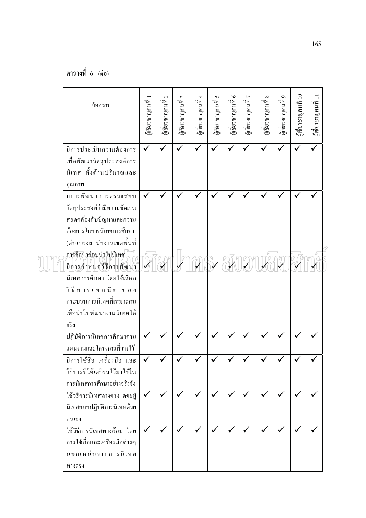| มีการประเมินความต้องการ<br>$\checkmark$<br>$\checkmark$<br>$\checkmark$<br>$\checkmark$<br>$\checkmark$<br>✓<br>✓<br>$\checkmark$<br>$\checkmark$<br>$\checkmark$<br>เพื่อพัฒนาวัตถุประสงค์การ<br>นิเทศ ทั้งด้านปริมาณและ<br>คุณภาพ<br>มีการพัฒนา การตรวจสอบ<br>✓<br>วัตถุประสงค์ว่ามีความชัดเจน<br>สอดกล้องกับปัญหาและความ<br>ต้องการในการนิเทศการศึกษา<br>(ต่อ)ของสำนักงานเขตพื้นที่<br>การศึกษาก่อนนำไปนิเทศ<br>มีการกำหนดวิธีการพัฒนา<br>นิเทศการศึกษา โดยใช้เลือก<br>วิธีการเทคนิค ของ<br><sub>กระบวนการนิเทศที่เหมาะสม</sub><br>้เพื่อนำไปพัฒนางานนิเทศได้<br>จริง<br>ปฏิบัติการนิเทศการศึกษาตาม<br>$\checkmark$<br>แผนงานและโครงการที่วางไว้<br>มีการใช้สื่อ เครื่องมือ และ<br>วิธีการที่ได้เตรียมไว้มาใช้ใน |
|---------------------------------------------------------------------------------------------------------------------------------------------------------------------------------------------------------------------------------------------------------------------------------------------------------------------------------------------------------------------------------------------------------------------------------------------------------------------------------------------------------------------------------------------------------------------------------------------------------------------------------------------------------------------------------------------------------------------|
|                                                                                                                                                                                                                                                                                                                                                                                                                                                                                                                                                                                                                                                                                                                     |
|                                                                                                                                                                                                                                                                                                                                                                                                                                                                                                                                                                                                                                                                                                                     |
|                                                                                                                                                                                                                                                                                                                                                                                                                                                                                                                                                                                                                                                                                                                     |
|                                                                                                                                                                                                                                                                                                                                                                                                                                                                                                                                                                                                                                                                                                                     |
|                                                                                                                                                                                                                                                                                                                                                                                                                                                                                                                                                                                                                                                                                                                     |
|                                                                                                                                                                                                                                                                                                                                                                                                                                                                                                                                                                                                                                                                                                                     |
|                                                                                                                                                                                                                                                                                                                                                                                                                                                                                                                                                                                                                                                                                                                     |
|                                                                                                                                                                                                                                                                                                                                                                                                                                                                                                                                                                                                                                                                                                                     |
|                                                                                                                                                                                                                                                                                                                                                                                                                                                                                                                                                                                                                                                                                                                     |
|                                                                                                                                                                                                                                                                                                                                                                                                                                                                                                                                                                                                                                                                                                                     |
|                                                                                                                                                                                                                                                                                                                                                                                                                                                                                                                                                                                                                                                                                                                     |
|                                                                                                                                                                                                                                                                                                                                                                                                                                                                                                                                                                                                                                                                                                                     |
|                                                                                                                                                                                                                                                                                                                                                                                                                                                                                                                                                                                                                                                                                                                     |
|                                                                                                                                                                                                                                                                                                                                                                                                                                                                                                                                                                                                                                                                                                                     |
|                                                                                                                                                                                                                                                                                                                                                                                                                                                                                                                                                                                                                                                                                                                     |
|                                                                                                                                                                                                                                                                                                                                                                                                                                                                                                                                                                                                                                                                                                                     |
|                                                                                                                                                                                                                                                                                                                                                                                                                                                                                                                                                                                                                                                                                                                     |
|                                                                                                                                                                                                                                                                                                                                                                                                                                                                                                                                                                                                                                                                                                                     |
|                                                                                                                                                                                                                                                                                                                                                                                                                                                                                                                                                                                                                                                                                                                     |
| การนิเทศการศึกษาอย่างจริงจัง                                                                                                                                                                                                                                                                                                                                                                                                                                                                                                                                                                                                                                                                                        |
| ใช้วธิการนิเทศทางตรง ดดยผู้<br>$\checkmark$<br>$\checkmark$<br>$\checkmark$<br>$\checkmark$<br>$\checkmark$<br>✓                                                                                                                                                                                                                                                                                                                                                                                                                                                                                                                                                                                                    |
| นิเทศออกปฏิบัติการนิเทษด้วย                                                                                                                                                                                                                                                                                                                                                                                                                                                                                                                                                                                                                                                                                         |
|                                                                                                                                                                                                                                                                                                                                                                                                                                                                                                                                                                                                                                                                                                                     |
| ตนเอง<br>ใช้วิธีการนิเทศทางอ้อม โดย<br>$\checkmark$<br>✓<br>✓<br>✔<br>✔                                                                                                                                                                                                                                                                                                                                                                                                                                                                                                                                                                                                                                             |
| การใช้สื่อและเครื่องมือต่างๆ                                                                                                                                                                                                                                                                                                                                                                                                                                                                                                                                                                                                                                                                                        |
| นอกเหนือจากการนิเทศ                                                                                                                                                                                                                                                                                                                                                                                                                                                                                                                                                                                                                                                                                                 |
| ทางตรง                                                                                                                                                                                                                                                                                                                                                                                                                                                                                                                                                                                                                                                                                                              |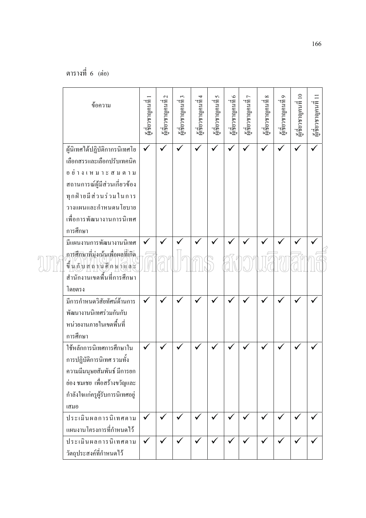| ข้อความ                                                                                                                                                                                                  | ผู้เชียวชาญคนจี | $\mathcal{L}$<br>พี่<br>ผู้เชียวชาญคนที | ะ ที่ยวชาญคนที่ 3 | ะ สีเขียวชาญคนที่ 4 | ะ โงเทยวารบุคน คี | ผู้เขียวชาญคนคี่ 6 | ะ ก็เทอโอเวอร์<br>พ | $\infty$<br>ะ<br>ผู้เชียวชาญคนที | $\sigma$<br>นูเชียวชาญคนที่ | ะเชียวชาญคนที่ 10 | นเชียวชาญคนที่ 11 |
|----------------------------------------------------------------------------------------------------------------------------------------------------------------------------------------------------------|-----------------|-----------------------------------------|-------------------|---------------------|-------------------|--------------------|---------------------|----------------------------------|-----------------------------|-------------------|-------------------|
| ผู้นิเทศได้ปฏิบัติกากรนิเทศโย<br>เลือกสรรและเลือกปรับเทคนิค<br>อย่างเหมาะสมตาม<br>สถานการณ์ผู้มีส่วนเกี่ยวข้อง<br>ทุกฝ่ายมีส่วนร่วมในการ<br>วางแผนและกำหนดนโยบาย<br>เพื่อการพัฒนางานการนิเทศ<br>การศึกษา | $\checkmark$    | $\checkmark$                            | $\checkmark$      | ✓                   | $\checkmark$      | ✓                  | $\checkmark$        | $\checkmark$                     |                             | $\checkmark$      | $\checkmark$      |
| มีแผนงานการพัฒนางานนิเทศ<br>การศึกษาที่มุ่งเน้นเพื่อผลที่เกิด<br>ขึ้นกับสถานศึกษาและ<br>สำนักงานเขตพื้นที่การศึกษา<br>โดยตรง                                                                             |                 |                                         |                   |                     |                   |                    |                     |                                  |                             |                   |                   |
| มีการกำหนดวิสัยทัศน์ค้านการ<br>พัฒนางานนิเทศร่วมกันกับ<br>หน่วยงานภายในเขตพื้นที่<br>การศึกษา                                                                                                            | $\checkmark$    |                                         |                   |                     |                   |                    |                     |                                  |                             |                   |                   |
| ใช้หลักการนิเทศการศึกษาใน<br>ึการปฏิบัติการนิเทศ รวมทั้ง<br>ความมีมนุษยสัมพันธ์ มีการยก<br>ย่อง ชมเชย เพื่อสร้างขวัญและ<br>กำลังใจแก่ครูผู้รับการนิเทศอยู่<br>เสมอ                                       |                 |                                         |                   |                     |                   |                    |                     |                                  |                             |                   |                   |
| ประเมินผลการนิเทศตาม<br>แผนงานโครงการที่กำหนดไว้                                                                                                                                                         | $\checkmark$    | $\checkmark$                            | $\checkmark$      | $\checkmark$        | $\checkmark$      | $\checkmark$       | $\checkmark$        | $\checkmark$                     | $\checkmark$                | $\checkmark$      |                   |
| ประเมินผลการนิเทศตาม<br>วัตถุประสงค์ที่กำหนดไว้                                                                                                                                                          | $\checkmark$    |                                         | ✓                 |                     |                   | ✓                  |                     | $\checkmark$                     | ✓                           | ✓                 |                   |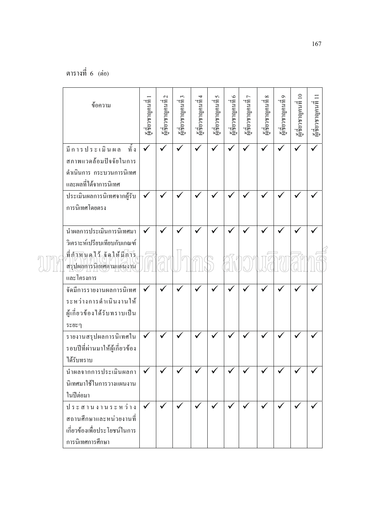| ข้อความ                                                                                               | ผู้เชียวชาญคนที่ 1 | $\mathbf{C}$<br>ผู้เชียวชาญคนที่ | $\mathfrak{c}$<br>มู่ส์ยวชาญคนที่ | น<br>ผู้เชี่ยวชาญคนที่ 4 | $\mathbf{\hat{S}}$<br>น<br>ผู้เชียวชาญคนที่ | น<br>ผู้เชียวชาญคนที่ 6 | ผู้เชียวชาญคนที่ 7 | $\infty$<br>นเชียวชาญคนที่ | $\sigma$<br>ผู้เชียวชาญคนที | ะสีเขียวชาญคนที่ 10 | นเชียวชาญคนที่ 11 |  |
|-------------------------------------------------------------------------------------------------------|--------------------|----------------------------------|-----------------------------------|--------------------------|---------------------------------------------|-------------------------|--------------------|----------------------------|-----------------------------|---------------------|-------------------|--|
| ทั้ง<br>มีการประเมินผล<br>สภาพแวดล้อมปัจจัยในการ<br>คำเนินการ กระบวนการนิเทศ<br>และผลที่ได้จาการนิเทศ | $\checkmark$       |                                  |                                   |                          |                                             |                         |                    |                            |                             |                     |                   |  |
| ประเมินผลการนิเทศจากผู้รับ<br>การนิเทศโดยตรง                                                          | $\checkmark$       |                                  |                                   |                          |                                             |                         |                    |                            |                             |                     |                   |  |
| นำผลการประเมินการนิเทศมา<br>วิเคราะห์เปรียบเทียบกับเกณฑ์                                              |                    |                                  |                                   |                          |                                             |                         |                    |                            |                             |                     |                   |  |
| ที่กำหนดใว้ จัดให้มีการ<br>สรุปผลการนิเทศตามแผนงาน<br>และโครงการ                                      |                    |                                  |                                   |                          |                                             |                         |                    |                            |                             |                     |                   |  |
| จัดมีการรายงานผลการนิเทศ<br>ระหว่างการคำเนินงานให้<br>ผู้เกี่ยวข้องใด้รับทราบเป็น<br>ระยะๆ            |                    |                                  |                                   |                          |                                             |                         |                    |                            |                             |                     |                   |  |
| รายงานสรุปผลการนิเทศใน<br>รอบปีที่ผ่านมาให้ผู้เกี่ยวข้อง<br>ได้รับทราบ                                | $\checkmark$       |                                  |                                   |                          |                                             |                         |                    |                            |                             |                     | $\checkmark$      |  |
| นำผลจากการประเมินผลกา<br>นิเทศมาใช้ในการวางแผนงาน<br>ในปีต่อมา                                        | $\checkmark$       |                                  |                                   |                          |                                             |                         |                    |                            |                             |                     |                   |  |
| ประสานงานระหว่าง<br>ิสถานศึกษาและหน่วยงานที่<br>เกี่ยวข้องเพื่อประโยชน์ในการ<br>การนิเทศการศึกษา      | $\checkmark$       | $\checkmark$                     | $\checkmark$                      | $\checkmark$             | $\checkmark$                                | $\checkmark$            | $\checkmark$       | $\checkmark$               | $\checkmark$                | $\checkmark$        | v                 |  |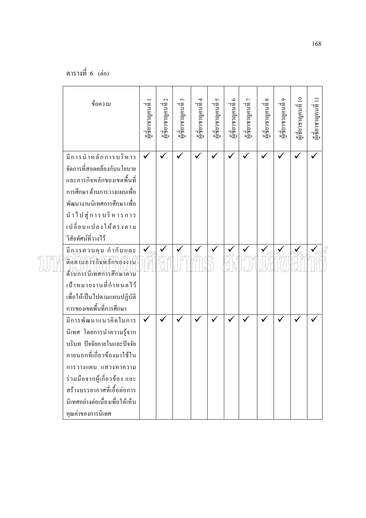ตารางที่ 6 (ต่อ)

| ข้อความ                                           | นเชียวชาญคนที่ | ะ ศีเขียวชาญคนที่ 2 | ะ ที่ยวชาญคนที่ 3 | ษ สีเขียวชาญคนที่ 4 | ษ สี่ยวชาญคนที่ 5 | นลี่ยวชาญคนที่ 6 | ผู้เชี่ยวชาญคนที่ 7 | $\infty$<br>น<br>ผู้เชียวชาญคนที่ | $\sigma$<br>ะ สู่<br>ผู้เชียวชาญคนที่ | ะ สีเขียวชาญคนที่ 10 | มูส่อวชาญคนที่ 11 |  |
|---------------------------------------------------|----------------|---------------------|-------------------|---------------------|-------------------|------------------|---------------------|-----------------------------------|---------------------------------------|----------------------|-------------------|--|
| มีการนำหลักการบริหาร                              | $\checkmark$   |                     |                   |                     |                   |                  |                     |                                   |                                       |                      |                   |  |
| จัดการที่สอดคล้องกับนโยบาย                        |                |                     |                   |                     |                   |                  |                     |                                   |                                       |                      |                   |  |
| และภารกิจหลักของเขตพื้นที่                        |                |                     |                   |                     |                   |                  |                     |                                   |                                       |                      |                   |  |
| การศึกษา ด้านการวางแผนเพื่อ                       |                |                     |                   |                     |                   |                  |                     |                                   |                                       |                      |                   |  |
| พัฒนางานนิเทศการศึกษา เพื่อ                       |                |                     |                   |                     |                   |                  |                     |                                   |                                       |                      |                   |  |
| นำไปสู่ การบริหารการ                              |                |                     |                   |                     |                   |                  |                     |                                   |                                       |                      |                   |  |
| เปลี่ยนแปลงให้ตรงตาม                              |                |                     |                   |                     |                   |                  |                     |                                   |                                       |                      |                   |  |
| วิสัยทัศน์ที่วางไว้                               |                |                     |                   |                     |                   |                  |                     |                                   |                                       |                      |                   |  |
| มีก <u>าร</u> ควบคุม กำกับ <u>แล</u> ะ            |                |                     |                   |                     |                   |                  |                     |                                   |                                       |                      |                   |  |
| ดิคคามภารกิจหลักของงาน<br>ค้านการนิเทศการศึกษาตาม |                |                     |                   |                     |                   |                  |                     |                                   |                                       |                      |                   |  |
| เป้าหมายงานที่กำหนดใว้                            |                |                     |                   |                     |                   |                  |                     |                                   |                                       |                      |                   |  |
| เพื่อให้เป็นไปตามแผนปฏิบัติ                       |                |                     |                   |                     |                   |                  |                     |                                   |                                       |                      |                   |  |
| การของเขตพื้นที่การศึกษา                          |                |                     |                   |                     |                   |                  |                     |                                   |                                       |                      |                   |  |
| มีการพัฒนาแนวคิดในการ                             | $\checkmark$   |                     |                   |                     |                   |                  |                     |                                   |                                       |                      |                   |  |
| นิเทศ โดยการนำความรู้จาก                          |                |                     |                   |                     |                   |                  |                     |                                   |                                       |                      |                   |  |
| บริบท ปัจจัยภายในและปัจจัย                        |                |                     |                   |                     |                   |                  |                     |                                   |                                       |                      |                   |  |
| ภายนอกที่เกี่ยวข้องมาใช้ใน                        |                |                     |                   |                     |                   |                  |                     |                                   |                                       |                      |                   |  |
| การวางแผน แสวงหาความ                              |                |                     |                   |                     |                   |                  |                     |                                   |                                       |                      |                   |  |
| ร่วมมือจากผู้เกี่ยวข้อง และ                       |                |                     |                   |                     |                   |                  |                     |                                   |                                       |                      |                   |  |
| สร้างบรรยากาศที่เอื้อต่อการ                       |                |                     |                   |                     |                   |                  |                     |                                   |                                       |                      |                   |  |
| นิเทศอย่างต่อเนื่องเพื่อให้เห็น                   |                |                     |                   |                     |                   |                  |                     |                                   |                                       |                      |                   |  |
| คุณค่าของการนิเทศ                                 |                |                     |                   |                     |                   |                  |                     |                                   |                                       |                      |                   |  |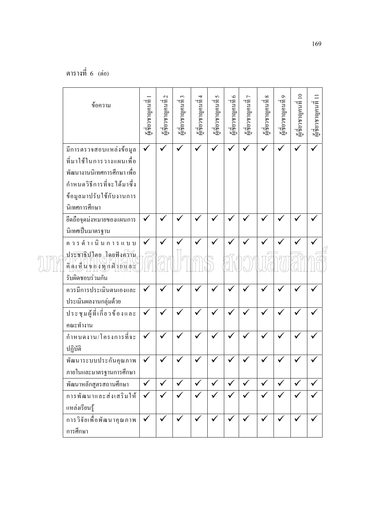| ข้อความ                                                                                                                                                       | ผู้แชียวชาญคนที่ | $\mathcal{L}$<br>ผู้แช้ยวชาญคนที่ | ะ ที่ยวชาญคนที่ 3 | น<br>ผู้เชี่ยวชาญคนที่ 4 | 5<br>นเชียวชาญคนที่ | นเชียวชาญคนที่ 6 | ผู้เชียวชาญคนที่ 7 | $\infty$<br>นี้ยวชาญคนจี | Ó<br>นเชียวชาญคนที่ | นเชียวชาญคนที่ 10 | นเชียวชาญคนที่ 11 |
|---------------------------------------------------------------------------------------------------------------------------------------------------------------|------------------|-----------------------------------|-------------------|--------------------------|---------------------|------------------|--------------------|--------------------------|---------------------|-------------------|-------------------|
| มีการตรวจสอบแหล่งข้อมูล<br>ที่มาใช้ในการวางแผนเพื่อ<br>พัฒนางานนิเทศการศึกษา เพื่อ<br>กำหนดวิธีการที่จะใค้มาซึ่ง<br>ข้อมูลมาปรับใช้กับงานการ<br>นิเทศการศึกษา | $\checkmark$     | $\checkmark$                      | $\checkmark$      | $\checkmark$             | $\checkmark$        | $\checkmark$     | $\checkmark$       | $\checkmark$             | $\checkmark$        |                   |                   |
| ชึดถือจุดม่งหมายของแผนการ                                                                                                                                     | $\checkmark$     |                                   |                   |                          |                     |                  |                    |                          |                     |                   |                   |
| นิเทศเป็นมาตรฐาน<br>ควรคำเนินการแบบ                                                                                                                           | $\checkmark$     |                                   |                   |                          |                     |                  |                    |                          |                     |                   |                   |
| ประชาธิปไตย โดยฟังความ<br>คิดเห็นของทุกฝ่ายและ                                                                                                                |                  |                                   |                   |                          |                     |                  |                    |                          |                     |                   |                   |
| รับผิดชอบร่วมกัน                                                                                                                                              |                  |                                   |                   |                          |                     |                  |                    |                          |                     |                   |                   |
| ควรมีการประเมินตนเองและ<br>ประเมินผลงานกลุ่มด้วย                                                                                                              | $\checkmark$     |                                   |                   |                          |                     |                  |                    |                          |                     |                   |                   |
| ประชุมผู้ที่เกี่ยวข้องและ<br>คณะทำงาน                                                                                                                         | $\checkmark$     |                                   |                   |                          |                     |                  |                    |                          |                     |                   |                   |
| กำหนดงาน/โครงการที่จะ<br>ปฏิบัติ                                                                                                                              | $\checkmark$     | $\checkmark$                      |                   |                          |                     |                  |                    |                          |                     |                   |                   |
| พัฒนาระบบประกันคุณภาพ<br>ภายในและมาตรฐานการศึกษา                                                                                                              |                  |                                   |                   |                          |                     |                  |                    |                          |                     |                   |                   |
| พัฒนาหลักสูตรสถานศึกษา                                                                                                                                        | $\checkmark$     | $\checkmark$                      | $\checkmark$      | $\checkmark$             | $\checkmark$        | $\checkmark$     | $\checkmark$       | $\checkmark$             | $\checkmark$        |                   |                   |
| การพัฒนาและส่งเสริมให้<br>แหล่งเรียนรู้                                                                                                                       | $\checkmark$     | $\checkmark$                      | $\checkmark$      | $\checkmark$             | $\checkmark$        | $\checkmark$     | $\checkmark$       | $\checkmark$             | ✓                   |                   |                   |
| การวิจัยเพื่อพัฒนาคุณภาพ<br>การศึกษา                                                                                                                          | $\checkmark$     | $\checkmark$                      | $\checkmark$      |                          | $\checkmark$        | $\checkmark$     |                    |                          | $\checkmark$        |                   |                   |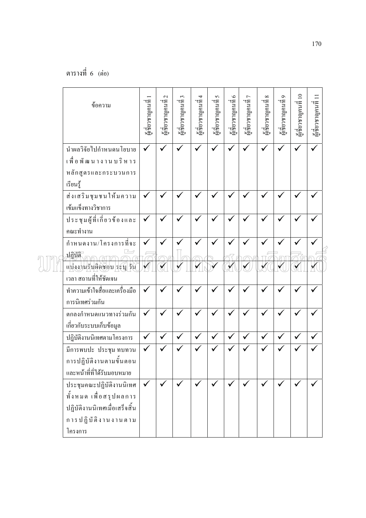| ข้อความ                                                                                                               | ผู้เชียวชาญคนที่ | ะ ศึกษาจาญคนที่ 2 | ะ ที่เขาชาญคนที่ 3 | ะ สีเขียวชาญคนที่ 4 | ผู้เชียวชาญคนที่ 5 | มู่เชียวชาญคนที่ 6 | ผู้เชียวชาญคนที่ 7 | $\infty$<br>ะ สู่<br>ผู้เชียวชาญคนที | นเชียวชาญคนที่ 9 | ะสี่ยวชาญคนที่ 10 | นเชียวชาญคนที่ 11 |
|-----------------------------------------------------------------------------------------------------------------------|------------------|-------------------|--------------------|---------------------|--------------------|--------------------|--------------------|--------------------------------------|------------------|-------------------|-------------------|
| นำผลวิจัยไปกำหนดนโยบาย<br>เพื่อพัฒนางานบริหาร<br>หลักสูตรและกระบวนการ<br>เรียนรู้                                     | $\checkmark$     |                   |                    |                     |                    |                    |                    |                                      |                  |                   |                   |
| ส่งเสริมชุมชนให้มความ<br>เข้มแข็งทางวิชาการ                                                                           | $\checkmark$     | $\checkmark$      |                    |                     |                    |                    |                    |                                      |                  |                   |                   |
| ประชุมผู้ที่เกี่ยวข้องและ<br>คณะทำงาน                                                                                 | $\checkmark$     |                   |                    |                     |                    |                    |                    |                                      |                  |                   |                   |
| กำหนดงาน/โครงการที่จะ                                                                                                 | $\checkmark$     |                   |                    |                     |                    |                    |                    |                                      |                  |                   |                   |
| ปฏิบัติ<br>แบ่งงานรับผิดชอบ ระบุ วัน                                                                                  | $\checkmark$     | $\mathbf{V}$      |                    |                     |                    |                    |                    |                                      |                  |                   |                   |
| เวลา สถานที่ให้ชัดเจน                                                                                                 |                  |                   |                    |                     |                    |                    |                    |                                      |                  |                   |                   |
| ทำความเข้าใจสื่อและเครื่องมือ<br>การนิเทศร่วมกัน                                                                      | $\checkmark$     |                   |                    |                     |                    |                    |                    |                                      |                  |                   |                   |
| ตกลงกำหนดแนวทางร่วมกัน<br>เกี่ยวกับระบบเก็บข้อมูล                                                                     | $\checkmark$     | $\checkmark$      |                    |                     |                    |                    |                    |                                      |                  |                   |                   |
| ปฏิบัติงานนิเทศตามโครงการ                                                                                             | $\checkmark$     | $\checkmark$      | $\checkmark$       | $\checkmark$        | $\checkmark$       | $\checkmark$       | $\checkmark$       | $\checkmark$                         | $\checkmark$     | ✔                 |                   |
| มีการพบปะ ประชุม ทบทวน<br>การปฏิบัติงานตามขั้นตอน<br>และหน้าที่ที่ได้รับมอบหมาย                                       | ✓                |                   |                    |                     |                    |                    |                    |                                      |                  |                   |                   |
| ประชุมคณะปฏิบัติงานนิเทศ<br>ทั้งหมด เพื่อสรุปผลการ<br>ปฏิบัติงานนิเทศเมื่อเสร็จสิ้น<br>การปฏิบัติงานงานตาม<br>โครงการ | $\checkmark$     | $\checkmark$      | $\checkmark$       |                     | $\checkmark$       |                    | $\checkmark$       | $\checkmark$                         | $\checkmark$     |                   |                   |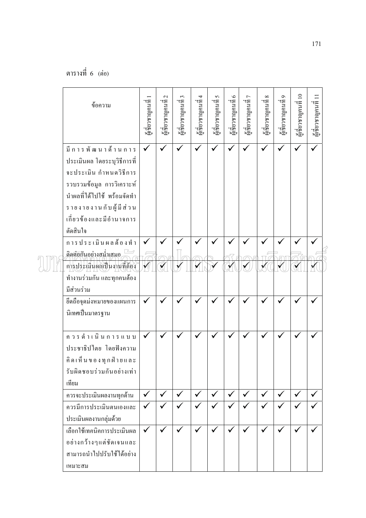| ข้อความ                     | ซูเชียวชาญคนที่ | $\mathbf{c}$<br>ะ ส่<br>ผู้เชียวชาญคนที | ะ ที่ยวชาญคนที่ 3 | ะ สีเขียวชาญคนที่ 4 | น<br>ผู้เชี่ยวชาญคนที่ 5 | ผู้เชียวชาญคนที่ 6 | นเชียวชาญคนที่ 7 | $\infty$<br>ะ<br>ผู้เชียวชาญคนที่ | $\sigma$<br>นเชียวชาญคนที่ | ชูเชี่ยวชาญคนที่ 10 | มเชียวชาญคนที่ 11 |  |
|-----------------------------|-----------------|-----------------------------------------|-------------------|---------------------|--------------------------|--------------------|------------------|-----------------------------------|----------------------------|---------------------|-------------------|--|
| มีการพัฒนาด้านการ           | $\checkmark$    | $\checkmark$                            | $\checkmark$      | ✓                   | $\checkmark$             | ✓                  | $\checkmark$     | $\checkmark$                      |                            | $\checkmark$        | $\checkmark$      |  |
| ประเมินผล โดยระบุวิธีการที่ |                 |                                         |                   |                     |                          |                    |                  |                                   |                            |                     |                   |  |
| จะประเมิน กำหนดวิธีการ      |                 |                                         |                   |                     |                          |                    |                  |                                   |                            |                     |                   |  |
| รวบรวมข้อมูล การวิเคราะห์   |                 |                                         |                   |                     |                          |                    |                  |                                   |                            |                     |                   |  |
| นำผลที่ได้ไปใช้ พร้อมจัดทำ  |                 |                                         |                   |                     |                          |                    |                  |                                   |                            |                     |                   |  |
| รายงายงานกับผู้มีส่วน       |                 |                                         |                   |                     |                          |                    |                  |                                   |                            |                     |                   |  |
| เกี่ยวข้องและมีอำนาจการ     |                 |                                         |                   |                     |                          |                    |                  |                                   |                            |                     |                   |  |
| ตัดสินใจ                    |                 |                                         |                   |                     |                          |                    |                  |                                   |                            |                     |                   |  |
| การประเมินผลด้องทำ          |                 |                                         |                   |                     |                          |                    |                  |                                   |                            |                     |                   |  |
| ติดต่อกันอย่างสม่ำเสมอ      |                 |                                         |                   |                     |                          |                    |                  |                                   |                            |                     |                   |  |
| การประเมินผลเป็นงานที่ต้อง  |                 |                                         |                   |                     |                          |                    |                  |                                   |                            |                     |                   |  |
| ทำงานร่วมกัน และทุกคนต้อง   |                 |                                         |                   |                     |                          |                    |                  |                                   |                            |                     |                   |  |
| มีส่วนร่วม                  |                 |                                         |                   |                     |                          |                    |                  |                                   |                            |                     |                   |  |
| ชึดถือจุดม่งหมายของแผนการ   | ✓               |                                         |                   |                     |                          |                    |                  |                                   |                            | ✔                   |                   |  |
| นิเทศเป็นมาตรฐาน            |                 |                                         |                   |                     |                          |                    |                  |                                   |                            |                     |                   |  |
| ควรคำเนินการแบบ             | $\checkmark$    |                                         |                   |                     |                          |                    |                  |                                   |                            |                     |                   |  |
| ประชาธิปไตย โดยฟังความ      |                 |                                         |                   |                     |                          |                    |                  |                                   |                            |                     |                   |  |
| คิดเห็นของทุกฝ่ายและ        |                 |                                         |                   |                     |                          |                    |                  |                                   |                            |                     |                   |  |
| รับผิดชอบร่วมกันอย่างเท่า   |                 |                                         |                   |                     |                          |                    |                  |                                   |                            |                     |                   |  |
| เทียม                       |                 |                                         |                   |                     |                          |                    |                  |                                   |                            |                     |                   |  |
| ควรจะประเมินผลงานทุกค้าน    | $\checkmark$    | $\checkmark$                            | $\checkmark$      | $\checkmark$        | $\checkmark$             | $\checkmark$       | $\checkmark$     | $\checkmark$                      | $\checkmark$               | $\checkmark$        | $\checkmark$      |  |
| ควรมีการประเมินตนเองและ     | $\checkmark$    | $\checkmark$                            | $\checkmark$      | $\checkmark$        | $\checkmark$             | $\checkmark$       |                  | $\checkmark$                      |                            | $\checkmark$        |                   |  |
| ประเมินผลงานกลุ่มด้วย       |                 |                                         |                   |                     |                          |                    |                  |                                   |                            |                     |                   |  |
| เลือกใช้เทคนิคการประเมินผล  | $\checkmark$    | ✓                                       | $\checkmark$      | ✓                   | $\checkmark$             | $\checkmark$       | $\checkmark$     | ✓                                 | ✓                          | ✓                   | $\checkmark$      |  |
| อย่างกว้างๆแต่ชัดเจนและ     |                 |                                         |                   |                     |                          |                    |                  |                                   |                            |                     |                   |  |
| สามารถนำไปปรับใช้ได้อย่าง   |                 |                                         |                   |                     |                          |                    |                  |                                   |                            |                     |                   |  |
| เหมาะสม                     |                 |                                         |                   |                     |                          |                    |                  |                                   |                            |                     |                   |  |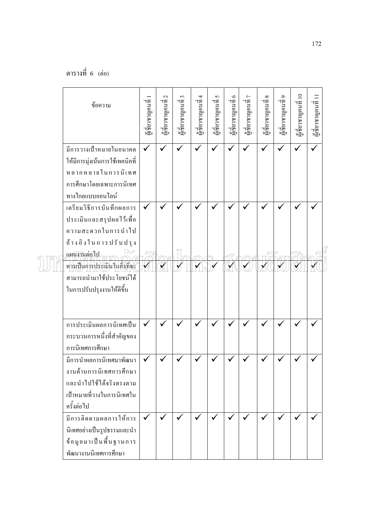| ข้อความ                                                                                                                          | ผู้แข็ยวชาญคนที่ | $\mathcal{L}$<br>ะ<br>ผู้เชียวชาญคนที | ะ ไทยวชาญคนที่ 3 | ะ สีเขียวชาญคนที่ 4 | ซู ส่<br>ผู้เชี่ยวชาญคนที่ 5 | นี้<br>ผู้เชียวชาญคนที่ 6 | น ที่ ยาชาญคนที่ 7 | $\infty$<br>นเชียวชาญคนที่ | Q<br>ซูเชียวชาญคนที่ | ชูเชี่ยวชาญคนที่ 10 | $\Xi$<br>นี้เชียวชาญคนที่ |  |
|----------------------------------------------------------------------------------------------------------------------------------|------------------|---------------------------------------|------------------|---------------------|------------------------------|---------------------------|--------------------|----------------------------|----------------------|---------------------|---------------------------|--|
| มีการวางเป้าหมายในอนาคต<br>ให้มีการมุ่งเน้นการใช้เทคนิคที่<br>หลากหลายในการนิเทศ<br>การศึกษาโดยเฉพาะการนิเทศ<br>ทางใกลแบบออนไลน์ | $\checkmark$     |                                       |                  |                     |                              | ✓                         |                    | $\checkmark$               |                      |                     |                           |  |
| เตรียมวิธีการบันทึกผลการ<br>ประเมินและสรุปผลไว้เพื่อ<br>ความสะควกในการนำไป<br>อ้างอิงในการปรับปรุง<br>แผนงานต่อไป                | $\checkmark$     |                                       |                  |                     |                              |                           |                    |                            |                      |                     |                           |  |
| คารเป็นการประเมินในสิ่งที่จะ<br>สามารถนำมาใช้ประโยชน์ใค้<br>ในการปรับปรุงงานให้ดีขึ้น                                            |                  |                                       |                  |                     |                              |                           |                    |                            |                      |                     |                           |  |
| การประเมินผลการนิเทศเป็น<br>กระบวนการหนึ่งที่สำคัญของ<br>การนิเทศการศึกษา                                                        | $\checkmark$     |                                       |                  |                     |                              |                           |                    |                            |                      |                     |                           |  |
| มีการนำผลการนิเทศมาพัฒนา<br>งานด้านการนิเทศการศึกษา<br>และนำไปใช้ได้จริงตรงตาม<br>เป้าหมายที่วางในการนิเทศใน<br>ครั้งต่อไป       |                  |                                       |                  |                     |                              |                           |                    |                            |                      |                     |                           |  |
| มีการติดตามผลการให้การ<br>นิเทศอย่างเป็นรูปธรรมและนำ<br>ข้อมูลมาเป็นพื้นฐานการ<br>พัฒนางานนิเทศการศึกษา                          | $\checkmark$     | $\checkmark$                          |                  |                     |                              |                           |                    | $\checkmark$               |                      |                     |                           |  |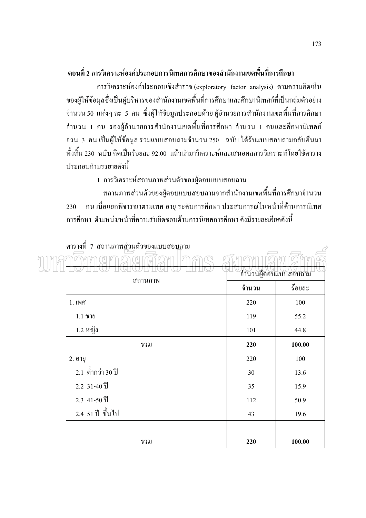#### ี ตอนที่ 2 การวิเคราะห์องค์ประกอบการนิเทศการศึกษาของสำนักงานเขตพื้นที่การศึกษา

การวิเคราะห์องค์ประกอบเชิงสำรวจ (exploratory factor analysis) ตามความคิดเห็น ของผู้ให้ข้อมูลซึ่งเป็นผู้บริหารของสำนักงานเขตพื้นที่การศึกษาและศึกษานิเทศก์ที่เป็นกลุ่มตัวอย่าง ้จำนวน 50 แห่งๆ ละ 5 คน ซึ่งผู้ให้ข้อมูลประกอบด้วย ผู้อำนวยการสำนักงานเขตพื้นที่การศึกษา ้จำนวน 1 คน รองผู้อำนวยการสำนักงานเขตพื้นที่การศึกษา จำนวน 1 คนและศึกษานิเทศก์ จวน 3 คนเป็นผู้ให้ข้อมูล รวมแบบสอบถามจำนวน 250 ฉบับ ได้รับแบบสอบถามกลับคืนมา ้ ทั้งสิ้น 230 ฉบับ คิดเป็นร้อยละ 92.00 แล้วนำมาวิเคราะห์และเสนอผลการวิเคราะห์โดยใช้ตาราง <u> ประกอบคำบรรยายดังนี้</u>

1. การวิเคราะห์สถานภาพส่วนตัวของผู้ตอบแบบสอบถาม

ิสถานภาพส่วนตัวของผู้ตอบแบบสอบถามจากสำนักงานเขตพื้นที่การศึกษาจำนวน ้คน เมื่อแยกพิจารณาตามเพศ อายุ ระดับการศึกษา ประสบการณ์ในหน้าที่ด้านการนิเทศ 230 ้การศึกษา ตำแหน่ง/หน้าที่ความรับผิดชอบด้านการนิเทศการศึกษา ดังมีรายละเกียดดังนี้

| <u>kii 19 17 11   Piering Line Langi and Affinition Deling</u> |       | G<br>จำนวนผู้ตอบแบบสอบถาม |
|----------------------------------------------------------------|-------|---------------------------|
| สถานภาพ                                                        | จำนวน | ร้อยละ                    |
| 1.เพศ                                                          | 220   | 100                       |
| $1.1$ ชาย                                                      | 119   | 55.2                      |
| 1.2 หญิง                                                       | 101   | 44.8                      |
| รวม                                                            | 220   | 100.00                    |
| 2. อายุ                                                        | 220   | 100                       |
| 2.1 ต่ำกว่า 30 ปี                                              | 30    | 13.6                      |
| $2.2 \t31 - 40 \t1$                                            | 35    | 15.9                      |
| $2.3$ 41-50 $\overline{1}$                                     | 112   | 50.9                      |
| 2.4 51 ปี ขึ้นไป                                               | 43    | 19.6                      |
|                                                                |       |                           |
| รวม                                                            | 220   | 100.00                    |

#### ตารางที่ 7 สถานภาพส่วนตัวของแบบสอบถาม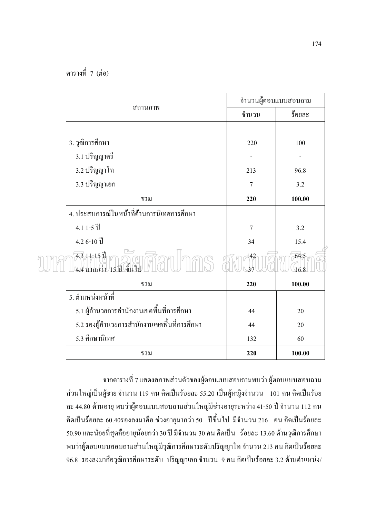AII

|                                                              | จำนวนผู้ตอบแบบสอบถาม |        |
|--------------------------------------------------------------|----------------------|--------|
| สถานภาพ                                                      | จำนวน                | ร้อยละ |
|                                                              |                      |        |
| 3. วุฒิการศึกษา                                              | 220                  | 100    |
| 3.1 ปริญญาตรี                                                |                      |        |
| 3.2 ปริญญาโท                                                 | 213                  | 96.8   |
| 3.3 ปริญญาเอก                                                | $\tau$               | 3.2    |
| รวม                                                          | 220                  | 100.00 |
| 4. ประสบการณ์ในหน้าที่ด้านการนิเทศการศึกษา                   |                      |        |
| $4.11 - 5$ ]                                                 | 7                    | 3.2    |
| $4.26 - 10$ l̃                                               | 34                   | 15.4   |
| $\overline{43}$ $\mu$ 15 ปี<br>ค้ำ<br>4.4 มากกว่า<br>่ 15 ฟี | 142                  | 64.5   |
| รวม                                                          | 220                  | 100.00 |
| 5. ตำแหน่งหน้าที่                                            |                      |        |
| 5.1 ผู้อำนวยการสำนักงานเขตพื้นที่การศึกษา                    | 44                   | 20     |
| 5.2 รองผู้อำนวยการสำนักงานเขตพื้นที่การศึกษา                 | 44                   | 20     |
| 5.3 ศึกษานิเทศ                                               | 132                  | 60     |
| รวม                                                          | 220                  | 100.00 |

ิจากตารางที่ 7 แสดงสภาพส่วนตัวของผู้ตอบแบบสอบถามพบว่า ผู้ตอบแบบสอบถาม ี่ ส่วนใหญ่เป็นผู้ชาย จำนวน 119 คน คิดเป็นร้อยละ 55.20 เป็นผู้หญิงจำนวน 101 คน คิดเป็นร้อย ิละ 44.80 ด้านอายุ พบว่าผู้ตอบแบบสอบถามส่วนใหญ่มีช่วงอายุระหว่าง 41-50 ปี จำนวน 112 คน คิดเป็นร้อยละ 60.40รองลงมาคือ ช่วงอายุมากว่า 50 ปี่ขึ้นไป มีจำนวน 216 คน คิดเป็นร้อยละ 50.90 และน้อยที่สุดคืออายุน้อยกว่า 30 ปี มีจำนวน 30 คน คิดเป็น ร้อยละ 13.60 ด้านวุฒิการศึกษา พบว่าผู้ตอบแบบสอบถามส่วนใหญ่มีวุฒิการศึกษาระดับปริญญาโท จำนวน 213 คน คิดเป็นร้อยละ 96.8 รองลงมาคือวุฒิการศึกษาระดับ ปริญญาเอก จำนวน 9 คน คิดเป็นร้อยละ 3.2 ด้านตำแหน่ง/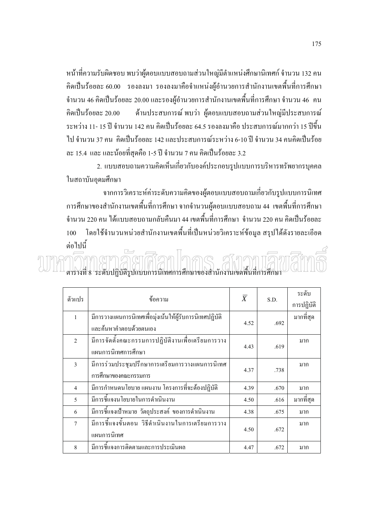หน้าที่ความรับผิดชอบ พบว่าผู้ตอบแบบสอบถามส่วนใหญ่มีตำแหน่งศึกษานิเทศก์ จำนวน 132 คน ้คิดเป็นร้อยละ 60.00 รองลงมา รองลงมาคือจำแหน่งผู้อำนวยการสำนักงานเขตพื้นที่การศึกษา จำนวน 46 กิดเป็นร้อยละ 20.00 และรองผู้อำนวยการสำนักงานเขตพื้นที่การศึกษา จำนวน 46 คน ด้านประสบการณ์ พบว่า ผู้ตอบแบบสอบถามส่วนใหญ่มีประสบการณ์ คิดเป็นร้อยละ 20.00 ้ระหว่าง 11- 15 ปี กำนวน 142 คน คิดเป็นร้อยละ 64.5 รองลงมาคือ ประสบการณ์มากกว่า 15 ปีขึ้น ไป จำนวน 37 คน คิดเป็นร้อยละ 142 และประสบการณ์ระหว่าง 6-10 ปี จำนวน 34 คนคิดเป็นร้อย ิละ 15.4 และ และน้อยที่สุดคือ 1-5 ปี จำนวน 7 คน คิดเป็นร้อยละ 3.2

่ 2. แบบสอบถามความคิดเห็นเกี่ยวกับองค์ประกอบรูปแบบการบริหารทรัพยากรบุคคล ในสถาบันอุคมศึกษา

ิจากการวิเคราะห์ค่าระดับความคิดของผู้ตอบแบบสอบถามเกี่ยวกับรูปแบบการนิเทศ ิการศึกษาของสำนักงานเขตพื้นที่การศึกษา จากจำนวนผู้ตอบแบบสอบถาม 44 เขตพื้นที่การศึกษา ้จำนวน 220 คน ได้แบบสอบถามกลับคืนมา 44 เขตพื้นที่การศึกษา จำนวน 220 คน คิดเป็นร้อยละ โดยใช้จำนวนหน่วยสำนักงานเขตพื้นที่เป็นหน่วยวิเคราะห์ข้อมูล สรุปได้ดังรายละเอียด 100 ต่อไปนี้  $\overline{\phantom{a}}$ 

างที่ 8 ระดับปฏิบัติรูปแบบการนิเทศการศึกษาของสำนักงานเขตพื้นที่การศึกษา

| ตัวแปร         | ข้อความ                                                  | $\overline{X}$ | S.D. | ระดับ      |
|----------------|----------------------------------------------------------|----------------|------|------------|
|                |                                                          |                |      | การปฏิบัติ |
| $\mathbf{1}$   | มีการวางแผนการนิเทศเพื่อมุ่งเน้นให้ผู้รับการนิเทศปฏิบัติ | 4.52           | .692 | มากที่สุด  |
|                | และค้นหาคำตอบด้วยตนเอง                                   |                |      |            |
| $\mathfrak{D}$ | มีการจัดตั้งคณะกรรมการปฏิบัติงานเพื่อเตรียมการวาง        |                |      | มาก        |
|                | แผนการนิเทศการศึกษา                                      | 4.43           | .619 |            |
| $\mathbf{3}$   | มีการร่วมประชุมปรึกษาการเตรียมการวางแผนการนิเทศ          |                |      | มาก        |
|                | การศึกษาของคณะกรรมการ                                    | 4.37           | .738 |            |
| $\overline{4}$ | มีการกำหนดนโยบาย แผนงาน โครงการที่จะต้องปฏิบัติ          | 4.39           | .670 | มาก        |
| $\overline{5}$ | มีการชี้แจงนโยบายในการคำเนินงาน                          | 4.50           | .616 | มากที่สุด  |
| 6              | มีการขี้แจงเป้าหมาย วัตถุประสงค์ ของการคำเนินงาน         | 4.38           | .675 | มาก        |
| $\tau$         | ้มีการชี้แจงขั้นตอน วิธีดำเนินงานในการเตรียมการวาง       |                |      | มาก        |
|                | แผนการนิเทศ                                              | 4.50           | .672 |            |
| 8              | มีการชี้แจงการติดตามและการประเมินผล                      | 4.47           | .672 | มาก        |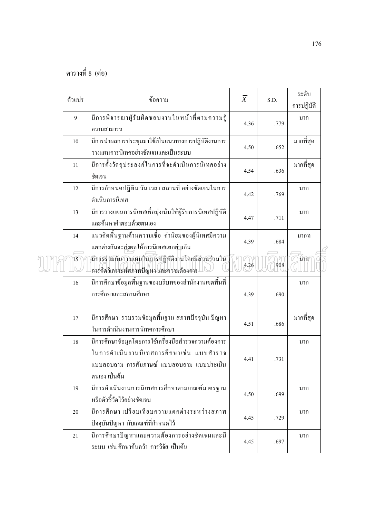|  | ตัวแปร     | ข้อความ                                                                                                                                                         | $\overline{X}$ | S.D. | ระดับ<br>การปฏิบัติ |  |
|--|------------|-----------------------------------------------------------------------------------------------------------------------------------------------------------------|----------------|------|---------------------|--|
|  | 9          | มีการพิจารณาผู้รับผิดชอบงานในหน้าที่ตามความรู้<br>ความสามารถ                                                                                                    | 4.36           | .779 | มาก                 |  |
|  | 10         | มีการนำผลการประชุมมาใช้เป็นแนวทางการปฏิบัติงานการ<br>วางแผนการนิเทศอย่างชัดเจนและเป็นระบบ                                                                       | 4.50           | .652 | มากที่สุด           |  |
|  | 11         | มีการตั้งวัตถุประสงค์ในการที่จะดำเนินการนิเทศอย่าง<br>ชัดเจน                                                                                                    | 4.54           | .636 | มากที่สุด           |  |
|  | 12         | มีการกำหนดปฏิทิน วัน เวลา สถานที่ อย่างชัดเจนในการ<br>ดำเนินการนิเทศ                                                                                            | 4.42           | .769 | มาก                 |  |
|  | 13         | มีการวางแผนการนิเทศเพื่อมุ่งเน้นให้ผู้รับการนิเทศปฏิบัติ<br>และค้นหาคำตอบด้วยตนเอง                                                                              | 4.47           | .711 | มาก                 |  |
|  | 14         | แนวคิดพื้นฐานด้านความเชื่อ ค่านิยมของผู้นิเทศมีความ<br>แตกต่างกันจะส่งผลให้การนิเทศแตกต่างกัน                                                                   | 4.39           | .684 | มากท                |  |
|  | $\sqrt{5}$ | /มีการร่วมกันวางแผนในการปฏิบัติงานโดยมีส่วนร่วมใน<br>การลิดวิเคราะห์สภาพปัญหา และความต้องการ                                                                    | 4.26           | 908  | มาก                 |  |
|  | 16         | มีการศึกษาข้อมูลพื้นฐานของบริบทของสำนักงานเขตพื้นที่<br>การศึกษาและสถานศึกษา                                                                                    | 4.39           | .690 | มาก                 |  |
|  | 17         | มีการศึกษา รวบรวมข้อมูลพื้นฐาน สภาพปัจจุบัน ปัญหา<br>ในการคำเนินงานการนิเทศการศึกษา                                                                             | 4.51           | .686 | มากที่สุด           |  |
|  | 18         | มีการศึกษาข้อมูลโดยการใช้เครื่องมือสำรวจความต้องการ<br>ในการคำเนินงานนิเทศการศึกษาเช่น แบบสำรวจ<br>แบบสอบถาม การสัมภาษณ์ แบบสอบถาม แบบประเมิน<br>็ตนเอง เป็นต้น | 4.41           | .731 | มาก                 |  |
|  | 19         | มีการคำเนินงานการนิเทศการศึกษาตามเกณฑ์มาตรฐาน<br>หรือตัวชี้วัดไว้อย่างชัดเจน                                                                                    | 4.50           | .699 | มาก                 |  |
|  | 20         | มีการศึกษา เปรียบเทียบความแตกต่างระหว่างสภาพ<br>ปัจจุบันปัญหา กับเกณฑ์ที่กำหนดไว้                                                                               | 4.45           | .729 | มาก                 |  |
|  | 21         | มีการศึกษาปัญหาและความต้องการอย่างชัดเจนและมี<br>ระบบ เช่น ศึกษาค้นคว้า การวิจัย เป็นต้น                                                                        | 4.45           | .697 | มาก                 |  |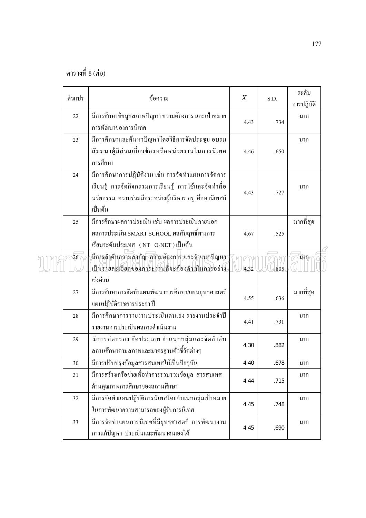| ตัวแปร | ข้อความ                                                                                                                                                                       | $\overline{X}$ | S.D. | ระดับ<br>การปฏิบัติ |  |
|--------|-------------------------------------------------------------------------------------------------------------------------------------------------------------------------------|----------------|------|---------------------|--|
| 22     | มีการศึกษาข้อมูลสภาพปัญหา ความต้องการ และเป้าหมาย<br>การพัฒนาของการนิเทศ                                                                                                      | 4.43           | .734 | มาก                 |  |
| 23     | มีการศึกษาและค้นหาปัญหาโคยวิธีการจัดประชุม อบรม<br>สัมมนาผู้มีส่วนเกี่ยวข้องหรือหน่วยงานในการนิเทศ<br>การศึกษา                                                                | 4.46           | .650 | มาก                 |  |
| 24     | มีการศึกษาการปฏิบัติงาน เช่น การจัดทำแผนการจัดการ<br>เรียนรู้ การจัดกิจกรรมการเรียนรู้ การใช้และจัดทำสื่อ<br>นวัตกรรม ความร่วมมือระหว่างผู้บริหาร ครู ศึกษานิเทศก์<br>เป็นต้น | 4.43           | .727 | มาก                 |  |
| 25     | มีการศึกษาผลการประเมิน เช่น ผลการประเมินภายนอก<br>ผลการประเมิน SMART SCHOOL ผลสัมฤทธิ์ทางการ<br>เรียนระดับประเทศ (NT O-NET) เป็นต้น                                           | 4.67           | .525 | มากที่สุด           |  |
| 26     | มีการลำดับความสำคัญ ความต้องการ และจำแนกปัญหา<br>เป็นรายละเอียดของภาระงานที่จะต้องคำเนินการอย่าง<br>เร่งด่วน                                                                  | 4.32           | 805  | มาก/                |  |
| 27     | มีการศึกษาการจัดทำแผนพัฒนาการศึกษา/แผนยุทธศาสตร์<br>แผนปฏิบัติราชการประจำ ปี                                                                                                  | 4.55           | .636 | มากที่สุด           |  |
| 28     | มีการศึกษาการรายงานประเมินตนเอง รายงานประจำปี<br>รายงานการประเมินผลการคำเนินงาน                                                                                               | 4.41           | .731 | มาก                 |  |
| 29     | มีการคัดกรอง จัดประเภท จำแนกกลุ่มและจัดลำดับ<br>สถานศึกษาตามสภาพและมาตรฐานตัวชี้วัดต่างๆ                                                                                      | 4.30           | .882 | มาก                 |  |
| $30\,$ | มีการปรับปรุงข้อมูลสารสนเทศให้เป็นปัจจุบัน                                                                                                                                    | 4.40           | .678 | มาก                 |  |
| 31     | มีการสร้างเครือข่ายเพื่อทำการรวบรวมข้อมูล สารสนเทศ<br>ค้านคุณภาพการศึกษาของสถานศึกษา                                                                                          | 4.44           | .715 | มาก                 |  |
| 32     | มีการจัดทำแผนปฏิบัติการนิเทศโดยจำแนกกลุ่มเป้าหมาย<br>ในการพัฒนาความสามารถของผู้รับการนิเทศ                                                                                    | 4.45           | .748 | มาก                 |  |
| 33     | มีการจัดทำแผนการนิเทศที่มียุทธศาสตร์ การพัฒนางาน<br>การแก้ปัญหา ประเมินและพัฒนาตนเองใด้                                                                                       | 4.45           | .690 | มาก                 |  |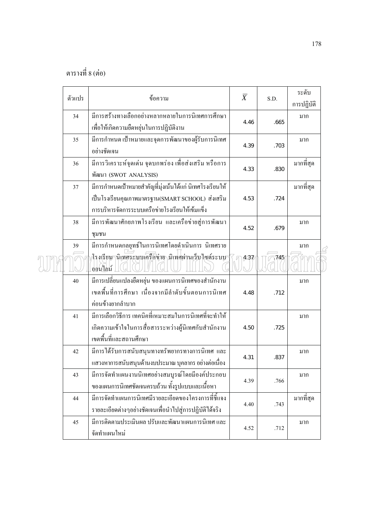|  | ตัวแปร | ข้อความ                                                   | $\overline{X}$ |      | ระดับ      |  |
|--|--------|-----------------------------------------------------------|----------------|------|------------|--|
|  |        |                                                           |                | S.D. | การปฏิบัติ |  |
|  | 34     | มีการสร้างทางเลือกอย่างหลากหลายในการนิเทศการศึกษา         |                |      | มาก        |  |
|  |        | เพื่อให้เกิดความยืดหยุ่นในการปฏิบัติงาน                   | 4.46           | .665 |            |  |
|  | 35     | มีการกำหนด เป้าหมายและจุดการพัฒนาของผู้รับการนิเทศ        |                |      | มาก        |  |
|  |        | อย่างชัดเจน                                               | 4.39           | .703 |            |  |
|  | 36     | มีการวิเคราะห์จุดเด่น จุดบกพร่อง เพื่อส่งเสริม หรือการ    |                |      | มากที่สุด  |  |
|  |        | พัฒนา (SWOT ANALYSIS)                                     | 4.33           | .830 |            |  |
|  | 37     | มีการกำหนดเป้าหมายสำคัญที่มุ่งเน้นได้แก่ นิเทศโรงเรียนให้ |                |      | มากที่สุด  |  |
|  |        | เป็นโรงเรียนคุณภาพมาตรฐาน(SMART SCHOOL) ส่งเสริม          | 4.53           | .724 |            |  |
|  |        | การบริหารจัดการระบบเครือข่ายโรงเรียนให้เข้มแข็ง           |                |      |            |  |
|  | 38     | มีการพัฒนาศักยภาพโรงเรียน และเครือข่ายสู่การพัฒนา         |                |      | มาก        |  |
|  |        | ชุมชน                                                     | 4.52           | .679 |            |  |
|  | 39     | มีการกำหนดกลยุทธ์ในการนิเทศโดยดำเนินการ นิเทศราย          |                |      | มาก        |  |
|  |        | โรงเรียนานิเทศระบบเครือข่าอ นิเทศผ่านเว็บไซต์ระบบ         | 437            | 745  |            |  |
|  |        | ออนใลน์                                                   |                |      |            |  |
|  | 40     | มีการเปลี่ยนแปลงยืดหยุ่น ของแผนการนิเทศของสำนักงาน        |                |      | มาก        |  |
|  |        | เขตพื้นที่การศึกษา เนื่องจากมีลำดับขั้นตอนการนิเทศ        | 4.48           | .712 |            |  |
|  |        | ค่อนข้างยากลำบาก                                          |                |      |            |  |
|  | 41     | มีการเลือกวิธีการ เทคนิคที่เหมาะสมในการนิเทศที่จะทำให้    |                |      | มาก        |  |
|  |        | เกิดความเข้าใจในการสื่อสารระหว่างผู้นิเทศกับสำนักงาน      | 4.50           | .725 |            |  |
|  |        | เขตพื้นที่และสถานศึกษา                                    |                |      |            |  |
|  | 42     | มีการใค้รับการสนับสนุนทางทรัพยากรทางการนิเทศ และ          | 4.31           | .837 | มาก        |  |
|  |        | แสวงหาการสนับสนุนด้านงบประมาณ บุคลากร อย่างต่อเนื่อง      |                |      |            |  |
|  | 43     | มีการจัดทำแผนงานนิเทศอย่างสมบูรณ์โดยมีองค์ประกอบ          |                |      | มาก        |  |
|  |        | ของแผนการนิเทศชัดเจนครบถ้วน ทั้งรูปแบบและเนื้อหา          | 4.39           | .766 |            |  |
|  | 44     | มีการจัดทำแผนการนิเทศมีรายละเอียดของโครงการที่ชี้แจง      |                |      | มากที่สุด  |  |
|  |        | รายละเอียดต่างๆอย่างชัดเจนเพื่อนำไปสู่การปฏิบัติได้จริง   | 4.40           | .743 |            |  |
|  | 45     | มีการติดตามประเมินผล ปรับและพัฒนาแผนการนิเทศ และ          |                |      | มาก        |  |
|  |        | จัดทำแผนใหม่                                              | 4.52           | .712 |            |  |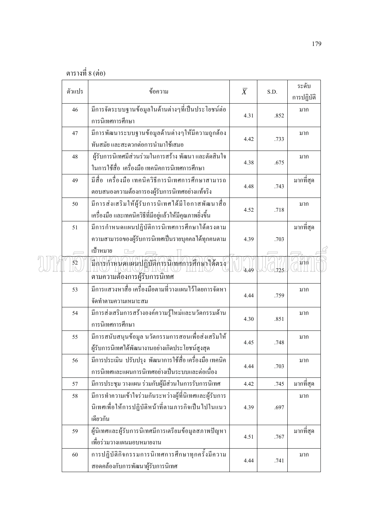|  | ตัวแปร | ข้อความ                                                                                                                  | $\overline{X}$ | S.D. | ระดับ<br>การปฏิบัติ |
|--|--------|--------------------------------------------------------------------------------------------------------------------------|----------------|------|---------------------|
|  | 46     | มีการจัดระบบฐานข้อมูลในด้านต่างๆที่เป็นประโยชน์ต่อ<br>การนิเทศการศึกษา                                                   | 4.31           | .852 | มาก                 |
|  | 47     | มีการพัฒนาระบบฐานข้อมูลค้านต่างๆให้มีความถูกต้อง<br>ทันสมัย และสะควกต่อการนำมาใช้เสมอ                                    | 4.42           | .733 | มาก                 |
|  | 48     | ผู้รับการนิเทศมีส่วนร่วมในการสร้าง พัฒนา และตัดสินใจ<br>ในการใช้สื่อ เครื่องมือเทคนิคการนิเทศการศึกษา                    | 4.38           | .675 | มาก                 |
|  | 49     | มีสื่อ  เครื่องมือ เทคนิควิธีการนิเทศการศึกษาสามารถ<br>ตอบสนองความต้องการองผู้รับการนิเทศอย่างแท้จริง                    | 4.48           | .743 | มากที่สุด           |
|  | 50     | มีการส่งเสริมให้ผู้รับการนิเทศใด้มีโอกาสพัฒนาสื่อ<br>เครื่องมือ และเทคนิควิธีที่มีอยู่แล้วให้มีคุณภาพยิ่งขึ้น            | 4.52           | .718 | มาก                 |
|  | 51     | มีการกำหนดแผนปฏิบัติการนิเทศการศึกษาได้ตรงตาม<br>ความสามารถของผู้รับการนิเทศเป็นรายบุคคลใด้ทุกคนตาม                      | 4.39           | .703 | มากที่สุด           |
|  | 52     | เป้าหมาย<br>นี้การกำหนดแผนปฏิบัติการนี้เทศการศึกษาใจ้ตรง<br>ตามความต้องการผู้รับการนิเทศ                                 | 4.49           | 725  | มาก                 |
|  | 53     | มีการแสวงหาสื่อ เครื่องมือตามที่วางแผนไว้โดยการจัดหา<br>จัดทำตามความเหมาะสม                                              | 4.44           | .759 | มาก                 |
|  | 54     | มีการส่งเสริมการสร้างองค์ความรู้ใหม่และนวัตกรรมด้าน<br>การนิเทศการศึกษา                                                  | 4.30           | .851 | มาก                 |
|  | 55     | มีการสนับสนุนข้อมูล นวัตกรรมการสอนเพื่อส่งเสริมให้<br>ผู้รับการนิเทศได้พัฒนางานอย่างเกิดประโยชน์สูงสุด                   | 4.45           | .748 | มาก                 |
|  | 56     | มีการประเมิน ปรับปรุง พัฒนาการใช้สือเครื่องมือเทคนิค<br>การนิเทศและแผนการนิเทศอย่างเป็นระบบและต่อเนื่อง                  | 4.44           | .703 | มาก                 |
|  | 57     | มีการประชุม วางแผน ร่วมกับผู้มีส่วนในการรับการนิเทศ                                                                      | 4.42           | .745 | มากที่สุด           |
|  | 58     | มีการทำความเข้าใจร่วมกันระหว่างผู้ที่นิเทศและผู้รับการ<br>นิเทศเพื่อให้การปฏิบัติหน้าที่ตามภารกิจเป็นไปในแนว<br>เดียวกัน | 4.39           | .697 | มาก                 |
|  | 59     | ผู้นิเทศและผู้รับการนิเทศมีการเตรียมข้อมูลสภาพปัญหา<br>้เพื่อร่วมวางแผนมอบหมายงาน                                        | 4.51           | .767 | มากที่สุด           |
|  | 60     | การปฏิบัติกิจกรรมการนิเทศการศึกษาทุกครั้งมีความ<br>สอดคล้องกับการพัฒนาผู้รับการนิเทศ                                     | 4.44           | .741 | มาก                 |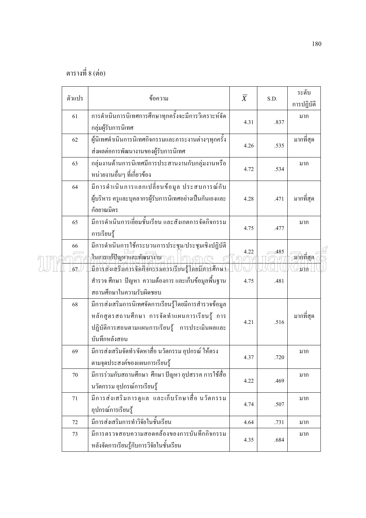| ตัวแปร   | ข้อความ                                                                                                                                                                   | $\overline{X}$ | S.D. | ระดับ<br>การปฏิบัติ       |
|----------|---------------------------------------------------------------------------------------------------------------------------------------------------------------------------|----------------|------|---------------------------|
| 61       | การคำเนินการนิเทศการศึกษาทุกครั้งจะมีการวิเคราะห์จัด<br>กลุ่มผู้รับการนิเทศ                                                                                               | 4.31           | .837 | มาก                       |
| 62       | ผู้นิเทศดำเนินการนิเทศกิจกรรมและภาระงานต่างๆทุกครั้ง<br>ส่งผลต่อการพัฒนางานของผู้รับการนิเทศ                                                                              | 4.26           | .535 | มากที่สุด                 |
| 63       | กลุ่มงานด้านการนิเทศมีการประสานงานกับกลุ่มงานหรือ<br>หน่วยงานอื่นๆ ที่เกี่ยวข้อง                                                                                          | 4.72           | .534 | มาก                       |
| 64       | มีการคำเนินการแลกเปลี่ยนข้อมูล ประสบการณ์กับ<br>ผู้บริหาร ครูและบุคลากรผู้รับการนิเทศอย่างเป็นกันเองและ<br>กัลยาณมิตร                                                     | 4.28           | .471 | มากที่สุด                 |
| 65       | มีการคำเนินการเขี่ยมชั้นเรียน และสังเกตการจัดกิจกรรม<br>การเรียนรู้                                                                                                       | 4.75           | .477 | มาก                       |
| 66<br>67 | มีการคำเนินการใช้กระบวนการประชุม/ประชุมเชิงปฏิบัติ<br>ในการแก้ปัญหาและพัฒนางาน<br>มีการส่งเสริมการจัดกิจกรรมการเรียนรู้โดยมีการศึกษา                                      | 4.22           | .485 | $\alpha$ กักที่สุด<br>มาก |
|          | ้สำรวจ ศึกษา ปัญหา ความต้องการ และเก็บข้อมูลพื้นฐาน<br>สถานศึกษาในความรับผิดชอบ                                                                                           | 4.75           | .481 |                           |
| 68       | มีการส่งเสริมการนิเทศจัดการเรียนรู้โดยมีการสำรวจข้อมูล<br>หลักสูตรสถานศึกษา การจัดทำแผนการเรียนรู้ การ<br>ปฏิบัติการสอนตามแผนการเรียนรู้ การประเมินผลและ<br>บันทึกหลังสอน | 4.21           | .516 | มากที่สุด                 |
| 69       | มีการส่งเสริมจัดทำ/จัดหาสื่อ นวัตกรรม อุปกรณ์ ให้ตรง<br>ตามจุดประสงค์ของแผนการเรียนรู้                                                                                    | 4.37           | .720 | มาก                       |
| 70       | มีการร่วมกับสถานศึกษา ศึกษา ปัญหา อุปสรรค การใช้สื่อ<br>นวัตกรรม อุปกรณ์การเรียนรู้                                                                                       | 4.22           | .469 | มาก                       |
| 71       | มีการส่งเสริมการดูแล และเก็บรักษาสื่อ นวัตกรรม<br>อุปกรณ์การเรียนรู้                                                                                                      | 4.74           | .507 | มาก                       |
| 72       | มีการส่งเสริมการทำวิจัยในชั้นเรียน                                                                                                                                        | 4.64           | .731 | มาก                       |
| 73       | มีการตรวจสอบความสอดคล้องของการบันทึกกิจกรรม<br>หลังจัดการเรียนรู้กับการวิจัยในชั้นเรียน                                                                                   | 4.35           | .684 | มาก                       |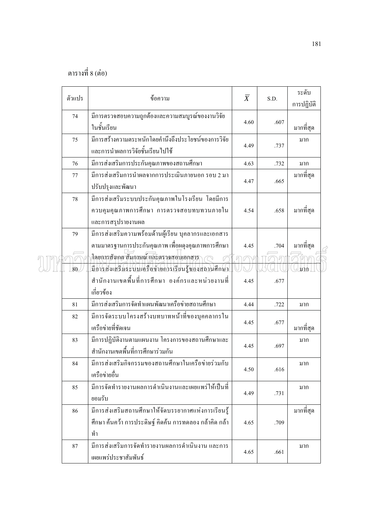|  | ตัวแปร | ข้อความ                                                                                                              | $\overline{X}$ | S.D. | ระดับ      |  |
|--|--------|----------------------------------------------------------------------------------------------------------------------|----------------|------|------------|--|
|  | 74     | มีการตรวจสอบความถูกต้องและความสมบูรณ์ของงานวิจัย                                                                     |                |      | การปฏิบัติ |  |
|  |        | ในชั้นเรียน                                                                                                          | 4.60           | .607 | มากที่สุด  |  |
|  | 75     | มีการสร้างความตระหนักโดยคำนึงถึงประโยชน์ของการวิจัย<br>และการนำผลการวิจัยชั้นเรียนไปใช้                              | 4.49           | .737 | มาก        |  |
|  | 76     | มีการส่งเสริมการประกันคุณภาพของสถานศึกษา                                                                             | 4.63           | .732 | มาก        |  |
|  | 77     | มีการส่งเสริมการนำผลจากการประเมินภายนอก รอบ 2 มา<br>ปรับปรุงและพัฒนา                                                 | 4.47           | .665 | มากที่สุด  |  |
|  | 78     | มีการส่งเสริมระบบประกันคุณภาพในโรงเรียน โดยมีการ<br>ควบคุมคุณภาพการศึกษา การตรวจสอบทบทวนภายใน<br>และการสรุปรายงานผล  | 4.54           | .658 | มากที่สุด  |  |
|  | 79     | มีการส่งเสริมความพร้อมด้านผู้เรียน บุคลากรและเอกสาร<br>ตามมาตรฐานการประกันคุณภาพ เพื่อผคุงคุณภาพการศึกษา             | 4.45           | .704 | มากที่สุด  |  |
|  | 80     | .<br>โดยการสังเกต สัมภาษณ์ และตราจสอบเอกสาร<br>มืองรส่งเสริมระบบเครือข่ายการเรียนรู้ของสถานศึกษา                     |                |      | มาก        |  |
|  |        | สำนักงานเขตพื้นที่การศึกษา องค์กรและหน่วยงานที่<br>เกี่ยวข้อง                                                        | 4.45           | .677 |            |  |
|  | 81     | มีการส่งเสริมการจัดทำแผนพัฒนาเครือข่ายสถานศึกษา                                                                      | 4.44           | .722 | มาก        |  |
|  | 82     | มีการจัดระบบโครงสร้างบทบาทหน้าที่ของบุคคลากรใน<br>เครือข่ายที่ชัดเจน                                                 | 4.45           | .677 | มากที่สุด  |  |
|  | 83     | มีการปฏิบัติงานตามแผนงาน โครงการของสถานศึกษาและ<br>สำนักงานเขตพื้นที่การศึกษาร่วมกัน                                 | 4.45           | .697 | มาก        |  |
|  | 84     | มีการส่งเสริมกิจกรรมของสถานศึกษาในเครือข่ายร่วมกับ<br>เครือข่ายอื่น                                                  | 4.50           | .616 | มาก        |  |
|  | 85     | ้มีการจัดทำรายงานผลการดำเนินงานและเผยแพร่ให้เป็นที่<br>ยอมรับ                                                        | 4.49           | .731 | มาก        |  |
|  | 86     | มีการส่งเสริมสถานศึกษาให้จัดบรรยากาศแห่งการเรียนรู้<br>์ศึกษา ค้นคว้า การประดิษฐ์ คิดค้น การทดลอง กล้าคิด กล้า<br>ทำ | 4.65           | .709 | มากที่สุด  |  |
|  | 87     | มีการส่งเสริมการจัดทำรายงานผลการคำเนินงาน และการ<br>เผยแพร่ประชาสัมพันธ์                                             | 4.65           | .661 | มาก        |  |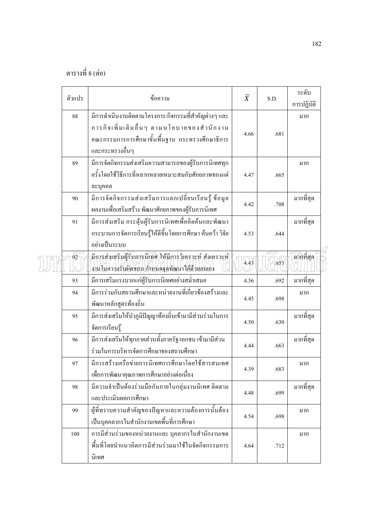| ตัวแปร | ข้อความ                                                                                                    | $\overline{X}$ | S.D. | ระดับ                    |  |
|--------|------------------------------------------------------------------------------------------------------------|----------------|------|--------------------------|--|
|        |                                                                                                            |                |      | การปฏิบัติ               |  |
| 88     | มีการคำเนินงานติดตามโครงการ/กิจกรรมที่สำคัญต่างๆ และ                                                       |                |      | มาก                      |  |
|        | ภารกิจเพิ่มเติมอื่นๆ ตามนโยบายของสำนักงาน                                                                  | 4.66           | .681 |                          |  |
|        | ึคณะกรรมการการศึกษาขั้นพื้นฐาน กระทรวงศึกษาธิการ                                                           |                |      |                          |  |
|        | และกระทรวงอื่นๆ                                                                                            |                |      |                          |  |
| 89     | มีการจัดกิจกรรมส่งเสริมความสามารถของผู้รับการนิเทศทุก                                                      |                |      | มาก                      |  |
|        | ้ครั้งโดยใช้วิธีการที่หลากหลายเหมาะสมกับศักยภาพของแต่                                                      | 4.47           | .665 |                          |  |
|        | ละบุคคล                                                                                                    |                |      |                          |  |
| 90     | มีการจัดกิจกรรมส่งเสริมการแลกเปลี่ยนเรียนรู้ ข้อมูล                                                        |                |      | มากที่สุด                |  |
|        | ผลงานเพื่อเสริมสร้าง พัฒนาศักยภาพของผู้รับการนิเทศ                                                         | 4.42           | .708 |                          |  |
| 91     | มีการส่งเสริม กระตุ้นผู้รับการนิเทศเพื่อคิดค้นและพัฒนา                                                     |                |      | มากที่สุด                |  |
|        | กระบวนการจัดการเรียนรู้ให้ดีขึ้นโดยการศึกษา ค้นคว้า วิจัย                                                  | 4.53           | .644 |                          |  |
|        | อย่างเป็นระบบ                                                                                              |                |      |                          |  |
| 92     | มีการส่งเสริมผู้รับการนิเทศ ให้มีการวิเคราะห์ สังเคราะห์ ่<br>งานในความรับผิดชอบ กำหนดจุดพัฒนาใด้ด้วยตนเอง | 4.43           | .655 | $\overline{\pi}$ ทที่สุค |  |
| 93     | มีการเสริมแรงบวกแก่ผู้รับการนิเทศอย่างสม่ำเสมอ                                                             | 4.36           | .692 | มากที่สุด                |  |
| 94     | มีการร่วมกับสถานศึกษาและหน่วยงานที่เกี่ยวข้องสร้างและ                                                      |                |      | มาก                      |  |
|        | พัฒนาหลักสูตรท้องถิ่น                                                                                      | 4.45           | .698 |                          |  |
| 95     | มีการส่งเสริมให้นำภูมิปัญญาท้องถิ่นเข้ามามีส่วนร่วมในการ                                                   |                |      | มากที่สุด                |  |
|        | จัดการเรียนรู้                                                                                             | 4.50           | .630 |                          |  |
| 96     | มีการส่งเสริมให้ทุกภาคส่วนทั้งภาครัฐ/เอกชน เข้ามามีส่วน                                                    |                |      | มากที่สุด                |  |
|        | ร่วมในการบริหารจัดการศึกษาของสถานศึกษา                                                                     | 4.44           | .663 |                          |  |
| 97     | มีการสร้างเครือข่ายการนิเทศการศึกษาโดยใช้สารสนเทศ                                                          |                |      | มาก                      |  |
|        | เพื่อการพัฒนาคุณภาพการศึกษาอย่างต่อเนื่อง                                                                  | 4.39           | .683 |                          |  |
| 98     | มีความจำเป็นต้องร่วมมือกันภายในกลุ่มงานนิเทศ ติดตาม                                                        |                |      | มากที่สุด                |  |
|        | และประเมินผลการศึกษา                                                                                       | 4.48           | .699 |                          |  |
| 99     | ผู้ที่ทราบความสำคัญของปัญหาและความต้องการนั้นต้อง                                                          |                |      | มาก                      |  |
|        | เป็นบุคคลากรในสำนักงานเขตพื้นที่การศึกษา                                                                   | 4.54           | .698 |                          |  |
| 100    | การมีส่วนร่วมของหน่วยงานและ บุคลากรในสำนักงานเขต                                                           |                |      | มาก                      |  |
|        | พื้นที่โดยนำแนวคิดการมีส่วนร่วมมาใช้ในจัดกิจกรรมการ                                                        | 4.64           | .712 |                          |  |
|        | นิเทศ                                                                                                      |                |      |                          |  |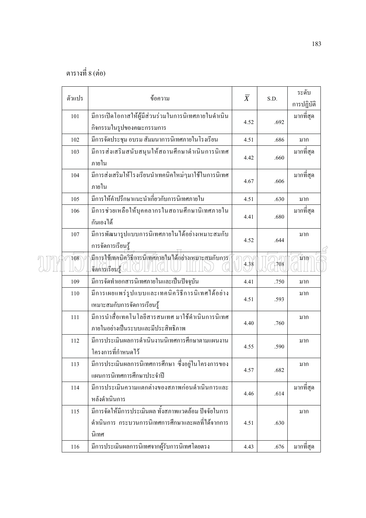|  | ตัวแปร | ข้อความ                                               | $\overline{X}$ | S.D. | ระดับ      |  |
|--|--------|-------------------------------------------------------|----------------|------|------------|--|
|  |        |                                                       |                |      | การปฏิบัติ |  |
|  | 101    | มีการเปิดโอกาสให้ผู้มีส่วนร่วมในการนิเทศภายในดำเนิน   | 4.52           | .692 | มากที่สุด  |  |
|  |        | กิจกรรมในรูปของคณะกรรมการ                             |                |      |            |  |
|  | 102    | มีการจัดประชุม อบรม สัมมนาการนิเทศภายในโรงเรียน       | 4.51           | .686 | มาก        |  |
|  | 103    | มีการส่งเสริมสนับสนุนให้สถานศึกษาดำเนินการนิเทศ       | 4.42           | .660 | มากที่สุด  |  |
|  |        | ภายใน                                                 |                |      |            |  |
|  | 104    | มีการส่งเสริมให้โรงเรียนนำเทคนิคใหม่ๆมาใช้ในการนิเทศ  | 4.67           | .606 | มากที่สุด  |  |
|  |        | ภายใน                                                 |                |      |            |  |
|  | 105    | มีการให้คำปรึกษาแนะนำเกี่ยวกับการนิเทศภายใน           | 4.51           | .630 | มาก        |  |
|  | 106    | มีการช่วยเหลือให้บุคคลากรในสถานศึกษานิเทศภายใน        |                |      | มากที่สุด  |  |
|  |        | กันเองได้                                             | 4.41           | .680 |            |  |
|  | 107    | มีการพัฒนารูปแบบการนิเทศภายในใด้อย่างเหมาะสมกับ       |                |      | มาก        |  |
|  |        | การจัดการเรียนรู้                                     | 4.52           | .644 |            |  |
|  | 108    | มีการใช้เทคนิควิธีการนิเทศภายในได้อย่างเหมาะสมกับการ  |                |      | มาก⁄       |  |
|  |        | จัดการเรียนรู้ (                                      | 4.38           | 1708 |            |  |
|  | 109    | มีการจัดทำเอกสารนิเทศภายในและเป็นปัจจุบัน             | 4.41           | .750 | มาก        |  |
|  | 110    | มีการเผยแพร่รูปแบบและเทคนิควิธีการนิเทศได้อย่าง       |                |      | มาก        |  |
|  |        | เหมาะสมกับการจัดการเรียนรู้                           | 4.51           | .593 |            |  |
|  | 111    | มีการนำสื่อเทคโนโลยีสารสนเทศ มาใช้คำเนินการนิเทศ      |                |      | มาก        |  |
|  |        | ภายในอย่างเป็นระบบและมีประสิทธิภาพ                    | 4.40           | .760 |            |  |
|  | 112    | มีการประเมินผลการดำเนินงานนิเทศการศึกษาตามแผนงาน      |                |      | มาก        |  |
|  |        | โครงการที่กำหนดไว้                                    | 4.55           | .590 |            |  |
|  | 113    | มีการประเมินผลการนิเทศการศึกษา ซึ่งอยู่ในโครงการของ   |                |      | มาก        |  |
|  |        | แผนการนิเทศการศึกษาประจำปี                            | 4.57           | .682 |            |  |
|  | 114    | มีการประเมินความแตกต่างของสภาพก่อนดำเนินการและ        |                |      | มากที่สุด  |  |
|  |        | หลังดำเนินการ                                         | 4.46           | .614 |            |  |
|  | 115    | มีการจัดให้มีการประเมินผล ทั้งสภาพแวดล้อม ปัจจัยในการ |                |      | มาก        |  |
|  |        | ้คำเนินการ กระบวนการนิเทศการศึกษาและผลที่ได้จากการ    | 4.51           | .630 |            |  |
|  |        | นิเทศ                                                 |                |      |            |  |
|  | 116    | มีการประเมินผลการนิเทศจากผู้รับการนิเทศโดยตรง         | 4.43           | .676 | มากที่สุด  |  |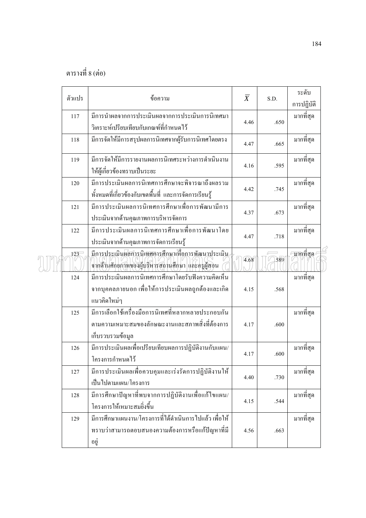|  | ตัวแปร | ข้อความ                                                                                                                    | $\overline{X}$ | S.D. | ระดับ<br>การปฏิบัติ |  |
|--|--------|----------------------------------------------------------------------------------------------------------------------------|----------------|------|---------------------|--|
|  | 117    | มีการนำผลจากการประเมินผลจากการประเมินการนิเทศมา<br>วิเคราะห์เปรียบเทียบกับเกณฑ์ที่กำหนดไว้                                 | 4.46           | .650 | มากที่สุด           |  |
|  | 118    | มีการจัดให้มีการสรุปผลการนิเทศจากผู้รับการนิเทศโดยตรง                                                                      | 4.47           | .665 | มากที่สุด           |  |
|  | 119    | มีการจัดให้มีการรายงานผลการนิเทศระหว่างการดำเนินงาน<br>ให้ผู้เกี่ยวข้องทราบเป็นระยะ                                        | 4.16           | .595 | มากที่สุด           |  |
|  | 120    | มีการประเมินผลการนิเทศการศึกษาจะพิจารณาถึงผลรวม<br>ทั้งหมดที่เกี่ยวข้องกับเขตพื้นที่ และการจัดการเรียนรู้                  | 4.42           | .745 | มากที่สุด           |  |
|  | 121    | มีการประเมินผลการนิเทศการศึกษาเพื่อการพัฒนามีการ<br>ประเมินจากค้านคุณภาพการบริหารจัดการ                                    | 4.37           | .673 | มากที่สุด           |  |
|  | 122    | มีการประเมินผลการนิเทศการศึกษาเพื่อการพัฒนาโดย<br>ประเมินจากค้านคุณภาพการจัดการเรียนรู้                                    | 4.47           | .718 | มากที่สุด           |  |
|  | 123    | มีการประเมินผลการนิเทศการศึกษาเพื่อการพัฒนาประเมิน<br>จากค้านศักยภาพของผู้บริหารสถานศึกษา และครูผู้สอน                     | 4.68           | .589 | ัฐบากที่สุด         |  |
|  | 124    | มีการประเมินผลการนิเทศการศึกษาโดยรับฟังความคิดเห็น<br>จากบุคคลภายนอก เพื่อให้การประเมินผลถูกต้องและเกิด<br>แนวคิดใหม่ๆ     | 4.15           | .568 | มากที่สุด           |  |
|  | 125    | มีการเลือกใช้เครื่องมือการนิเทศที่หลากหลายประกอบกัน<br>ตามความเหมาะสมของลักษณะงานและสภาพสิ่งที่ต้องการ<br>เก็บรวบรวมข้อมูล | 4.17           | .600 | มากที่สุด           |  |
|  | 126    | มีการประเมินผลเพื่อเปรียบเทียบผลการปฏิบัติงานกับแผน/<br>โครงการกำหนดไว้                                                    | 4.17           | .600 | มากที่สุด           |  |
|  | 127    | เป็นไปตามแผน/โครงการ                                                                                                       | 4.40           | .730 | มากที่สุด           |  |
|  | 128    | มีการศึกษาปัญหาที่พบจากการปฏิบัติงานเพื่อแก้ไขแผน/<br>โครงการให้เหมาะสมยิ่งขึ้น                                            | 4.15           | .544 | มากที่สุด           |  |
|  | 129    | ้มีการศึกษาแผนงาน/โครงการที่ได้ดำเนินการไปแล้ว เพื่อให้<br>ทราบว่าสามารถตอบสนองความต้องการหรือแก้ปัญหาที่มี<br>อยู่        | 4.56           | .663 | มากที่สุด           |  |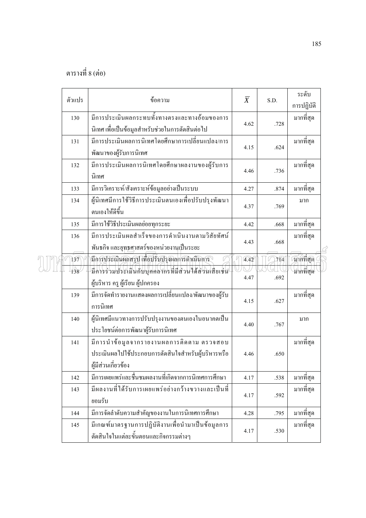| ตัวแปร | ข้อความ                                                                                                                | $\overline{X}$ | S.D. | ระดับ<br>การปฏิบัติ |
|--------|------------------------------------------------------------------------------------------------------------------------|----------------|------|---------------------|
| 130    | มีการประเมินผลกระทบทั้งทางตรงและทางอ้อมของการ<br>นิเทศ เพื่อเป็นข้อมูลสำหรับช่วยในการตัดสินต่อไป                       | 4.62           | .728 | มากที่สุด           |
| 131    | มีการประเมินผลการนิเทศโดยศึกษาการเปลี่ยนแปลง/การ<br>พัฒนาของผู้รับการนิเทศ                                             | 4.15           | .624 | มากที่สุด           |
| 132    | มีการประเมินผลการนิเทศโดยศึกษาผลงานของผู้รับการ<br>นิเทศ                                                               | 4.46           | .736 | มากที่สุด           |
| 133    | มีการวิเคราะห์/สังเคราะห์ข้อมูลอย่างเป็นระบบ                                                                           | 4.27           | .874 | มากที่สุด           |
| 134    | ผู้นิเทศมีการใช้วิธีการประเมินตนเองเพื่อปรับปรุงพัฒนา<br>ตนเองให้ดีขึ้น                                                | 4.37           | .769 | มาก                 |
| 135    | มีการใช้วิธีประเมินผลย่อยทุกระยะ                                                                                       | 4.42           | .668 | มากที่สุด           |
| 136    | มีการประเมินผลสำเร็จของการคำเนินงานตามวิสัยทัศน์<br>พันธกิจ และยุทธศาสตร์ของหน่วยงานเป็นระยะ                           | 4.43           | .668 | มากที่สุด           |
| 137    | มีการประเมินผลสรุป เพื่อปรับปรุงผลการคำเนินการ                                                                         | 4.42           | .714 | บากที่สุด           |
| 138    | มีการร่วมประเมินกับบุคคลากรที่มีส่วนใด้ส่วนเสียเช่น<br>ผู้บริหาร ครู ผู้เรียน ผู้ปกครอง                                | 4.47           | .692 | มากที่สุด           |
| 139    | มีการจัดทำรายงานแสดงผลการเปลี่ยนแปลง/พัฒนาของผู้รับ<br>การนิเทศ                                                        | 4.15           | .627 | มากที่สุด           |
| 140    | ผู้นิเทศมีแนวทางการปรับปรุงงานของตนเองในอนาคตเป็น<br>ประโยชน์ต่อการพัฒนาผู้รับการนิเทศ                                 | 4.40           | .767 | มาก                 |
| 141    | มีการนำข้อมูลจากรายงานผลการติดตาม ตรวจสอบ<br>ประเมินผลไปใช้ประกอบการตัดสินใจสำหรับผู้บริหารหรือ<br>ผู้มีส่วนเกี่ยวข้อง | 4.46           | .650 | มากที่สุด           |
| 142    | มีการเผยแพร่และชื่นชมผลงานที่เกิดจากการนิเทศการศึกษา                                                                   | 4.17           | .538 | มากที่สุด           |
| 143    | มีผลงานที่ได้รับการเผยแพร่อย่างกว้างขวางและเป็นที่<br>ยอมรับ                                                           | 4.17           | .592 | มากที่สุด           |
| 144    | มีการจัดลำดับความสำคัญของงานในการนิเทศการศึกษา                                                                         | 4.28           | .795 | มากที่สุด           |
| 145    | มีเกณฑ์มาตรฐานการปฏิบัติงานเพื่อนำมาเป็นข้อมูลการ<br>ตัดสินใจในแต่ละขั้นตอนและกิจกรรมต่างๆ                             | 4.17           | .530 | มากที่สุด           |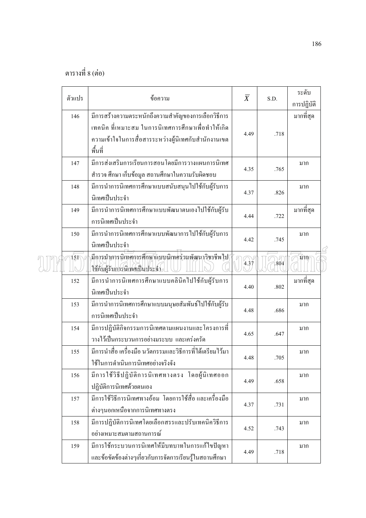|  | ตัวแปร           | ข้อความ                                                    | $\overline{X}$ | S.D. | ระดับ<br>การปฏิบัติ |  |
|--|------------------|------------------------------------------------------------|----------------|------|---------------------|--|
|  | 146              | มีการสร้างความตระหนักถึงความสำคัญของการเลือกวิธีการ        |                |      | มากที่สุด           |  |
|  |                  | เทคนิค ที่เหมาะสม ในการนิเทศการศึกษาเพื่อทำให้เกิด         |                |      |                     |  |
|  |                  | ้ความเข้าใจในการสื่อสารระหว่างผู้นิเทศกับสำนักงานเขต       | 4.49           | .718 |                     |  |
|  |                  | พื้นที่                                                    |                |      |                     |  |
|  | 147              | มีการส่งเสริมการเรียนการสอนโดยมีการวางแผนการนิเทศ          |                |      | มาก                 |  |
|  |                  | สำรวจ ศึกษา เก็บข้อมูล สถานศึกษาในความรับผิดชอบ            | 4.35           | .765 |                     |  |
|  | 148              | มีการนำการนิเทศการศึกษาแบบสนับสนุนไปใช้กับผู้รับการ        |                |      | มาก                 |  |
|  |                  | นิเทศเป็นประจำ                                             | 4.37           | .826 |                     |  |
|  | 149              | มีการนำการนิเทศการศึกษาแบบพัฒนาตนเองไปใช้กับผู้รับ         |                |      | มากที่สุด           |  |
|  |                  | การนิเทศเป็นประจำ                                          | 4.44           | .722 |                     |  |
|  | 150              | มีการนำการนิเทศการศึกษาแบบพัฒนาการไปใช้กับผู้รับการ        | 4.42           |      | มาก                 |  |
|  |                  | นิเทศเป็นประจำ                                             |                | .745 |                     |  |
|  | $15\overline{1}$ | มีการนำการนิเทศการศึกษาแบบนิเทศร่วมพัฒนาวิชาชีพใป          | 4.37           | .804 | มาก/                |  |
|  |                  | ใช้กับผู้รับการนิเทศเป็นประจำ                              |                |      |                     |  |
|  | 152              | มีการนำการนิเทศการศึกษาแบบคลินิคไปใช้กับผู้รับการ          | 4.40           | .802 | มากที่สุด           |  |
|  |                  | นิเทศเป็นประจำ                                             |                |      |                     |  |
|  | 153              | มีการนำการนิเทศการศึกษาแบบมนุษยสัมพันธ์ไปใช้กับผู้รับ      | 4.48           | .686 | มาก                 |  |
|  |                  | การนิเทศเป็นประจำ                                          |                |      |                     |  |
|  | 154              | ้มีการปฏิบัติกิจกรรมการนิเทศตามแผนงานและโครงการที่         | 4.65           | .647 | มาก                 |  |
|  |                  | วางไว้เป็นกระบวนการอย่างมระบบ และเคร่งครัด                 |                |      |                     |  |
|  | 155              | มีการนำสื่อ เครื่องมือ นวัตกรรมและวิธีการที่ได้เตรียมไว้มา | 4.48           | .705 | มาก                 |  |
|  |                  | ใช้ในการคำเนินการนิเทศอย่างจริงจัง                         |                |      |                     |  |
|  | 156              | มีการใช้วิธีปฏิบัติการนิเทศทางตรง โดยผู้นิเทศออก           | 4.49           | .658 | มาก                 |  |
|  |                  | ปฏิบัติการนิเทศด้วยตนเอง                                   |                |      |                     |  |
|  | 157              | มีการใช้วิธีการนิเทศทางอ้อม โดยการใช้สื่อและเครื่องมือ     | 4.37           | .731 | มาก                 |  |
|  |                  | ต่างๆนอกเหนือจากการนิเทศทางตรง                             |                |      |                     |  |
|  | 158              | มีการปฏิบัติการนิเทศโดยเลือกสรรและปรับเทคนิควิธีการ        | 4.52           | .743 | มาก                 |  |
|  |                  | อย่างเหมาะสมตามสถานการณ์                                   |                |      |                     |  |
|  | 159              | มีการใช้กระบวนการนิเทศให้มีบทบาทในการแก้ไขปัญหา            | 4.49           | .718 | มาก                 |  |
|  |                  | และข้อขัดข้องต่างๆเกี่ยวกับการจัดการเรียนรู้ในสถานศึกษา    |                |      |                     |  |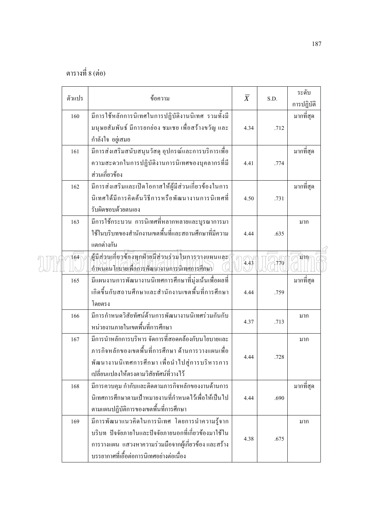| ตัวแปร | ข้อความ                                                                                                                                                                                                   | $\overline{X}$ | S.D. | ระดับ<br>การปฏิบัติ |
|--------|-----------------------------------------------------------------------------------------------------------------------------------------------------------------------------------------------------------|----------------|------|---------------------|
| 160    | มีการใช้หลักการนิเทศในการปฏิบัติงานนิเทศ รวมทั้งมี<br>มนุษยสัมพันธ์ มีการยกย่อง ชมเชย เพื่อสร้างขวัญ และ<br>กำลังใจ อยู่เสมอ                                                                              | 4.34           | .712 | มากที่สุด           |
| 161    | มีการส่งเสริมสนับสนุนวัสดุ อุปกรณ์และการบริการเพื่อ<br>ความสะดวกในการปฏิบัติงานการนิเทศของบุคลากรที่มี<br>ส่วนเกี่ยวข้อง                                                                                  | 4.41           | .774 | มากที่สุด           |
| 162    | มีการส่งเสริมและเปิดโอกาสให้ผู้มีส่วนเกี่ยวข้องในการ<br>นิเทศใด้มีการคิดค้นวิธีการหรือพัฒนางานการนิเทศที่<br>รับผิดชอบด้วยตนเอง                                                                           | 4.50           | .731 | มากที่สุด           |
| 163    | มีการใช้กระบวน การนิเทศที่หลากหลายและบูรณาการมา<br>ใช้ในบริบทของสำนักงานเขตพื้นที่และสถานศึกษาที่มีความ<br>แตกต่างกัน                                                                                     | 4.44           | .635 | มาก                 |
| 164    | ผู้มีส่วนเกี่ยวข้องทุกฝ่ายมีส่วนร่วมในการวางแผนและ\<br>กำหนดนโยบายเพื่อการพัฒนางานการนิเทศการศึกษา                                                                                                        | 4.43           | 1770 | มาก                 |
| 165    | มีแผนงานการพัฒนางานนิเทศการศึกษาที่มุ่งเน้นเพื่อผลที่<br>เกิดขึ้นกับสถานศึกษาและสำนักงานเขตพื้นที่การศึกษา<br>โดยตรง                                                                                      | 4.44           | .759 | มากที่สุด           |
| 166    | มีการกำหนดวิสัยทัศน์ด้านการพัฒนางานนิเทศร่วมกันกับ<br>หน่วยงานภายในเขตพื้นที่การศึกษา                                                                                                                     | 4.37           | .713 | มาก                 |
| 167    | มีการนำหลักการบริหาร จัดการที่สอดคล้องกับนโยบายและ<br>ภารกิจหลักของเขตพื้นที่การศึกษา ด้านการวางแผนเพื่อ<br>พัฒนางานนิเทศการศึกษา เพื่อนำไปสู่การบริหารการ<br>เปลี่ยนแปลงให้ตรงตามวิสัยทัศน์ที่วางไว้     | 4.44           | .728 | มาก                 |
| 168    | มีการควบคุม กำกับและติดตามภารกิจหลักของงานด้านการ<br>นิเทศการศึกษาตามเป้าหมายงานที่กำหนดไว้เพื่อให้เป็นไป<br>ตามแผนปฏิบัติการของเขตพื้นที่การศึกษา                                                        | 4.44           | .690 | มากที่สุด           |
| 169    | มีการพัฒนาแนวกิดในการนิเทศ โดยการนำความรู้จาก<br>บริบท ปัจจัยภายในและปัจจัยภายนอกที่เกี่ยวข้องมาใช้ใน<br>การวางแผน แสวงหาความร่วมมือจากผู้เกี่ยวข้องและสร้าง<br>บรรยากาศที่เอื้อต่อการนิเทศอย่างต่อเนื่อง | 4.38           | .675 | มาก                 |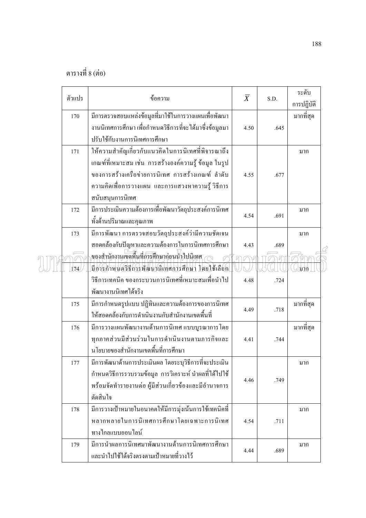|  | ตัวแปร | ข้อความ                                                                                                                                                                                                                                   | $\overline{X}$ | S.D. | ระดับ<br>การปฏิบัติ |  |
|--|--------|-------------------------------------------------------------------------------------------------------------------------------------------------------------------------------------------------------------------------------------------|----------------|------|---------------------|--|
|  | 170    | มีการตรวจสอบแหล่งข้อมูลที่มาใช้ในการวางแผนเพื่อพัฒนา<br>งานนิเทศการศึกษา เพื่อกำหนดวิธีการที่จะได้มาซึ่งข้อมูลมา<br>ปรับใช้กับงานการนิเทศการศึกษา                                                                                         | 4.50           | .645 | มากที่สุด           |  |
|  | 171    | ให้ความสำคัญเกี่ยวกับแนวคิดในการนิเทศที่พิจารณาถึง<br>เกณฑ์ที่เหมาะสม เช่น การสร้างองค์ความรู้ ข้อมูล ในรูป<br>ของการสร้างเครือข่ายการนิเทศ การสร้างเกณฑ์ ลำดับ<br>้ความคิดเพื่อการวางแผน และการแสวงหาความรู้ วิธีการ<br>สนับสนุนการนิเทศ | 4.55           | .677 | มาก                 |  |
|  | 172    | มีการประเมินความต้องการเพื่อพัฒนาวัตถุประสงค์การนิเทศ<br>ทั้งค้านปริมาณและคุณภาพ                                                                                                                                                          | 4.54           | .691 | มาก                 |  |
|  | 173    | มีการพัฒนา การตรวจสอบวัตถุประสงค์ว่ามีความชัดเจน<br>สอดคล้องกับปัญหาและความต้องการในการนิเทศการศึกษา                                                                                                                                      | 4.43           | .689 | มาก                 |  |
|  | 174    | งองสำนักงานเขตพื้นที่การศึกษาก่อนน้ำไปนิเทศ<br>มีการกำหนดวิธีการพัฒนานิเทศการศึกษา โดยใช้เลือก<br>วิธีการเทคนิค ของกระบวนการนิเทศที่เหมาะสมเพื่อนำไป<br>พัฒนางานนิเทศได้จริง                                                              | 4.48           | .724 | มาก                 |  |
|  | 175    | มีการกำหนดรูปแบบ ปฏิทินและความต้องการของการนิเทศ<br>ให้สอดคล้องกับการคำเนินงานกับสำนักงานเขตพื้นที่                                                                                                                                       | 4.49           | .718 | มากที่สุด           |  |
|  | 176    | มีการวางแผนพัฒนางานด้านการนิเทศ แบบบูรณาการโดย<br>ทุกภาคส่วนมีส่วนร่วมในการคำเนินงานตามภารกิจและ<br>นโยบายของสำนักงานเขตพื้นที่การศึกษา                                                                                                   | 4.41           | .744 | มากที่สุด           |  |
|  | 177    | มีการพัฒนาด้านการประเมินผล โดยระบุวิธีการที่จะประเมิน<br>้กำหนดวิธีการรวบรวมข้อมูล การวิเคราะห์ นำผลที่ได้ไปใช้<br>ี พร้อมจัดทำรายงานต่อ ผู้มีส่วนเกี่ยวข้องและมีอำนาจการ<br>ตัดสินใจ                                                     | 4.46           | .749 | มาก                 |  |
|  | 178    | มีการวางเป้าหมายในอนาคตให้มีการมุ่งเน้นการใช้เทคนิคที่<br>หลากหลายในการนิเทศการศึกษาโดยเฉพาะการนิเทศ<br>ทางไกลแบบออนไลน์                                                                                                                  | 4.54           | .711 | มาก                 |  |
|  | 179    | มีการนำผลการนิเทศมาพัฒนางานด้านการนิเทศการศึกษา<br>และนำไปใช้ได้จริงตรงตามเป้าหมายที่วางไว้                                                                                                                                               | 4.44           | .689 | มาก                 |  |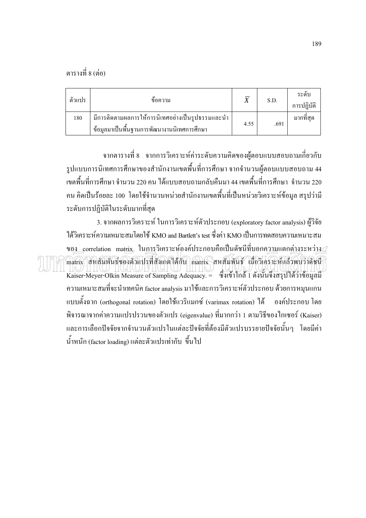| ตัวแปร | ข์อความ                                                                                         |      | S.D. | ระดับ<br>การปฏิบัติ |
|--------|-------------------------------------------------------------------------------------------------|------|------|---------------------|
| 180    | มีการติดตามผลการให้การนิเทศอย่างเป็นรูปธรรมและนำ<br>ข้อมูลมาเป็นพื้นฐานการพัฒนางานนิเทศการศึกษา | 4.55 | .691 | มากที่สุด           |

จากตารางที่ 8 จากการวิเคราะห์ค่าระดับความกิดของผู้ตอบแบบสอบถามเกี่ยวกับ รูปแบบการนิเทศการศึกษาของสำนักงานเขตพื้นที่การศึกษา จากจำนวนผู้ตอบแบบสอบถาม 44 เขตพื้นที่การศึกษา จำนวน 220 คน ได้แบบสอบถามกลับคืนมา 44 เขตพื้นที่การศึกษา จำนวน 220 ֚֚֚֡<br>֚֚֚֚ ĺ คน คิดเป็นร้อยละ 100 โดยใช้จำนวนหน่วยสำนักงานเขตพื้นที่เป็นหน่วยวิเคราะห์ข้อมูล สรุปว่ามี ׅׅ֖֖֖ׅ֖ׅ֖ׅ֖ׅ֖ׅ֪ׅׅ֖֧֧ׅ֧֚֚֚֚֚֚֚֚֚֚֡֕֘֝֬֝֬֝֬֝֝֟֓֝֬֝֝֟֓֞֟֬֝֬֝֬֝֬֝֬֝֬֝֬֝֬֞֝֬֝֬֝֬֝֬֝֬֝֬֝֬֝֬֝֞֝֬֝֬֝֬ ระดับการปฏิบัติในระดับมากที่สุด

3. จากผลการวิเคราะห์ ในการวิเคราะห์ตัวประกอบ (exploratory factor analysis) ผู้วิจัย ได้วิเคราะห์ความเหมาะสมโดยใช้ KMO and Bartlett's test ซึ่งค่า KMO เป็นการทดสอบความเหมาะสม ขอ<u>ง c</u>orrelation matrix, ใน<u>การ</u>วิเคราะห์องค์ประกอบคือเป็นดัชนีที่บอกค<u>วาม</u>แตกต่<u>าง</u>ระหว่<u>าง</u> matrix สหสัมพันธ์ของตัวแปรที่สัมกตใด้กับ matrix สหสัมพันธ์ เมื่อวิเคราะห์แล้วพบว่าดัชนี ľ Kaiser-Meyer-Olkin Measure of Sampling Adequacy. = ซึ่งเข้าใกล้ 1 ดังนั้นจึงสรุปใด้ว่าข้อมูลมี ความเหมาะสมที่จะนำเทคนิค factor analysis มาใช้และการวิเคราะห์ตัวประกอบ ด้วยการหมุนแกน แบบตั้งฉาก (orthogonal rotation) โดยใช้แวริแมกซ์ (varimax rotation) ใค้ อง ค์ประกอบ โดย พิจารณาจากค่าความแปรปรวนของตัวแปร (eigenvalue) ที่มากกว่า 1 ตามวิธีของไกเซอร์ (Kaiser) และการเลือกปัจจัยจากจำนวนตัวแปรในแต่ละปัจจัยที่ต้องมีตัวแปรบรรยายปัจจัยนั้นๆ โดยมีค่า น้ำหนัก (factor loading) แต่ละตัวแปรเท่ากับ ขึ้นไป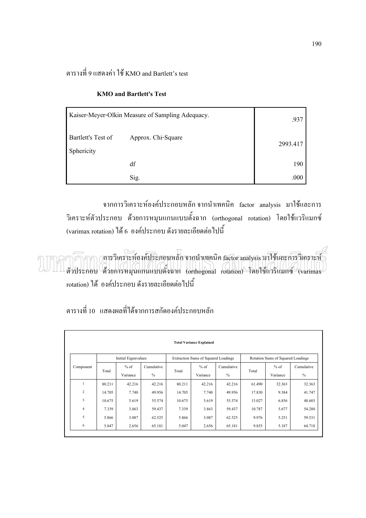ตารางที่ 9 แสดงค่า ใช้ KMO and Bartlett's test

| Kaiser-Meyer-Olkin Measure of Sampling Adequacy. | .937               |          |
|--------------------------------------------------|--------------------|----------|
| Bartlett's Test of<br>Sphericity                 | Approx. Chi-Square | 2993.417 |
|                                                  | df                 | 190      |
|                                                  | Sig.               | .000     |

#### **KMO and Bartlett's Test**

จากการวิเคราะห์องค์ประกอบหลัก จากนำเทคนิค factor analysis มาใช้และการ วิเคราะห์ตัวประกอบ ด้วยการหมุนแกนแบบตั้งฉาก (orthogonal rotation) โดยใช้แวริแมกซ์ ĺ (varimax rotation) ใค้ 6 องค์ประกอบ ดังรายละเอียดต่อไปนี้

 $\cap$  (การวิเคราะห์องค์ประกอบหลัก จากนำเทคนิค factor analysis มาใช้และการวิเคราะห์ ตัวประกอบ ด้วยการหมุนแกนแบบตั้งฉาก (orthogonal rotation) โดยใช้แวริแมกซ์ (varimax rotation) ได้ องค์ประกอบ ดังรายละเอียดต่อไปนี้

|                |        |                     |            |        | <b>Total Variance Explained</b>            |               |        |                                   |            |
|----------------|--------|---------------------|------------|--------|--------------------------------------------|---------------|--------|-----------------------------------|------------|
|                |        | Initial Eigenvalues |            |        | <b>Extraction Sums of Squared Loadings</b> |               |        | Rotation Sums of Squared Loadings |            |
| Component      |        | $%$ of              | Cumulative |        | $%$ of                                     | Cumulative    |        | $%$ of                            | Cumulative |
|                | Total  | Variance            | $\%$       | Total  | Variance                                   | $\frac{0}{0}$ | Total  | Variance                          | $\%$       |
|                | 80.211 | 42.216              | 42.216     | 80.211 | 42.216                                     | 42.216        | 61.490 | 32.363                            | 32.363     |
| $\overline{c}$ | 14.705 | 7.740               | 49.956     | 14.705 | 7.740                                      | 49.956        | 17.830 | 9.384                             | 41.747     |
| 3              | 10.675 | 5.619               | 55.574     | 10.675 | 5.619                                      | 55.574        | 13.027 | 6.856                             | 48.603     |
| $\overline{4}$ | 7.339  | 3.863               | 59.437     | 7.339  | 3.863                                      | 59.437        | 10.787 | 5.677                             | 54.280     |
| 5              | 5.866  | 3.087               | 62.525     | 5.866  | 3.087                                      | 62.525        | 9.976  | 5.251                             | 59.531     |
| 6              | 5.047  | 2.656               | 65.181     | 5.047  | 2.656                                      | 65.181        | 9.855  | 5.187                             | 64.718     |

ตารางที่ 10 แสดงผลที่ได้จากการสกัดองค์ประกอบหลัก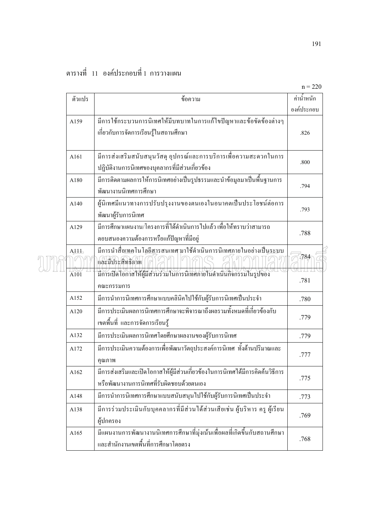|  |  | ตารางที่ 11 องค์ประกอบที่1 การวางแผน |
|--|--|--------------------------------------|

|  |                   |                                                                                                                             | $H = 220$<br>ค่าน้ำหนัก |
|--|-------------------|-----------------------------------------------------------------------------------------------------------------------------|-------------------------|
|  | ตัวแปร            | ข้อความ                                                                                                                     | องค์ประกอบ              |
|  |                   | มีการใช้กระบวนการนิเทศให้มีบทบาทในการแก้ไขปัญหาและข้อขัดข้องต่างๆ                                                           |                         |
|  | A159              | เกี่ยวกับการจัดการเรียนรู้ในสถานศึกษา                                                                                       | .826                    |
|  |                   |                                                                                                                             |                         |
|  | A161              | มีการส่งเสริมสนับสนุนวัสดุ อุปกรณ์และการบริการเพื่อความสะดวกในการ                                                           | .800                    |
|  |                   | ปฏิบัติงานการนิเทศของบุคลากรที่มีส่วนเกี่ยวข้อง                                                                             |                         |
|  | A180              | มีการติดตามผลการให้การนิเทศอย่างเป็นรูปธรรมและนำข้อมูลมาเป็นพื้นฐานการ<br>พัฒนางานนิเทศการศึกษา                             | .794                    |
|  | A140              | ผู้นิเทศมีแนวทางการปรับปรุงงานของตนเองในอนาคตเป็นประโยชน์ต่อการ<br>พัฒนาผู้รับการนิเทศ                                      | .793                    |
|  | A129              | มีการศึกษาแผนงาน/โครงการที่ได้ดำเนินการไปแล้ว เพื่อให้ทราบว่าสามารถ<br>ตอบสนองความต้องการหรือแก้ปัญหาที่มีอยู่              |                         |
|  | A <sub>111</sub>  | มีการนำสื่อ <u>เทค</u> โนโ <u>ลยีสา</u> รสนเทศ มาใช้คำเนินการนิเทศภายในอย่างเป็น <u>ระบ</u> บ<br>และมีประสิทธิภาพ           | 784                     |
|  | $\overline{A101}$ | มีการเปิดโอกาสให้ผู้มีส่วนร่วมในการนิเทศภายในดำเนินกิจกรรมในรูปของ<br>คณะกรรมการ                                            | .781                    |
|  | A152              | มีการนำการนิเทศการศึกษาแบบคลินิคไปใช้กับผู้รับการนิเทศเป็นประจำ                                                             | .780                    |
|  | A120              | มีการประเมินผลการนิเทศการศึกษาจะพิจารณาถึงผลรวมทั้งหมดที่เกี่ยวข้องกับ<br>เขตพื้นที่ และการจัดการเรียนรู้                   | .779                    |
|  | A132              | มีการประเมินผลการนิเทศโดยศึกษาผลงานของผู้รับการนิเทศ                                                                        | .779                    |
|  | A172              | มีการประเมินความต้องการเพื่อพัฒนาวัตถุประสงค์การนิเทศ ทั้งด้านปริมาณและ<br>คุณภาพ                                           | .777                    |
|  | A162              | มีการส่งเสริมและเปิดโอกาสให้ผู้มีส่วนเกี่ยวข้องในการนิเทศได้มีการคิดค้นวิธีการ<br>หรือพัฒนางานการนิเทศที่รับผิดชอบด้วยตนเอง | .775                    |
|  | A148              | มีการนำการนิเทศการศึกษาแบบสนับสนุนไปใช้กับผู้รับการนิเทศเป็นประจำ                                                           | .773                    |
|  | A138              | มีการร่วมประเมินกับบุคคลากรที่มีส่วนใค้ส่วนเสียเช่น ผู้บริหาร ครู ผู้เรียน<br>ผู้ปกครอง                                     | .769                    |
|  | A165              | มีแผนงานการพัฒนางานนิเทศการศึกษาที่มุ่งเน้นเพื่อผลที่เกิดขึ้นกับสถานศึกษา<br>และสำนักงานเขตพื้นที่การศึกษาโดยตรง            | .768                    |

 $n = 220$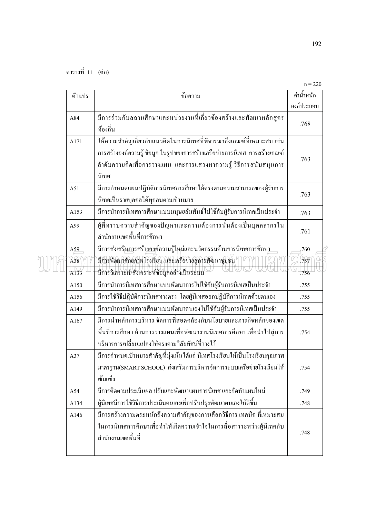|  |             |                                                                                                                                                                                                                                    | $n = 220$    |
|--|-------------|------------------------------------------------------------------------------------------------------------------------------------------------------------------------------------------------------------------------------------|--------------|
|  | ตัวแปร      | ข้อความ                                                                                                                                                                                                                            | ้ค่าน้ำหนัก  |
|  |             |                                                                                                                                                                                                                                    | องค์ประกอบ   |
|  | A84         | มีการร่วมกับสถานศึกษาและหน่วยงานที่เกี่ยวข้องสร้างและพัฒนาหลักสูตร<br>ท้องถิ่น                                                                                                                                                     | .768         |
|  | A171        | ให้ความสำคัญเกี่ยวกับแนวคิดในการนิเทศที่พิจารณาถึงเกณฑ์ที่เหมาะสม เช่น<br>การสร้างองค์ความรู้ ข้อมูล ในรูปของการสร้างเครือข่ายการนิเทศ การสร้างเกณฑ์<br>ลำดับความคิดเพื่อการวางแผน และการแสวงหาความรู้ วิธีการสนับสนุนการ<br>นิเทศ | .763         |
|  | A51         | มีการกำหนดแผนปฏิบัติการนิเทศการศึกษาได้ตรงตามความสามารถของผู้รับการ<br>นิเทศเป็นรายบุคคลได้ทุกคนตามเป้าหมาย                                                                                                                        | .763         |
|  | A153        | มีการนำการนิเทศการศึกษาแบบมนุษยสัมพันธ์ไปใช้กับผู้รับการนิเทศเป็นประจำ                                                                                                                                                             | .763         |
|  | A99         | ผู้ที่ทราบความสำคัญของปัญหาและความต้องการนั้นต้องเป็นบุคคลากรใน<br>สำนักงานเขตพื้นที่การศึกษา                                                                                                                                      | .761         |
|  | A59         | มีการส่งเสริ <u>มกา</u> รสร้า <u>งอง</u> ค์ความรู้ใหม่และนวัตกรรมด้านการนิเทศการศึกษ <u>า</u>                                                                                                                                      | .760         |
|  | A38<br>A133 | มีการพัฒนาศักยภาพโรงเรียน และเครือข่ายสู่การพัฒนาชุมชน<br><u>นิการวิเคราะห์/สังเคราะห์ข้อมูลอย่างเป็นระบบ</u>                                                                                                                      | .757<br>.756 |
|  | A150        | มีการนำการนิเทศการศึกษาแบบพัฒนาการไปใช้กับผู้รับการนิเทศเป็นประจำ                                                                                                                                                                  | .755         |
|  | A156        | มีการใช้วิธีปฏิบัติการนิเทศทางตรง โดยผู้นิเทศออกปฏิบัติการนิเทศด้วยตนเอง                                                                                                                                                           | .755         |
|  | A149        | มีการนำการนิเทศการศึกษาแบบพัฒนาตนเองไปใช้กับผู้รับการนิเทศเป็นประจำ                                                                                                                                                                | .755         |
|  | A167        | มีการนำหลักการบริหาร จัดการที่สอดคล้องกับนโยบายและภารกิจหลักของเขต<br>พื้นที่การศึกษา ด้านการวางแผนเพื่อพัฒนางานนิเทศการศึกษา เพื่อนำไปสู่การ<br><u>บริหารการเปลี่ยนแปลงให้ตรงตามวิสัยทัศน์ที่วางไว้</u>                           | .754         |
|  | A37         | ้มีการกำหนดเป้าหมายสำคัญที่มุ่งเน้นได้แก่ นิเทศโรงเรียนให้เป็นโรงเรียนคุณภาพ<br>มาตรฐาน(SMART SCHOOL) ส่งเสริมการบริหารจัดการระบบเครือข่ายโรงเรียนให้<br>เข้มแข็ง                                                                  | .754         |
|  | A54         | มีการติดตามประเมินผล ปรับและพัฒนาแผนการนิเทศ และจัดทำแผนใหม่                                                                                                                                                                       | .749         |
|  | A134        | ผู้นิเทศมีการใช้วิธีการประเมินตนเองเพื่อปรับปรุงพัฒนาตนเองให้ดีขึ้น                                                                                                                                                                | .748         |
|  | A146        | มีการสร้างความตระหนักถึงความสำคัญของการเลือกวิธีการ เทคนิค ที่เหมาะสม<br>ในการนิเทศการศึกษาเพื่อทำให้เกิดความเข้าใจในการสื่อสารระหว่างผู้นิเทศกับ<br>สำนักงานเขตพื้นที่                                                            | .748         |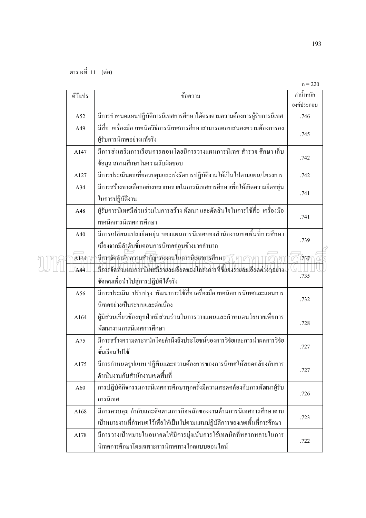|  |         |                                                                               | $n = 220$    |  |
|--|---------|-------------------------------------------------------------------------------|--------------|--|
|  | ตัวัแปร | ข้อความ                                                                       | ค่าน้ำหนัก   |  |
|  |         |                                                                               | องค์ประกอบ   |  |
|  | A52     | มีการกำหนดแผนปฏิบัติการนิเทศการศึกษาได้ตรงตามความต้องการผู้รับการนิเทศ        | .746         |  |
|  | A49     | มีสื่อ  เครื่องมือ เทคนิควิธีการนิเทศการศึกษาสามารถตอบสนองความต้องการอง       | .745         |  |
|  |         | ผู้รับการนิเทศอย่างแท้จริง                                                    |              |  |
|  | A147    | มีการส่งเสริมการเรียนการสอนโดยมีการวางแผนการนิเทศ สำรวจ ศึกษา เกี่บ           | .742         |  |
|  |         | ข้อมูล สถานศึกษาในความรับผิดชอบ                                               |              |  |
|  | A127    | มีการประเมินผลเพื่อควบคุมและเร่งรัดการปฏิบัติงานให้เป็นไปตามแผน/โครงการ       | .742         |  |
|  | A34     | มีการสร้างทางเลือกอย่างหลากหลายในการนิเทศการศึกษาเพื่อให้เกิดความยืดหยุ่น     |              |  |
|  |         | ในการปฏิบัติงาน                                                               | .741         |  |
|  | A48     | ผู้รับการนิเทศมีส่วนร่วมในการสร้าง พัฒนา และตัดสินใจในการใช้สื่อ  เครื่องมือ  |              |  |
|  |         | เทคนิคการนิเทศการศึกษา                                                        | .741         |  |
|  | A40     | มีการเปลี่ยนแปลงยืดหยุ่น ของแผนการนิเทศของสำนักงานเขตพื้นที่การศึกษา          |              |  |
|  |         | เนื่องจากมีลำดับขั้นตอนการนิเทศค่อนข้างยากลำบาก                               | .739         |  |
|  | A144    | มีการจัดลำดับความสำคัญของงานในการนิเทศการศึกษา⁄                               | $\sqrt{737}$ |  |
|  | A44     | .<br>มีการจัดทำแผนการนิเทศมีรายละเอียดของโกรงการที่ชี้แจงรายละเอียดต่างๆอย่าง | .735         |  |
|  |         | ชัดเจนเพื่อนำไปสู่การปฏิบัติได้จริง                                           |              |  |
|  | A56     | มีการประเมิน ปรับปรุง พัฒนาการใช้สื่อเครื่องมือเทคนิคการนิเทศและแผนการ        |              |  |
|  |         | นิเทศอย่างเป็นระบบและต่อเนื่อง                                                | .732         |  |
|  | A164    | ผู้มีส่วนเกี่ยวข้องทุกฝ่ายมีส่วนร่วมในการวางแผนและกำหนดนโยบายเพื่อการ         |              |  |
|  |         | พัฒนางานการนิเทศการศึกษา                                                      | .728         |  |
|  | A75     | มีการสร้างความตระหนักโดยคำนึงถึงประโยชน์ของการวิจัยและการนำผลการวิจัย         |              |  |
|  |         | ชั้นเรียนไปใช้                                                                | .727         |  |
|  | A175    | มีการกำหนดรูปแบบ ปฏิทินและความต้องการของการนิเทศให้สอดคล้องกับการ             |              |  |
|  |         | ดำเนินงานกับสำนักงานเขตพื้นที่                                                | .727         |  |
|  | A60     | การปฏิบัติกิจกรรมการนิเทศการศึกษาทุกครั้งมีความสอดคล้องกับการพัฒนาผู้รับ      |              |  |
|  |         | การนิเทศ                                                                      | .726         |  |
|  | A168    | มีการควบคุม กำกับและติดตามภารกิจหลักของงานด้านการนิเทศการศึกษาตาม             |              |  |
|  |         | เป้าหมายงานที่กำหนดไว้เพื่อให้เป็นไปตามแผนปฏิบัติการของเขตพื้นที่การศึกษา     | .723         |  |
|  | A178    | มีการวางเป้าหมายในอนาคตให้มีการมุ่งเน้นการใช้เทคนิคที่หลากหลายในการ           | .722         |  |
|  |         | นิเทศการศึกษาโดยเฉพาะการนิเทศทางใกลแบบออนใลน์                                 |              |  |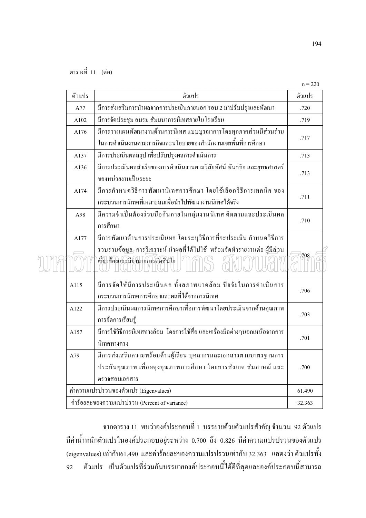n me

|        |                                                                                                                                         | $n = 220$ |
|--------|-----------------------------------------------------------------------------------------------------------------------------------------|-----------|
| ตัวแปร | ตัวแปร                                                                                                                                  | ตัวแปร    |
| A77    | มีการส่งเสริมการนำผลจากการประเมินภายนอก รอบ 2 มาปรับปรุงและพัฒนา                                                                        | .720      |
| A102   | มีการจัดประชุม อบรม สัมมนาการนิเทศภายในโรงเรียน                                                                                         | .719      |
| A176   | มีการวางแผนพัฒนางานด้านการนิเทศ แบบบูรณาการโดยทุกภาคส่วนมีส่วนร่วม                                                                      | .717      |
|        | ในการคำเนินงานตามภารกิจและนโยบายของสำนักงานเขตพื้นที่การศึกษา                                                                           |           |
| A137   | มีการประเมินผลสรุป เพื่อปรับปรุงผลการคำเนินการ                                                                                          | .713      |
| A136   | มีการประเมินผลสำเร็จของการคำเนินงานตามวิสัยทัศน์ พันธกิจ และยุทธศาสตร์                                                                  | .713      |
|        | ของหน่วยงานเป็นระยะ                                                                                                                     |           |
| A174   | มีการกำหนดวิธีการพัฒนานิเทศการศึกษา โดยใช้เลือกวิธีการเทคนิค ของ<br>้กระบวนการนิเทศที่เหมาะสมเพื่อนำไปพัฒนางานนิเทศได้จริง              | .711      |
| A98    | มีความจำเป็นต้องร่วมมือกันภายในกลุ่มงานนิเทศ ติดตามและประเมินผล                                                                         | .710      |
|        | การศึกษา                                                                                                                                |           |
| A177   | มีการพัฒนาด้านการประเมินผล โดยระบุวิธีการที่จะประเมิน กำหนดวิธีการ                                                                      |           |
|        | รวบรวมข้อ <u>มูล,</u> การ <u>วิเคร</u> าะห์ นำผุลที่ได้ไปใช้  พร้อมจัดทำรายงานต่อ ผู้ <u>มีส่</u> วน<br>เกี่ยวข้องและมีอำนาจการตัดสินใจ | 708       |
| A115   | มีการจัดให้มีการประเมินผล ทั้งสภาพแวคล้อม ปัจจัยในการคำเนินการ<br>้กระบวนการนิเทศการศึกษาและผลที่ได้จากการนิเทศ                         | .706      |
| A122   | มีการประเมินผลการนิเทศการศึกษาเพื่อการพัฒนาโดยประเมินจากด้านคุณภาพ<br>การจัดการเรียนรู้                                                 | .703      |
| A157   | มีการใช้วิธีการนิเทศทางอ้อม  โดยการใช้สื่อ และเครื่องมือต่างๆนอกเหนือจากการ<br>นิเทศทางตรง                                              | .701      |
| A79    | มีการส่งเสริมความพร้อมด้านผู้เรียน บุคลากรและเอกสารตามมาตรฐานการ                                                                        |           |
|        | ประกันคุณภาพ เพื่อผคุงคุณภาพการศึกษา โดยการสังเกต สัมภาษณ์ และ                                                                          | .700      |
|        | ตรวจสอบเอกสาร                                                                                                                           |           |
|        | ค่าความแปรปรวนของตัวแปร (Eigenvalues)                                                                                                   | 61.490    |
|        | ค่าร้อยละของความแปรปรวน (Percent of variance)                                                                                           | 32.363    |

ิจากตาราง 11 พบว่าองค์ประกอบที่ 1 บรรยายด้วยตัวแปรสำคัญ จำนวน 92 ตัวแปร ้มีค่าน้ำหนักตัวแปรในองค์ประกอบอยู่ระหว่าง 0.700 ถึง 0.826 มีค่าความแปรปรวนของตัวแปร (eigenvalues) เท่ากับ61.490 และค่าร้อยละของความแปรปรวนเท่ากับ 32.363 แสดงว่า ตัวแปรทั้ง ์ ตัวแปร เป็นตัวแปรที่ร่วมกันบรรยายองค์ประกอบนี้ได้ดีที่สุดและองค์ประกอบนี้สามารถ 92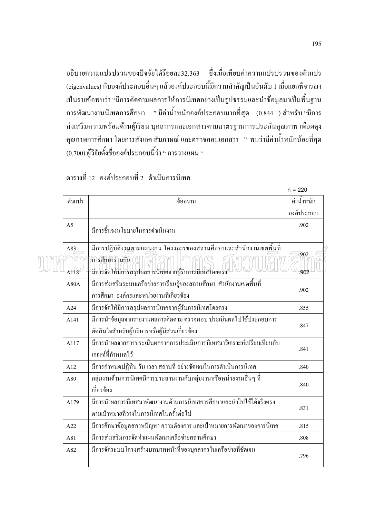อธิบายความแปรปรวนของปัจจัยได้ร้อยละ32.363 ซึ่งเมื่อเทียบค่าความแปรปรวนของตัวแปร (eigenvalues) กับองค์ประกอบอื่นๆ แล้วองค์ประกอบนี้มีความสำคัญเป็นอันดับ 1 เมื่อแยกพิจารณา ้เป็นรายข้อพบว่า "มีการติดตามผลการให้การนิเทศอย่างเป็นรูปธรรมและนำข้อมูลมาเป็นพื้นฐาน ึการพัฒนางานนิเทศการศึกษา "มีค่าน้ำหนักองค์ประกอบมากที่สุด (0.844 )สำหรับ "มีการ ี่ ส่งเสริมความพร้อมด้านผู้เรียน บุคลากรและเอกสารตามมาตรฐานการประกันคุณภาพ เพื่อผดุง ่ คุณภาพการศึกษา โดยการสังเกต สัมภาษณ์ และตรวจสอบเอกสาร " พบว่ามีค่าน้ำหนักน้อยที่สุด (0.700) ผู้วิจัยตั้งชื่อองค์ประกอบนี้ว่า " การวางแผน "

ตารางที่ 12 องค์ประกอบที่ 2 คำเนินการนิเทศ

 $\int$ 

|                |                                                                                                                                                                 | $n = 220$    |
|----------------|-----------------------------------------------------------------------------------------------------------------------------------------------------------------|--------------|
| ตัวแปร         | ข้อความ                                                                                                                                                         | ค่าน้ำหนัก   |
|                |                                                                                                                                                                 | องค์ประกอบ   |
| A <sub>5</sub> | มีการชี้แจงนโยบายในการคำเนินงาน                                                                                                                                 | .902         |
| A83<br>A118    | มีการปฏิบัติง <u>านต</u> ามแผ <u>นง</u> าน โครงการของสถานศึกษาและสำนักงานเขตพื้นที่<br>การศึกษาร่วมกัน<br>มีการจัดให้มีการสรุปผลการนิเทศจากผู้รับการนิเทศโดยตรง | .902<br>.902 |
| A80A           | มีการส่งเสริมระบบเครือข่ายการเรียนรู้ของสถานศึกษา สำนักงานเขตพื้นที่<br>การศึกษา องค์กรและหน่วยงานที่เกี่ยวข้อง                                                 | .902         |
| A24            | มีการจัดให้มีการสรุปผลการนิเทศจากผู้รับการนิเทศโดยตรง                                                                                                           | .855         |
| A141           | มีการนำข้อมูลจากรายงานผลการติดตาม ตรวจสอบ ประเมินผลไปใช้ประกอบการ<br>ตัดสินใจสำหรับผู้บริหารหรือผู้มีส่วนเกี่ยวข้อง                                             | .847         |
| A117           | มีการนำผลจากการประเมินผลจากการประเมินการนิเทศมาวิเคราะห์เปรียบเทียบกับ<br>เกณฑ์ที่กำหนดไว้                                                                      | .841         |
| A12            | มีการกำหนดปฏิทิน วัน เวลา สถานที่ อย่างชัดเจนในการดำเนินการนิเทศ                                                                                                | .840         |
| A80            | ึกลุ่มงานค้านการนิเทศมีการประสานงานกับกลุ่มงานหรือหน่วยงานอื่นๆ ที่<br>เกี่ยวข้อง                                                                               | .840         |
| A179           | มีการนำผลการนิเทศมาพัฒนางานด้านการนิเทศการศึกษาและนำไปใช้ได้จริงตรง<br>ตามเป้าหมายที่วางในการนิเทศในครั้งต่อไป                                                  | .831         |
| A22            | มีการศึกษาข้อมูลสภาพปัญหา ความต้องการ และเป้าหมายการพัฒนาของการนิเทศ                                                                                            | .815         |
| A81            | มีการส่งเสริมการจัดทำแผนพัฒนาเครือข่ายสถานศึกษา                                                                                                                 | .808         |
| A82            | มีการจัดระบบโครงสร้างบทบาทหน้าที่ของบุคลากรในเครือข่ายที่ชัดเจน                                                                                                 | .796         |

 $\sim$   $\sim$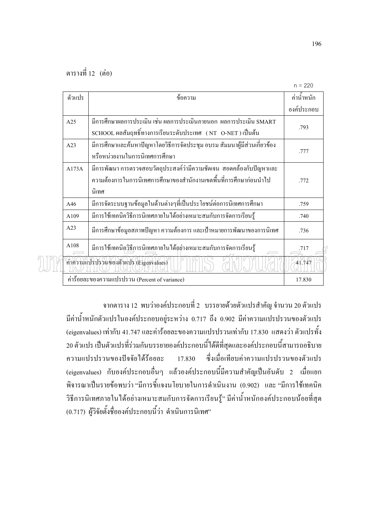$\frac{1}{2}$ 

| ตัวแปร | ข้อความ                                                                                                                                               | ค่านำหนัก  |
|--------|-------------------------------------------------------------------------------------------------------------------------------------------------------|------------|
|        |                                                                                                                                                       | องค์ประกอบ |
| A25    | มีการศึกษาผลการประเมิน เช่น ผลการประเมินภายนอก  ผลการประเมิน SMART<br>SCHOOL ผลสัมฤทธิ์ทางการเรียนระดับประเทศ (NT O-NET) เป็นต้น                      | .793       |
| A23    | มีการศึกษาและค้นหาปัญหาโดยวิธีการจัดประชุม อบรม สัมมนาผู้มีส่วนเกี่ยวข้อง<br>หรือหน่วยงานในการนิเทศการศึกษา                                           | .777       |
| A173A  | มีการพัฒนา การตรวจสอบวัตถุประสงค์ว่ามีความชัดเจน  สอดคล้องกับปัญหาและ<br>้ความต้องการในการนิเทศการศึกษาของสำนักงานเขตพื้นที่การศึกษาก่อนนำไป<br>นิเทศ | .772       |
| A46    | มีการจัดระบบฐานข้อมูลในด้านต่างๆที่เป็นประโยชน์ต่อการนิเทศการศึกษา                                                                                    | .759       |
| A109   | มีการใช้เทคนิควิธีการนิเทศภายในได้อย่างเหมาะสมกับการจัดการเรียนรู้                                                                                    | .740       |
| A23    | มีการศึกษาข้อมูลสภาพปัญหา ความต้องการ และเป้าหมายการพัฒนาของการนิเทศ                                                                                  | .736       |
| A108   | มีการใช้เทคนิควิธีการนิเทศภายในได้อย่างเหมาะสมกับการจัดการเรียนรู้                                                                                    | .717       |
|        | ค่าความแปรปรวนของตัวแปร (Eigenvalues)                                                                                                                 | 41.747     |
|        | ค่าร้อยละของความแปรปรวน (Percent of variance)                                                                                                         | 17.830     |

ึ จากตาราง 12 พบว่าองค์ประกอบที่ 2 บรรยายด้วยตัวแปรสำคัญ จำนวน 20 ตัวแปร ้มีค่าน้ำหนักตัวแปรในองค์ประกอบอยู่ระหว่าง 0.717 ถึง 0.902 มีค่าความแปรปรวนของตัวแปร (eigenvalues) เท่ากับ 41.747 และค่าร้อยละของความแปรปรวนเท่ากับ 17.830 แสดงว่า ตัวแปรทั้ง ่ 20 ตัวแปร เป็นตัวแปรที่ร่วมกันบรรยายองค์ประกอบนี้ได้ดีที่สุดและองค์ประกอบนี้สามารถอธิบาย ซึ่งเมื่อเทียบค่าความแปรปรวนของตัวแปร ความแปรปรวนของปัจจัยได้ร้อยละ 17.830 (eigenvalues) กับองค์ประกอบอื่นๆ แล้วองค์ประกอบนี้มีความสำคัญเป็นอันดับ 2 เมื่อแยก ้พิจารณาเป็นรายข้อพบว่า "มีการชี้แจงนโยบายในการคำเนินงาน (0.902) และ "มีการใช้เทคนิค วิธีการนิเทศภายในได้อย่างเหมาะสมกับการจัดการเรียนรู้" มีค่าน้ำหนักองค์ประกอบน้อยที่สุด (0.717) ผู้วิจัยตั้งชื่อองค์ประกอบนี้ว่า คำเนินการนิเทศ"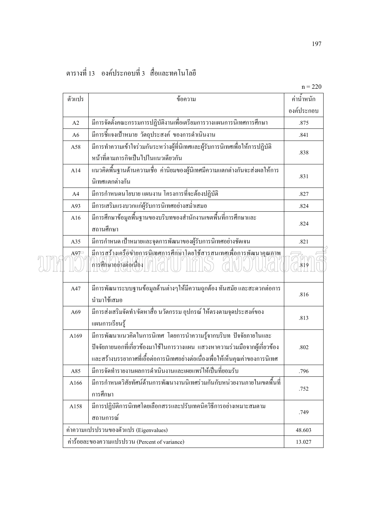| ตารางที่ 13   องค์ประกอบที่ 3   สื่อและทคโนโลยี |  |  |
|-------------------------------------------------|--|--|
|                                                 |  |  |
|                                                 |  |  |

|  | ตัวแปร         | ข้อความ                                                                                                                                                                                                                            | ค่ำน้ำหนัก |
|--|----------------|------------------------------------------------------------------------------------------------------------------------------------------------------------------------------------------------------------------------------------|------------|
|  |                |                                                                                                                                                                                                                                    | องค์ประกอบ |
|  | A2             | มีการจัดตั้งคณะกรรมการปฏิบัติงานเพื่อเตรียมการวางแผนการนิเทศการศึกษา                                                                                                                                                               | .875       |
|  | A <sub>6</sub> | มีการชี้แจงเป้าหมาย วัตถุประสงค์ ของการคำเนินงาน                                                                                                                                                                                   | .841       |
|  | A58            | มีการทำความเข้าใจร่วมกันระหว่างผู้ที่นิเทศและผู้รับการนิเทศเพื่อให้การปฏิบัติ                                                                                                                                                      |            |
|  |                | หน้าที่ตามภารกิจเป็นไปในแนวเดียวกัน                                                                                                                                                                                                | .838       |
|  | A14            | แนวกิดพื้นฐานด้านกวามเชื่อ ค่านิยมของผู้นิเทศมีกวามแตกต่างกันจะส่งผลให้การ                                                                                                                                                         |            |
|  |                | นิเทศแตกต่างกัน                                                                                                                                                                                                                    | .831       |
|  | A4             | มีการกำหนดนโยบาย แผนงาน โครงการที่จะต้องปฏิบัติ                                                                                                                                                                                    | .827       |
|  | A93            | มีการเสริมแรงบวกแก่ผู้รับการนิเทศอย่างสม่ำเสมอ                                                                                                                                                                                     | .824       |
|  | A16            | มีการศึกษาข้อมูลพื้นฐานของบริบทของสำนักงานเขตพื้นที่การศึกษาและ                                                                                                                                                                    |            |
|  |                | สถานศึกษา                                                                                                                                                                                                                          | .824       |
|  | A35            | มีการกำหนด เป้าหมายและจุดการพัฒนาของผู้รับการนิเทศอย่างชัดเจน                                                                                                                                                                      | .821       |
|  | A97            | <u>มีการสร้างเครือข่ายการนิเทศการศึกษาโดยใช้สารสนเทศเพื่อการพัฒนาคุณภาพ</u><br>การศึกษาอย่างต่อเนื่อง                                                                                                                              | .819       |
|  | A47            | มีการพัฒนาระบบฐานข้อมูลด้านต่างๆให้มีความถูกต้อง ทันสมัย และสะดวกต่อการ<br>นำมาใช้เสมอ                                                                                                                                             | .816       |
|  | A69            | มีการส่งเสริมจัดทำ/จัดหาสื่อ นวัตกรรม อุปกรณ์ ให้ตรงตามจุดประสงค์ของ<br>แผนการเรียนรู้                                                                                                                                             | .813       |
|  | A169           | มีการพัฒนาแนวคิดในการนิเทศ โดยการนำความรู้จากบริบท ปัจจัยภายในและ<br>ปัจจัยภายนอกที่เกี่ยวข้องมาใช้ในการวางแผน แสวงหาความร่วมมือจากผู้เกี่ยวข้อง<br>และสร้างบรรยากาศที่เอื้อต่อการนิเทศอย่างต่อเนื่องเพื่อให้เห็นคุณค่าของการนิเทศ | .802       |
|  | A85            | มีการจัดทำรายงานผลการดำเนินงานและเผยแพร่ให้เป็นที่ยอมรับ                                                                                                                                                                           | .796       |
|  | A166           | มีการกำหนดวิสัยทัศน์ด้านการพัฒนางานนิเทศร่วมกันกับหน่วยงานภายในเขตพื้นที่<br>การศึกษา                                                                                                                                              | .752       |
|  | A158           | มีการปฏิบัติการนิเทศโคยเลือกสรรและปรับเทคนิควิธีการอย่างเหมาะสมตาม<br>สถานการณ์                                                                                                                                                    | .749       |
|  |                | ค่าความแปรปรวนของตัวแปร (Eigenvalues)                                                                                                                                                                                              | 48.603     |
|  |                | ค่าร้อยละของความแปรปรวน (Percent of variance)                                                                                                                                                                                      | 13.027     |
|  |                |                                                                                                                                                                                                                                    |            |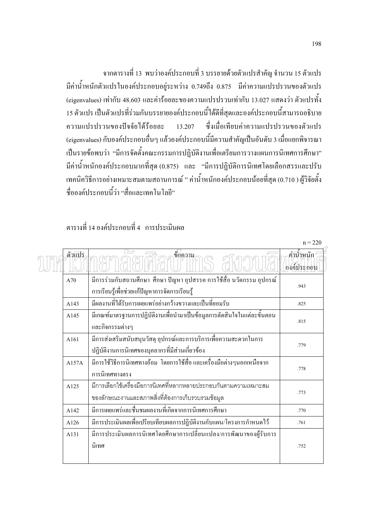ี จากตารางที่ 13 พบว่าองค์ประกอบที่ 3 บรรยายด้วยตัวแปรสำคัญ จำนวน 15 ตัวแปร ี่มีค่าน้ำหนักตัวแปรในองค์ประกอบอยู่ระหว่าง 0.749ถึง 0.875 มีค่าความแปรปรวนของตัวแปร (eigenvalues) เท่ากับ 48.603 และค่าร้อยละของความแปรปรวนเท่ากับ 13.027 แสดงว่า ตัวแปรทั้ง 15 ตัวแปร เป็นตัวแปรที่ร่วมกันบรรยายองค์ประกอบนี้ได้ดีที่สุดและองค์ประกอบนี้สามารถอธิบาย ความแปรปรวบของปัจจัยได้ร้อยละ  $13.207$ ี่ซึ่งเมื่อเทียบค่าความแปรปรวนของตัวแปร (eigenvalues) กับองค์ประกอบอื่นๆ แล้วองค์ประกอบนี้มีความสำคัญเป็นอันดับ 3 เมื่อแยกพิจารณา ้เป็นรายข้อพบว่า "มีการจัดตั้งคณะกรรมการปฏิบัติงานเพื่อเตรียมการวางแผนการนิเทศการศึกษา" ้มีค่าน้ำหนักองค์ประกอบมากที่สุด (0.875) และ "มีการปฏิบัติการนิเทศโดยเลือกสรรและปรับ เทคนิควิธีการอย่างเหมาะสมตามสถานการณ์ " ค่าน้ำหนักองค์ประกอบน้อยที่สุด (0.710 ) ผู้วิจัยตั้ง ู<br>ชื่อองค์ประกอบนี้ว่า "สื่อและเทอโนโลยี"

### ิตารางที่ 14 กงค์ประกอบที่ 4 การประเบินผล

|        |                                                                          | $n = 220$                |
|--------|--------------------------------------------------------------------------|--------------------------|
| ตัวแปร | ุข้อ <mark>ความ</mark>                                                   | ค่าน้ำหนัก<br>องค์ประกอบ |
| A70    | มีการร่วมกับสถานศึกษา ศึกษา ปัญหา อุปสรรค การใช้สื่อ นวัตกรรม อุปกรณ์    | .943                     |
|        | การเรียนรู้เพื่อช่วยแก้ปัญหาการจัดการเรียนรู้                            |                          |
| A143   | มีผลงานที่ได้รับการเผยแพร่อย่างกว้างขวางและเป็นที่ยอมรับ                 | .825                     |
| A145   | มีเกณฑ์มาตรฐานการปฏิบัติงานเพื่อนำมาเป็นข้อมูลการตัดสินใจในแต่ละขั้นตอน  | .815                     |
|        | และกิจกรรมต่างๆ                                                          |                          |
| A161   | มีการส่งเสริมสนับสนุนวัสดุ อุปกรณ์และการบริการเพื่อความสะดวกในการ        | .779                     |
|        | ปฏิบัติงานการนิเทศของบุคลากรที่มีส่วนเกี่ยวข้อง                          |                          |
| A157A  | มีการใช้วิธีการนิเทศทางอ้อม  โดยการใช้สื่อ และเครื่องมือต่างๆนอกเหนือจาก | .778                     |
|        | การนิเทศทางตรง                                                           |                          |
| A125   | ้มีการเลือกใช้เครื่องมือการนิเทศที่หลากหลายประกอบกันตามความเหมาะสม       |                          |
|        | ของลักษณะงานและสภาพสิ่งที่ต้องการเก็บรวบรวมข้อมูล                        | .773                     |
| A142   | มีการเผยแพร่และชื่นชมผลงานที่เกิดจากการนิเทศการศึกษา                     | .770                     |
| A126   | ้มีการประเมินผลเพื่อเปรียบเทียบผลการปฏิบัติงานกับแผน/โครงการกำหนดไว้     | .761                     |
| A131   | มีการประเมินผลการนิเทศโดยศึกษาการเปลี่ยนแปลง/การพัฒนาของผู้รับการ        |                          |
|        | นิเทศ                                                                    | .752                     |
|        |                                                                          |                          |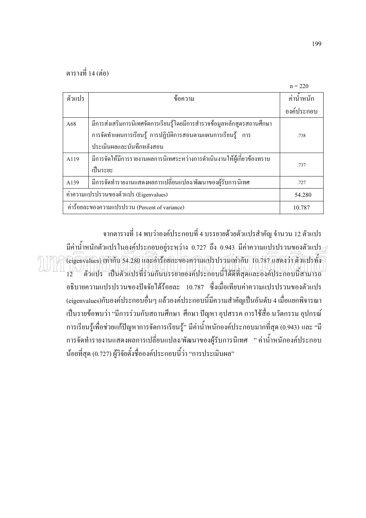| ตัวแปร                                | ข้อความ                                                                 | ค่าน้ำหนัก |
|---------------------------------------|-------------------------------------------------------------------------|------------|
|                                       |                                                                         | องค์ประกอบ |
| A68                                   | มีการส่งเสริมการนิเทศจัดการเรียนรู้โดยมีการสำรวจข้อมูลหลักสูตรสถานศึกษา |            |
|                                       | ิการจัดทำแผนการเรียนรู้ การปฏิบัติการสอนตามแผนการเรียนรู้ การ           | .738       |
|                                       | าไระเมินผลและบันทึกหลังสอน                                              |            |
| A119                                  | มีการจัดให้มีการรายงานผลการนิเทศระหว่างการดำเนินงานให้ผู้เกี่ยวข้องทราบ |            |
|                                       | เป็นระยะ                                                                | .737       |
| A139                                  | ้มีการจัดทำรายงานแสดงผลการเปลี่ยนแปลง/พัฒนาของผู้รับการนิเทศ            | .727       |
| ค่าความแปรปรวนของตัวแปร (Eigenvalues) | 54.280                                                                  |            |
|                                       | ค่าร้อยละของความแปรปรวน (Percent of variance)                           | 10.787     |

ี จากตารางที่ 14 พบว่าองค์ประกอบที่ 4 บรรยายด้วยตัวแปรสำคัญ จำนวน 12 ตัวแปร ี่มีค่าน้ำหนักตัวแปรในองค์ประกอบอยู่ระหว่าง 0.727 ถึง 0.943 มีค่าความแปรปรวนของตัวแปร $\rightleftarrows$ (eigenvalues) เท่ากับ 54.280 และคำร้อยละของความแปรปรวมเท่ากับ 10.787 แสดงว่า ตัวแปรทั้ง  $\frac{1}{12}$ ATINO - เป็นตัวแปรที่ร่วมกินบรรยายองค์ประกอบนี้ได้ดีที่สุดและองค์ประกอบนี้สามารถ อธิบายความแปรปรวนของปัจจัยได้ร้อยละ 10.787 ซึ่งเมื่อเทียบค่าความแปรปรวนของตัวแปร (eigenvalues)กับองค์ประกอบอื่นๆ แล้วองค์ประกอบนี้มีความสำคัญเป็นอันดับ 4 เมื่อแยกพิจารณา ้เป็นรายข้อพบว่า "มีการร่วมกับสถานศึกษา ศึกษา ปัญหา อุปสรรค การใช้สื่อ นวัตกรรม อุปกรณ์ ึการเรียนรู้เพื่อช่วยแก้ปัญหาการจัดการเรียนรู้" มีค่าน้ำหนักองค์ประกอบมากที่สุด (0.943) และ "มี ึการจัดทำรายงานแสดงผลการเปลี่ยนแปลง/พัฒนาของผู้รับการนิเทศ "ค่าน้ำหนักองค์ประกอบ น้อยที่สุด (0.727) ผู้วิจัยตั้งชื่อองค์ประกอบนี้ว่า "การประเมินผล"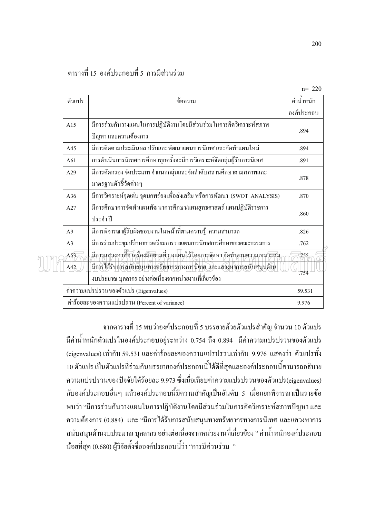# ตารางที่ 15 องค์ประกอบที่ 5 การบีส่วนร่วบ

| ตัวแปร         | ข้อความ                                                                                                                                                                                                       | ค่าน้ำหนัก  |
|----------------|---------------------------------------------------------------------------------------------------------------------------------------------------------------------------------------------------------------|-------------|
|                |                                                                                                                                                                                                               | องค์ประกอบ  |
| A15            | มีการร่วมกันวางแผนในการปฏิบัติงานโดยมีส่วนร่วมในการกิดวิเคราะห์สภาพ<br>ปัญหา และความต้องการ                                                                                                                   | .894        |
| A45            | มีการติดตามประเมินผล ปรับและพัฒนาแผนการนิเทศ และจัดทำแผนใหม่                                                                                                                                                  | .894        |
| A61            | การคำเนินการนิเทศการศึกษาทุกครั้งจะมีการวิเคราะห์จัดกลุ่มผู้รับการนิเทศ                                                                                                                                       | .891        |
| A29            | มีการคัดกรอง จัดประเภท จำแนกกลุ่มและจัดลำดับสถานศึกษาตามสภาพและ<br>มาตรฐานตัวชี้วัดต่างๆ                                                                                                                      | .878        |
| A36            | มีการวิเคราะห์จุดเด่น จุดบกพร่อง เพื่อส่งเสริม หรือการพัฒนา (SWOT ANALYSIS)                                                                                                                                   | .870        |
| A27            | มีการศึกษาการจัดทำแผนพัฒนาการศึกษา/แผนยุทธศาสตร์ แผนปฏิบัติราชการ<br>ประจำปี                                                                                                                                  | .860        |
| A <sub>9</sub> | ้มีการพิจารณาผู้รับผิดชอบงานในหน้าที่ตามความรู้ ความสามารถ                                                                                                                                                    | .826        |
| A <sub>3</sub> | มีการร่วมประชุมปรึกษาการเตรียมการวางแผนการนิเทศการศึกษาของคณะกรรมการ                                                                                                                                          | .762        |
| A53<br>A42     | มีการแสวงหาสื่อ เครื่องมือตามที่วางแผนไว้โดยการจัดหา จัดทำตามความเหมาะสม<br>้มีการใต้รับการสนับสนุนทางทรัพยากรทางการนิเทศ และแสวงหาการสนับสนุนด้าน<br>งบประมาณ บุคลากร อย่างต่อเนื่องจากหน่วยงานที่เกี่ยวข้อง | 755<br>.754 |
|                | ค่าความแปรปรวนของตัวแปร (Eigenvalues)                                                                                                                                                                         | 59.531      |
|                | ค่าร้อยละของความแปรปรวน (Percent of variance)                                                                                                                                                                 | 9.976       |

ี จากตารางที่ 15 พบว่าองค์ประกอบที่ 5 บรรยายด้วยตัวแปรสำคัญ จำนวน 10 ตัวแปร ้มีค่าน้ำหนักตัวแปรในองค์ประกอบอย่ระหว่าง 0.754 ถึง 0.894 มีค่าความแปรปรวนของตัวแปร (eigenvalues) เท่ากับ 59.531 และค่าร้อยละของความแปรปรวนเท่ากับ 9.976 แสดงว่า ตัวแปรทั้ง 10 ตัวแปร เป็นตัวแปรที่ร่วมกันบรรยายองค์ประกอบนี้ได้ดีที่สุดและองค์ประกอบนี้สามารถอธิบาย ี ความแปรปรวนของปัจจัยได้ร้อยละ 9.973 ซึ่งเมื่อเทียบค่าความแปรปรวนของตัวแปร(eigenvalues) ้กับองค์ประกอบอื่นๆ แล้วองค์ประกอบนี้มีความสำคัญเป็นอันดับ 5 เมื่อแยกพิจารณาเป็นรายข้อ ี พบว่า "มีการร่วมกันวางแผนในการปฏิบัติงานโดยมีส่วนร่วมในการคิดวิเคราะห์สภาพปัญหา และ ี ความต้องการ (0.884) และ "มีการได้รับการสนับสนุนทางทรัพยากรทางการนิเทศ และแสวงหาการ ิสนับสนุนด้านงบประมาณ บุคลากร อย่างต่อเนื่องจากหน่วยงานที่เกี่ยวข้อง " ค่าน้ำหนักองค์ประกอบ น้อยที่สุด (0.680) ผู้วิจัยตั้งชื่อองค์ประกอบนี้ว่า "การมีส่วนร่วม "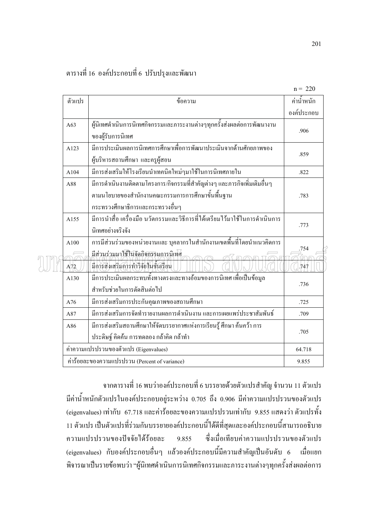|              |                                                                                                                                                                   | $H = 220$    |
|--------------|-------------------------------------------------------------------------------------------------------------------------------------------------------------------|--------------|
| ตัวแปร       | ข้อความ                                                                                                                                                           | ค่าน้ำหนัก   |
|              |                                                                                                                                                                   | องค์ประกอบ   |
| A63          | ผู้นิเทศดำเนินการนิเทศกิจกรรมและภาระงานต่างๆทุกครั้งส่งผลต่อการพัฒนางาน<br>ของผู้รับการนิเทศ                                                                      | .906         |
| A123         | มีการประเมินผลการนิเทศการศึกษาเพื่อการพัฒนาประเมินจากด้านศักยภาพของ<br>ผู้บริหารสถานศึกษา และครูผู้สอน                                                            | .859         |
| A104         | มีการส่งเสริมให้โรงเรียนนำเทคนิคใหม่ๆมาใช้ในการนิเทศภายใน                                                                                                         | .822         |
| A88          | มีการคำเนินงานติดตามโครงการ/กิจกรรมที่สำคัญต่างๆ และภารกิจเพิ่มเติมอื่นๆ<br>ตามนโยบายของสำนักงานคณะกรรมการการศึกษาขั้นพื้นฐาน<br>กระทรวงศึกษาธิการและกระทรวงอื่นๆ | .783         |
| A155         | มีการนำสื่อ เครื่องมือ นวัตกรรมและวิธีการที่ได้เตรียมไว้มาใช้ในการดำเนินการ<br>นิเทศอย่างจริงจัง                                                                  | .773         |
| A100<br>A/72 | การมีส่วนร่วมของหน่วยงานและ บุคลากรในสำนักงานเขตพื้นที่โดยนำแนวคิดการ<br>มีส่วนร่วมมาใช้ในจัดกิจกรรมการนิเทศ<br>มีการส่งเสริมการทำวิจัยในชั้นเรียน                | .754<br>.747 |
| A130         | มีการประเมินผลกระทบทั้งทางตรงและทางอ้อมของการนิเทศ เพื่อเป็นข้อมูล<br>สำหรับช่วยในการตัดสินต่อไป                                                                  | .736         |
| A76          | มีการส่งเสริมการประกันคุณภาพของสถานศึกษา                                                                                                                          | .725         |
| A87          | มีการส่งเสริมการจัดทำรายงานผลการดำเนินงาน และการเผยแพร่ประชาสัมพันธ์                                                                                              | .709         |
| A86          | มีการส่งเสริมสถานศึกษาให้จัดบรรยากาศแห่งการเรียนรู้ ศึกษา ค้นคว้า การ<br>ประดิษฐ์ คิดค้น การทดลอง กล้าคิด กล้าทำ                                                  | .705         |
|              | ค่าความแปรปรวนของตัวแปร (Eigenvalues)                                                                                                                             | 64.718       |
|              | ค่าร้อยละของความแปรปรวน (Percent of variance)                                                                                                                     | 9.855        |

ี จากตารางที่ 16 พบว่าองค์ประกอบที่ 6 บรรยายด้วยตัวแปรสำคัญ จำนวน 11 ตัวแปร ้มีค่าน้ำหนักตัวแปรในองค์ประกอบอยู่ระหว่าง 0.705 ถึง 0.906 มีค่าความแปรปรวนของตัวแปร (eigenvalues) เท่ากับ 67.718 และค่าร้อยละของความแปรปรวนเท่ากับ 9.855 แสดงว่า ตัวแปรทั้ง 11 ตัวแปร เป็นตัวแปรที่ร่วมกันบรรยายองค์ประกอบนี้ได้ดีที่สุดและองค์ประกอบนี้สามารถอธิบาย ซึ่งเมื่อเทียบค่าความแปรปรวนของตัวแปร ความแปรปรวนของปัจจัยได้ร้อยละ 9.855 (eigenvalues) กับองค์ประกอบอื่นๆ แล้วองค์ประกอบนี้มีความสำคัญเป็นอันดับ 6 เมื่อแยก ้ พิจารณาเป็นรายข้อพบว่า "ผู้นิเทศดำเนินการนิเทศกิจกรรมและภาระงานต่างๆทุกครั้งส่งผลต่อการ

 $= 220$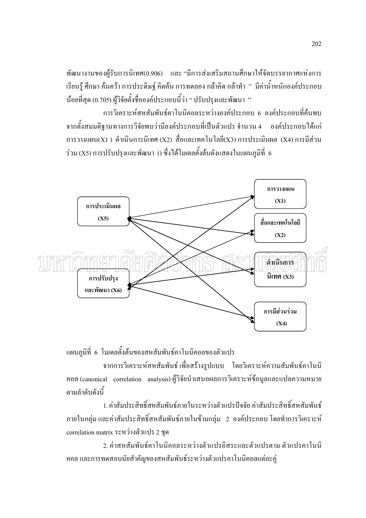พัฒนางานของผู้รับการนิเทศ(0.906) และ "มีการส่งเสริมสถานศึกษาให้จัดบรรยากาศแห่งการ เรียนรู้ ศึกษา ค้นคว้า การประดิษฐ์ คิดค้น การทดลอง กล้าคิด กล้าทำ " มีค่าน้ำหนักองค์ประกอบ น้อยที่สุด (0.705) ผู้วิจัยตั้งชื่อองค์ประกอบนี้ว่า " ปรับปรุงและพัฒนา "

ึการวิเคราะห์สหสัมพันธ์คาโนนิคอลระหว่างองค์ประกอบ 6 องค์ประกอบที่ค้นพบ ี จากตั้งสมมติฐานทางการวิจัยพบว่ามืองค์ประกอบที่เป็นตัวแปร จำนวน 4 องค์ประกอบได้แก่  $\overline{p}$ การวางแผน(X1 ) ดำเนินการนิเทศ (X2) สื่อและเทคโนโลยี(X3) การประเมินผล (X4) การมีส่วน ร่วม (X5) การปรับปรุงและพัฒนา () ซึ่งได้โมเดลตั้งต้นดังแสดงในแผนภูมิที่ 6



แผนภูมิที่ 6 โมเคลตั้งต้นของสหสัมพันธ์คาโนนิคอลของตัวแปร

ิจากการวิเคราะห์สหสัมพันธ์ เพื่อสร้างรูปแบบ โดยวิเคราะห์ความสัมพันธ์คาโนนิ ี คอล (canonical correlation analysis) ผู้วิจัยนำเสนอผลการวิเคราะห์ข้อมูลและแปลความหมาย ิตามลำดับดังนี้

1. ค่าสัมประสิทธิ์สหสัมพันธ์ภายในระหว่างตัวแปรปัจจัย ค่าสัมประสิทธิ์สหสัมพันธ์ ิภายในกลุ่ม และค่าสัมประสิทธิ์สหสัมพันธ์ภายในข้ามกลุ่ม 2 องค์ประกอบ โดยทำการวิเคราะห์ correlation matrix ระหว่างตัวแปร 2 ชุด

2. ค่าสหสัมพันธ์คาโนนิคอลระหว่างตัวแปรอิสระและตัวแปรตาม ตัวแปรคาโนนิ ้ คอล และการทดสอบนัยสำคัญของสหสัมพันธ์ระหว่างตัวแปรคาโนนิคอลแต่ละคู่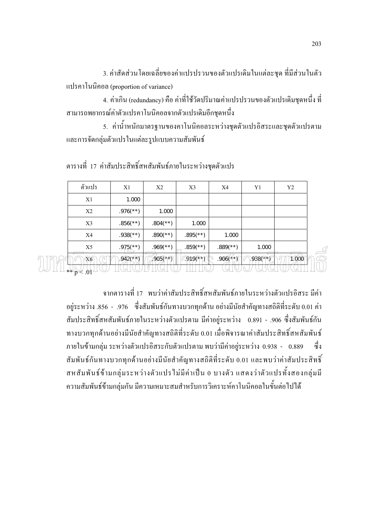่ 3. ค่าสัดส่วนโดยเฉลี่ยของค่าแปรปรวนของตัวแปรเดิมในแต่ละชุด ที่มีส่วนในตัว แปรคาโนนิคอล (proportion of variance)

4. ค่าเกิน (redundancy) คือ ค่าที่ใช้วัดปริมาณค่าแปรปรวนของตัวแปรเดิมชุดหนึ่ง ที่ สามารถพยากรณ์ค่าตัวแปรคาโนนิคอลจากตัวแปรเดิมอีกชุดหนึ่ง

5. ค่าน้ำหนักมาตรฐานของคาโนนิคอลระหว่างชุดตัวแปรอิสระและชุดตัวแปรตาม และการจัดกลุ่มตัวแปรในแต่ละรูปแบบความสัมพันธ์

| ตัวแปร                   | X1                       | X <sub>2</sub>           | X <sub>3</sub>           | X4                       | Y1            | Y <sub>2</sub> |   |
|--------------------------|--------------------------|--------------------------|--------------------------|--------------------------|---------------|----------------|---|
| X1                       | 1.000                    |                          |                          |                          |               |                |   |
| X2                       | $.976$ <sup>**</sup> )   | 1.000                    |                          |                          |               |                |   |
| X3                       | $.856$ (**)              | $.804$ <sup>(**)</sup> ) | 1.000                    |                          |               |                |   |
| X4                       | $.938$ <sup>(**)</sup> ) | $.890$ <sup>(**)</sup> ) | $.895$ <sup>(**)</sup> ) | 1.000                    |               |                |   |
| X <sub>5</sub>           | $.975$ <sup>**</sup> )   | $.969$ <sup>(**)</sup> ) | $.859$ <sup>(**)</sup> ) | $.889$ <sup>(**)</sup> ) | 1.000         |                | ⊂ |
| X6                       | $.942$ (**)              | $905(*)$                 | $.919$ <sup>(**)</sup> ) | $.906(**)$               | $.938$ (* * ) | 1,000          |   |
| $-$ ** $p$<br>$\leq$ .01 |                          |                          |                          |                          |               |                |   |

ิตารางที่ 17 ค่าสัมประสิทธิ์สหสัมพันธ์ภายในระหว่างชุดตัวแปร

ิจากตารางที่ 17 พบว่าค่าสัมประสิทธิ์สหสัมพันธ์ภายในระหว่างตัวแปรอิสระ มีค่า อยู่ระหว่าง .856 - .976 - ซึ่งสัมพันธ์กันทางบวกทุกด้าน อย่างมีนัยสำคัญทางสถิติที่ระดับ 0.01 ค่า ี สัมประสิทธิ์สหสัมพันธ์ภายในระหว่างตัวแปรตาม มีค่าอย่ระหว่าง 0.891 - .906 ซึ่งสัมพันธ์กัน ทางบวกทกด้านอย่างมีนัยสำคัญทางสถิติที่ระดับ 0.01 เมื่อพิจารณาค่าสัมประสิทธิ์สหสัมพันธ์ ภายในข้ามกลุ่ม ระหว่างตัวแปรอิสระกับตัวแปรตาม พบว่ามีค่าอยู่ระหว่าง 0.938 - 0.889 ซึ่ง ี สัมพันธ์กันทางบวกทุกค้านอย่างมีนัยสำคัญทางสถิติที่ระคับ 0.01 และพบว่าค่าสัมประสิทธิ์ ีสหสัมพันธ์ข้ามกลุ่มระหว่างตัวแปรไม่มีค่าเป็น 0 บางตัว แสดงว่าตัวแปรทั้งสองกลุ่มมี ้ความสัมพันธ์ข้ามกลุ่มกัน มีความเหมาะสมสำหรับการวิเคราะห์คาโนนิคอลในขั้นต่อไปได้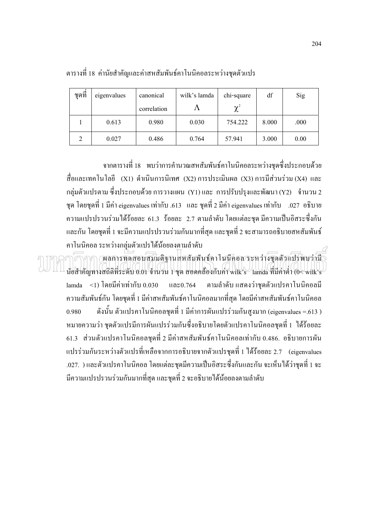| ชดที | eigenvalues | canonical   | wilk's lamda | chi-square | df    | Sig  |
|------|-------------|-------------|--------------|------------|-------|------|
|      |             | correlation | А            | $\gamma^2$ |       |      |
|      | 0.613       | 0.980       | 0.030        | 754.222    | 8.000 | .000 |
| າ    | 0.027       | 0.486       | 0.764        | 57.941     | 3.000 | 0.00 |

#### ตารางที่ 18 ค่านัยสำคัญและค่าสหสัมพันธ์คาโนนิคอลระหว่างชุคตัวแปร

จากตารางที่ 18 พบว่าการคำนวณสหสัมพันธ์คาโนนิคอลระหว่างชุดซึ่งประกอบด้วย สื่อและเทคโนโลยี (X1) ดำเนินการนิเทศ (X2)การประเมินผล (X3)การมีส่วนร่วม $\left($ X4) และ กลุ่มตัวแปรตาม ซึ่งประกอบด้วย การวางแผน (Y1) และ การปรับปรุงและพัฒนา (Y2) จำนวน 2 ชุด โดยชุดที่ 1 มีค่า eigenvalues เท่ากับ .613 และ ชุดที่ 2 มีค่า eigenvalues เท่ากับ .027 อธิบาย ความแปรปรวนร่วมได้ร้อยละ 61.3 ร้อยละ 2.7 ตามลำดับ โดยแต่ละชุด มีความเป็นอิสระซึ่งกัน  $\ddot{\phantom{a}}$ และกัน โดยชุดที่ 1 จะมีความแปรปรวนร่วมกันมากที่สุด และชุดที่ 2 จะสามารถอธิบายสหสัมพันธ์ คาโนนิคอล ระหว่างกลุ่มตัวแปรได้น้อยลงตามลำดับ

 $\cap$   $\cap$   $\cap$   $\cap$  (ผลการทุคสอบสมมติฐานสหสัมพันธ์คาโนนิกอุล ระหว่างชุคตัวแปรพบว่ามี นัยสำคัญทางสถิติที่ระดับ  $0.01$  จำนวน 1 ชุด สอดคล้องกับค่า wilk's  $\,$  lamda ที่มีค่าต่ำ (0< wilk's  $\,$  $\lambda$  lamda <1) โดยมีค่าเท่ากับ 0.030 และ0.764 ว่าชุดตัวแปรคาโนนิคอลมี ความสัมพันธ์กัน โดยชุดที่ 1 มีค่าสหสัมพันธ์คาโนนิคอลมากที่สุด โดยมีค่าสหสัมพันธ์คาโนนิคอล 0.980 นั้น ตัวแปรคาโนนิคอลชุดที่ 1 มีค่าการผันแปรร่วมกันสูงมาก (eigenvalues =.613 ) หมายความว่า ชุดตัวแปรมีการผันแปรร่วมกันซึ่งอธิบายโดยตัวแปรคาโนนิคอลชุดที่ 1 ได้ร้อยละ 61.3 ส่วนตัวแปรคาโนนิคอลชุดที่ 2 มีค่าสหสัมพันธ์คาโนนิคอลเท่ากับ 0.486. อธิบายการผัน แปรร่วมกันระหว่างตัวแปรที่เหลือจากการอธิบายจากตัวแปรชุดที่ 1 ได้ร้อยละ 2.7 (eigenvalues .027. ) และตัวแปรคาโนนิคอล โดยแต่ละชุดมีความเป็นอิสระซึ่งกันและกัน จะเห็นได้ว่าชุดที่ 1 จะ  $\ddot{\phantom{a}}$ มีความแปรปรวนร่วมกันมากที่สุด และชุดที่ 2 จะอธิบายใด้น้อยลงตามลำดับ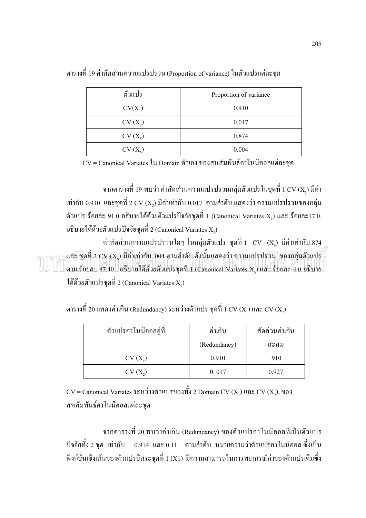| ตัวแปร    | Proportion of variance |
|-----------|------------------------|
| $CV(X_1)$ | 0.910                  |
| $CV(X_2)$ | 0.017                  |
| $CV(X_5)$ | 0.874                  |
| $CV(X_6)$ | 0.004                  |

ิตารางที่ 19 ค่าสัดส่วนความแปรปรวน (Proportion of variance) ในตัวแปรแต่ละชด

 $CV =$  Canonical Variates ใน Domain ตัวเอง ของสหสัมพันธ์คาโนนิคอลแต่ละชุด

ึจากตารางที่ 19 พบว่า ค่าสัดส่วนความแปรปรวนกลุ่มตัวแปรในชุดที่ 1 CV (X,) มีค่า  $\,$ เท่ากับ 0.910  $\,$ และชุดที่ 2  $\rm CV$  (X,) มีค่าเท่ากับ 0.017 ตามลำดับ แสดงว่า ความแปรปรวนของกลุ่ม ตัวแปร ร้อยละ 91.0 อธิบายใด้ด้วยตัวแปรปัจจัยชุดที่ 1 (Canonical Variates X,) และ ร้อยละ17.0. อธิบายใด้ด้วยตัวแปรปัจจัยชุดที่ 2 (Canonical Variates X,)

ค่าสัดส่วนความแปรปรวนใดๆ ในกลุ่มตัวแปร ชุดที่ 1  $\,$  CV  $\,$   $\,$  (X $_{\rm s}$ ) มีค่าเท่ากับ.874 <sub>Of</sub>และ ชุดที่ 2 CV (X) มีคินท่ากับ 004 ตามสำคับ คังนั้นแสดงว่า ความแปรปรวน, ของกลุ่มตัวแปร ี ตาม ร้อยละ 87.40 อธิบายได้ด้วยตัวแปรชุดที่ 1 (Canonical Variates X.) และ ร้อยละ 4.0 อธิบาย ได้ด้วยตัวแปรชุดที่ 2 (Canonical Variates  $\mathbf{X}_{\boldsymbol{\kappa}}$ )

ตารางที่ 20 แสดงค่าเกิน (Redundancy) ระหว่างตัวแปร ชุดที่ 1 CV ( $\mathrm{X}_1$ ) และ CV ( $\mathrm{X}_2$ )

| ตัวแปรคาโนนิคอลคู่ที่ | ค่าเกิน      | สัดส่วนค่าเกิน |  |  |
|-----------------------|--------------|----------------|--|--|
|                       | (Redundancy) | สะสม           |  |  |
| $CV(X_1)$             | 0.910        | .910           |  |  |
| $CV(X_2)$             | 0.017        | 0.927          |  |  |

 $CV =$  Canonical Variates ระหว่างตัวแปรของทั้ง 2 Domain CV  $(X_1)$  และ CV  $(X_2)$ , ของ สหสัมพันธ์คาโนนิคอลแต่ละชุด

ี จากตารางที่ 20 พบว่าค่าเกิน (Redundancy) ของตัวแปรคาโนนิคอลที่เป็นตัวแปร ี ปัจจัยทั้ง 2 ชุด เท่ากับ 0.914 และ 0.11 ตามลำดับ หมายความว่าตัวแปรคาโนนิคอล ซึ่งเป็น ฟังก์ชั่นเชิงเส้นของตัวแปรอิสระชุดที่ 1 (X1) มีความสามารถในการพยากรณ์ค่าของตัวแปรเดิมซึ่ง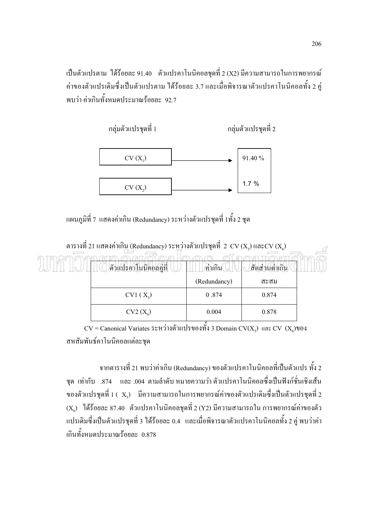เป็นตัวแปรตาม ได้ร้อยละ 91.40 ตัวแปรคาโนนิคอลชุดที่ 2 (X2) มีความสามารถในการพยากรณ์ ค่าของตัวแปรเดิมซึ่งเป็นตัวแปรตาม ได้ร้อยละ 3.7 และเมื่อพิจารณาตัวแปรคาโนนิคอลทั้ง 2 คู่ Ï พบว่า ค่าเกินทั้งหมดประมาณร้อยละ 92.7



แผนภูมิที่ 7 แสดงค่าเกิน (Redundancy) ระหว่างตัวแปรชุดที่ 1ทั้ง 2 ชุด ĺ



ตารางที่ 21 แสดงค่าเกิน (Redundancy) ระหว่างตัวแปรชุดที่ 2 CV (X<sub>s</sub>) และ $\text{CV}\left(\text{X}_\text{s}\right)$ 

 $\rm{CV}$  = Canonical Variates ระหว่างตัวแปรของทั้ง 3 Domain  $\rm{CV}(X_s)$  และ  $\rm{CV}$   $(X_s)$ ของ สหสัมพันธ์คาโนนิคอลแต่ละชุด

จากตารางที่ 21 พบว่าค่าเกิน (Redundancy) ของตัวแปรคาโนนิคอลที่เป็นตัวแปร ทั้ง 2 ชุด เท่ากับ .874 และ .004 ตามลำดับ หมายความว่า ตัวแปรคาโนนิคอลซึ่งเป็นฟังก์ชั่นเชิงเส้น ของตัวแปรชุดที่ 1 (  $\rm\,X_s)$  มีความสามารถในการพยากรณ์ค่าของตัวแปรเดิมซึ่งเป็นตัวแปรชุดที่ 2  $\left( \text{X}_\text{o} \right)$  "ได้ร้อยละ 87.40 ตัวแปรคาโนนิคอลชุดที่ 2 (Y2) มีความสามารถใน การพยากรณ์ค่าของตัว แปรเดิมซึ่งเป็นตัวแปรชุดที่ 3 ได้ร้อยละ 0.4 และเมื่อพิจารณาตัวแปรคาโนนิคอลทั้ง 2 คู่ พบว่าค่า Ï เกินทั้งหมดประมาณร้อยละ 0.878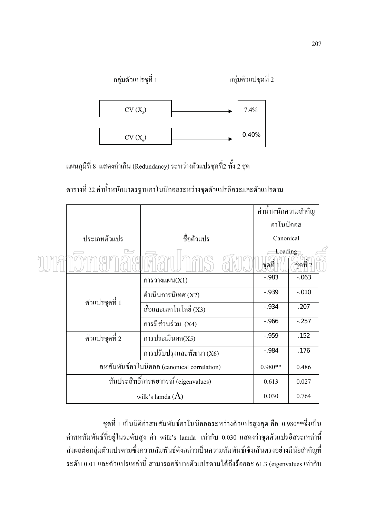

แผนภูมิที่ 8 แสดงค่าเกิน (Redundancy) ระหว่างตัวแปรชุดที่2 ทั้ง 2 ชุด

|  |                |                                             | ค่าน้ำหนักความสำคัญ                      |         |  |  |
|--|----------------|---------------------------------------------|------------------------------------------|---------|--|--|
|  |                |                                             | คาโนนิคอล                                |         |  |  |
|  | ประเภทตัวแปร   | ์<br>ชื่อตัวแปร                             | Canonical                                |         |  |  |
|  | $\sim$         |                                             | Loading<br> หูดุที่ 1<br>$\phi$ จุคที่ 2 |         |  |  |
|  |                | การวางแผน $(X1)$                            | $-0.983$                                 | $-.063$ |  |  |
|  |                | ดำเนินการนิเทศ (X2)                         | $-0.939$                                 | $-.010$ |  |  |
|  | ตัวแปรชุดที่ 1 | สื่อและเทคโนโลยี (X3)                       | $-0.934$                                 | .207    |  |  |
|  |                | การมีส่วนร่วม (X4)                          | $-0.966$                                 | $-.257$ |  |  |
|  | ตัวแปรชุดที่ 2 | การประเมินผล $(X5)$                         | $-.959$                                  | .152    |  |  |
|  |                | การปรับปรุงและพัฒนา $(X6)$                  | $-.984$                                  | .176    |  |  |
|  |                | สหสัมพันธ์คาโนนิคอล (canonical correlation) | 0.486<br>$0.980**$                       |         |  |  |
|  |                | สัมประสิทธิ์การพยากรณ์ (eigenvalues)        | 0.613                                    | 0.027   |  |  |
|  |                | wilk's lamda $(\Lambda)$                    | 0.030                                    | 0.764   |  |  |

# ิตารางที่ 22 ค่าน้ำหนักมาตรฐานคาโนนิคอลระหว่างชุดตัวแปรอิสระและตัวแปรตาม

ชุดที่ 1 เป็นมิติค่าสหสัมพันธ์คาโนนิคอลระหว่างตัวแปรสูงสุด คือ 0.980\*\*ซึ่งเป็น ี ค่าสหสัมพันธ์ที่อยู่ในระดับสูง ค่า wilk's lamda เท่ากับ 0.030 แสดงว่าชุดตัวแปรอิสระเหล่านี้ ส่งผลต่อกลุ่มตัวแปรตามซึ่งความสัมพันธ์ดังกล่าวเป็นความสัมพันธ์เชิงเส้นตรงอย่างมีนัยสำคัญที่ ระดับ 0.01 และตัวแปรเหล่านี้ สามารถอธิบายตัวแปรตามได้ถึงร้อยละ 61.3 (eigenvalues เท่ากับ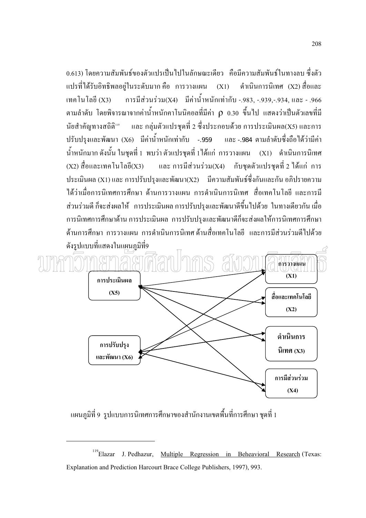0.613) โดยความสัมพันธ์ของตัวแปรเป็นไปในลักษณะเดียว - คือมีความสัมพันธ์ในทางลบ ซึ่งตัว ี คำเนินการนิเทศ (X2) สื่อและ แปรที่ได้รับอิทธิพลอยู่ในระดับมาก คือ การวางแผน (X1) ี การมีส่วนร่วม(X4) มีค่าน้ำหนักเท่ากับ -.983, -.939,-.934, และ - .966 เทคโนโลยี (X3) ี ตามลำดับ โดยพิจารณาจากค่าน้ำหนักคาโนนิคอลที่มีค่า ρ 0.30 ขึ้นไป แสดงว่าเป็นตัวเลขที่มี และ กลุ่มตัวแปรชุดที่ 2 ซึ่งประกอบด้วย การประเมินผล(X5) และการ นัยสำคัญทางสถิติ<sup>แด</sup> ี ปรับปรุงและพัฒนา (X6) มีค่าน้ำหนักเท่ากับ -.959 และ -.984 ตามลำดับซึ่งถือได้ว่ามีค่า ี น้ำหนักมาก ดังนั้น ในชุดที่ 1 พบว่า ตัวแปรชุดที่ 1 ได้แก่ การวางแผน (X1) ดำเนินการนิเทศ  $(X2)$  สื่อและเทคโนโลยี $(X3)$  และ การมีส่วนร่วม $(X4)$ ้กับชุดตัวแปรชุดที่ 2 ใด้แก่ การ ประเมินผล (X1) และ การปรับปรุงและพัฒนา(X2) มีความสัมพันธ์ซึ่งกันและกัน อภิปรายความ ได้ว่าเนื่อการบิเทศการศึกษา ด้าบการวางแผบ การดำเบิบการบิเทศ สื่อเทคโบโลยี และการบี ส่วนร่วมดี ก็จะส่งผลให้ การประเมินผล การปรับปรุงและพัฒนาดีขึ้นไปด้วย ในทางเดียวกัน เมื่อ ้การนิเทศการศึกษาด้าน การประเมินผล การปรับปรงและพัฒนาดีก็จะส่งผลให้การนิเทศการศึกษา ้ด้านการศึกษา การวางแผน การดำเนินการนิเทศด้านสื่อเทคโนโลยี และการมีส่วนร่วมดีไปด้วย ้ดังรปแบบที่แสดงในแผนภมิที่9



้ แผนภูมิที่ 9 รูปแบบการนิเทศการศึกษาของสำนักงานเขตพื้นที่การศึกษา ชุดที่ 1

<sup>&</sup>lt;sup>119</sup>Elazar J. Pedhazur, Multiple Regression in Beheavioral Research (Texas: Explanation and Prediction Harcourt Brace College Publishers, 1997), 993.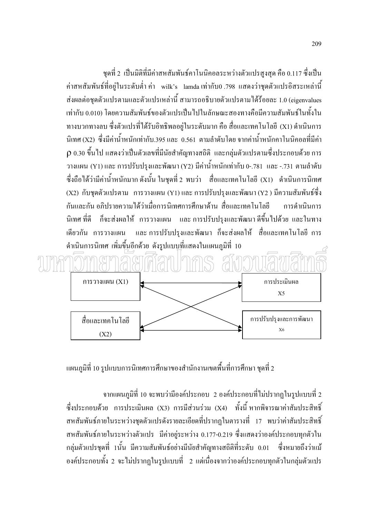ชุดที่ 2 เป็นมิติที่มีค่าสหสัมพันธ์คาโนนิคอลระหว่างตัวแปรสูงสุด คือ 0.117 ซึ่งเป็น ี ค่าสหสัมพันธ์ที่อยู่ในระดับต่ำ ค่า wilk's lamda เท่ากับ0 .798 แสดงว่าชุดตัวแปรอิสระเหล่านี้ ี ส่งผลต่อชุดตัวแปรตามและตัวแปรเหล่านี้ สามารถอธิบายตัวแปรตามได้ร้อยละ 1.0 (eigenvalues เท่ากับ 0.010) โดยความสัมพันธ์ของตัวแปรเป็นไปในลักษณะสองทางคือมีความสัมพันธ์ในทั้งใน ์ ทางบวกทางลบ ซึ่งตัวแปรที่ได้รับอิทธิพลอย่ในระดับมาก คือ สื่อและเทคโนโลยี (X1) คำเนินการ ีนิเทศ (X2) ซึ่งมีค่าน้ำหนักเท่ากับ 395 และ 0.561 ตามลำดับโดย จากค่าน้ำหนักคาโนนิคอลที่มีค่า  $\rho$  0.30 ขึ้นไป แสดงว่าเป็นตัวเลขที่มีนัยสำคัญทางสถิติ และกลุ่มตัวแปรตามซึ่งประกอบด้วย การ วางแผน (Y1) และ การปรับปรุงและพัฒนา (Y2) มีค่าน้ำหนักเท่ากับ 0-.781 และ -.731 ตามลำดับ ซึ่งถือได้ว่ามีค่าน้ำหนักมาก ดังนั้น ในชุดที่ 2 พบว่า สื่อและเทคโนโลยี (X1) คำเนินการนิเทศ (X2) กับชุดตัวแปรตาม การวางแผน (Y1) และ การปรับปรุงและพัฒนา (Y2 ) มีความสัมพันธ์ซึ่ง ้กันและกัน อภิปรายความได้ว่าเมื่อการนิเทศการศึกษาด้าน สื่อและเทอโนโลยี การดำเบิบการ ี ก็จะส่งผลให้ การวางแผน และ การปรับปรุงและพัฒนา ดีขึ้นไปด้วย และในทาง นิเทศ ที่ดี ้เดียวกัน การวางแผน และ การปรับปรุงและพัฒนา ก็จะส่งผลให้ สื่อและเทคโนโลยี การ ้คำเนินการนิเทศ เพิ่มขึ้นอีกด้วย ดังรูปแบบ<sub>ู</sub>ที่แสดงในแผนภูมิที่ 10



้ แผนภมิที่ 10 รูปแบบการนิเทศการศึกษาของสำนักงานเขตพื้นที่การศึกษา ชดที่ 2

ี จากแผนภมิที่ 10 จะพบว่ามืองค์ประกอบ 2 องค์ประกอบที่ไม่ปรากฏในรปแบบที่ 2 ซึ่งประกอบด้วย การประเมินผล (X3) การมีส่วนร่วม (X4) ทั้งนี้ หากพิจารณาค่าสัมประสิทธิ์ ิสหสัมพันธ์ภายในระหว่างชุดตัวแปรดังรายละเอียดที่ปรากฎในตารางที่ 17 พบว่าค่าสัมประสิทธิ์ ิสหสัมพันธ์ภายในระหว่างตัวแปร มีค่าอย่ระหว่าง 0.177-0.219 ซึ่งแสดงว่าองค์ประกอบทกตัวใน ึกล่มตัวแปรชดที่ 1นั้น มีความสัมพันธ์อย่างมีนัยสำคัญทางสถิติที่ระดับ 0.01 ซึ่งหมายถึงว่าแม้ ้องค์ประกอบทั้ง 2 จะไม่ปรากฏในรปแบบที่ 2 แต่เนื่องจากว่าองค์ประกอบทกตัวในกล่มตัวแปร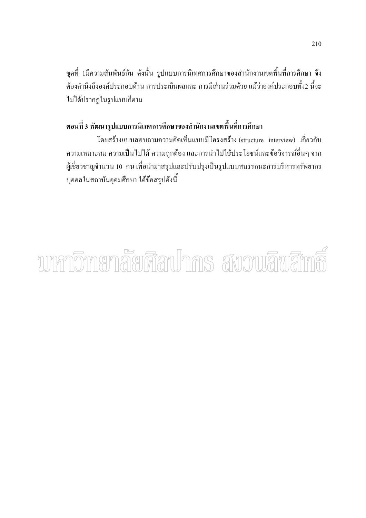ิชุดที่ 1มีความสัมพันธ์กัน ดังนั้น รูปแบบการนิเทศการศึกษาของสำนักงานเขตพื้นที่การศึกษา จึง ้ต้องคำนึงถึงองค์ประกอบด้าน การประเมินผลและ การมีส่วนร่วมด้วย แม้ว่าองค์ประกอบทั้ง2 นี้จะ ไม่ได้ปรากฏในรูปแบบก็ตาม

# ี ตอนที่ 3 พัฒนารูปแบบการนิเทศการศึกษาของสำนักงานเขตพื้นที่การศึกษา

โดยสร้างแบบสอบถามความคิดเห็นแบบมีโครงสร้าง (structure interview) เกี่ยวกับ ้ความเหมาะสม ความเป็นไปได้ ความถูกต้อง และการนำไปใช้ประโยชน์และข้อวิจารณ์อื่นๆ จาก ผู้เชี่ยวชาญจำนวน 10 คน เพื่อนำมาสรุปและปรับปรุงเป็นรูปแบบสมรรถนะการบริหารทรัพยากร ้บุคคลในสถาบันอุดมศึกษา ได้ข้อสรุปดังนี้

# ามหกวิทายกลัยศีลปากร สังวนลิขสิท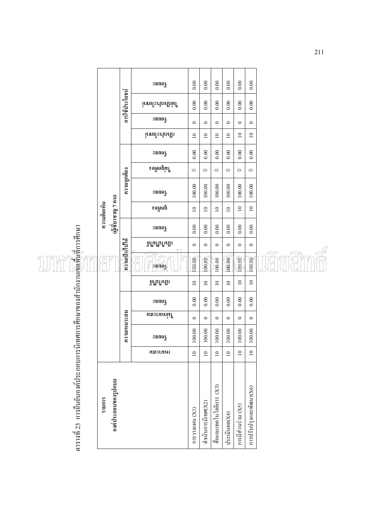|                                                                             |                    |                     |                | $\log$                          | 0.00            | 0.00               | 0.00                     | 0.00            | 0.00               | 0.00                    |  |
|-----------------------------------------------------------------------------|--------------------|---------------------|----------------|---------------------------------|-----------------|--------------------|--------------------------|-----------------|--------------------|-------------------------|--|
|                                                                             |                    |                     | การใช้ประโยชน์ | ไม่เป็นประโยชน์                 | 0.00            | 0.00               | 0.00                     | 0.00            | 0.00               | 0.00                    |  |
|                                                                             |                    |                     |                | $z$ ខានាទ $\frac{z}{\tilde{a}}$ | $\circ$         | $\circ$            | $\circ$                  | $\circ$         | $\circ$            | $\circ$                 |  |
|                                                                             |                    |                     |                | เป็นประโยชน์                    | $\overline{10}$ | $\overline{10}$    | $\overline{10}$          | $\overline{10}$ | $\overline{10}$    | $\overline{10}$         |  |
|                                                                             |                    |                     |                | ្គូមពទ $\frac{1}{6}$            | 0.00            | 0.00               | 0.00                     | 0.00            | 0.00               | 0.00                    |  |
|                                                                             |                    |                     |                | ใม่ยิบฝั่อง                     | $\circ$         | $\circ$            | $\circ$                  | $\circ$         | $\circ$            | $\circ$                 |  |
|                                                                             |                    |                     | ความถูกต้อง    | ្គូមពទ $\frac{1}{6}$            | 100.00          | 100.00             | 100.00                   | 100.00          | 100.00             | 100.00                  |  |
|                                                                             | ความคิดเห็น        |                     |                | ยอพิดง                          | $\overline{a}$  | $\overline{10}$    | $\overline{10}$          | $\overline{10}$ | $\overline{10}$    | $\overline{10}$         |  |
|                                                                             | (ผู้เขียวชาญ 7 คน) |                     |                | នុឲពទន្                         | 0.00            | 0.00               | 0.00                     | 0.00            | 0.00               | 0.00                    |  |
|                                                                             |                    |                     |                | เป็นใปใม่ได้                    | $\circ$         | $\circ$            | $\circ$                  | $\bullet$       | $\circ$            | $\circ$                 |  |
|                                                                             |                    |                     | ความเป็นไปใต้  | $z$ pnos                        | 100.00          | 100.00             | 100.00                   | 100.00          | 100.00             | 100.00                  |  |
|                                                                             |                    |                     |                | เมหนาผู                         | $\overline{10}$ | $\supseteq$        | $\overline{10}$          | $\overline{10}$ | $\overline{10}$    | $\overline{10}$         |  |
|                                                                             |                    |                     | ความเหมาะสม    | $z$ ២៨០ $\ddot{\varepsilon}$    | 0.00            | 0.00               | 0.00                     | 0.00            | 0.00               | 0.00                    |  |
|                                                                             |                    |                     |                | หละเหน่นใ                       | $\circ$         | $\circ$            | $\circ$                  | $\circ$         | $\circ$            | $\circ$                 |  |
|                                                                             |                    |                     |                | នុចធាន                          | 100.00          | 100.00             | 100.00                   | $100.00$        | 100.00             | 100.00                  |  |
|                                                                             |                    |                     |                | แมนาะยท                         | $\overline{10}$ | $\approx$          | $\overline{10}$          | $\overline{10}$ | $\overline{10}$    | $\overline{10}$         |  |
| ตารางที่ 23 การอื่นยันองค์ประกอบการนิเทศการศึกษาของสำนักงานเขตพันทึการศึกษา | รายการ             | องค์ประกอบของรูปแบบ |                |                                 | (IX) RIMINUCCLU | ดำเนินการนิเทศ(X2) | สื่อและเทคโนโลยีการ (X3) | ประเมินผล(X4)   | การมีส่วนร่วม (X5) | การปรับปรุงและพัฒนา(X6) |  |

avams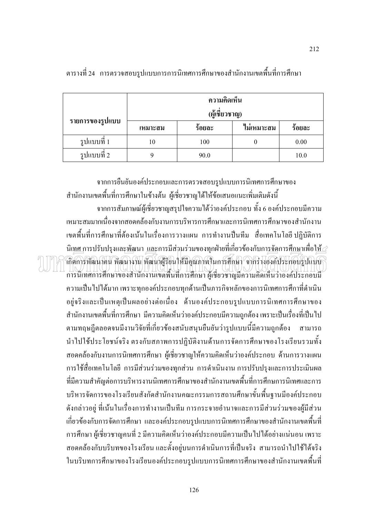|                 | ความคิดเห็น<br>(ผู้เชี่ยวชาญ) |        |            |        |
|-----------------|-------------------------------|--------|------------|--------|
| รายการของรูปแบบ | เหมาะสม                       | ร้อยละ | ไม่เหมาะสม | ร้อยละ |
| รูปแบบที่ 1     | 10                            | 100    |            | 0.00   |
| รูปแบบที่ 2     |                               | 90.0   |            | 10.0   |

ิตารางที่ 24 การตรวจสอบรูปแบบการการนิเทศการศึกษาของสำนักงานเขตพื้นที่การศึกษา

ิจากการยืนยันองค์ประกอบและการตรวจสอบรูปแบบการนิเทศการศึกษาของ ้สำนักงานเขตพื้นที่การศึกษาในข้างต้น ผู้เชี่ยวชาญได้ให้ข้อเสนอแนะเพิ่มเติมดังนี้ ิจากการสัมภาษณ์ผู้เชี่ยวชาญสรุปใจความได้ว่าองค์ประกอบ ทั้ง 6 องค์ประกอบมีความ เหมาะสมมากเนื่องจากสอดคล้องกับงานการบริหารการศึกษาและการนิเทศการศึกษาของสำนักงาน เขตพื้นที่การศึกษาที่ต้องเน้นในเรื่องการวางแผน การทำงานปืนทีม สื่อเทคโนโลยี ปฏิบัติการ นิเ<u>ทศ การปรับปรุงและพัฒนา และ</u>การมีส่วนร่วมของทุกฝ่ายที่เกี่ยวข้องกับกา<u>รจัด</u>การศึกษาเพื่อใ<u>ห้ ส</u> ้เกิดการพัฒนาคน พัฒนางาน พัฒนาผู้ริยนให้มีคุณภาพในการศึกษา จากร่างองค์ประกอบรูปแบบ

คารนิเทศการศึกษาของสำนักงานเขตพื้นที่การศึกษา ผู้เชี่ยวชาญมีความคิดเห็นว่าองค์ประกอบมี ้ความเป็นไปได้มาก เพราะทกองค์ประกอบทกด้านเป็นภารกิจหลักของการนิเทศการศึกาที่ดำเนิน อยู่จริงและเป็นเหตุเป็นผลอย่างต่อเนื่อง ด้านองค์ประกอบรูปแบบการนิเทศการศึกษาของ ี สำนักงานเขตพื้นที่การศึกษา มีความคิดเห็นว่าองค์ประกอบมีความถูกต้อง เพราะเป็นเรื่องที่เป็นไป ตามทฤษฎีตลอดจนมีงานวิจัยที่เกี่ยวข้องสนับสนุนยืนยันว่ารูปแบบนี้มีความถูกต้อง สามารถ ้ นำไปใช้ประโยชน์จริง ตรงกับสภาพการปฏิบัติงานค้านการจัดการศึกษาของโรงเรียนรวมทั้ง ี สอดคล้องกับงานการนิเทศการศึกษา ผู้เชี่ยวชาญให้ความคิดเห็นว่าองค์ประกอบ ด้านการวางแผน ี การใช้สื่อเทคโนโลยี การมีส่วนร่วมของทุกส่วน การคำเนินงาน การปรับปรุงและการประเมินผล ี่ที่มีความสำคัญต่อการบริหารงานนิเทศการศึกษาของสำนักงานเขตพื้นที่การศึกษการนิเทศและการ บริหารจัดการของโรงเรียนสังกัดสำนักงานคณะกรรมการสถานศึกษาขั้นพื้นฐานมีองค์ประกอบ ้ดังกล่าวอย่ ที่เน้นในเรื่องการทำงานเป็นทีม การกระจายอำนาจและการมีส่วนร่วมของผ้มีส่วน เกี่ยวข้องกับการจัดการศึกษา และองค์ประกอบรูปแบบการนิเทศการศึกษาของสำนักงานเขตพื้นที่ ี การศึกษา ผู้เชี่ยวชาญคนที่ 2 มีความคิดเห็นว่าองค์ประกอบมีความเป็นไปได้อย่างแน่นอน เพราะ ิสอดคล้องกับบริบทของโรงเรียน และตั้งอยู่บนการคำเนินการที่เป็นจริง สามารถนำไปใช้ได้จริง ในบริบทการศึกษาของโรงเรียนองค์ประกอบรูปแบบการนิเทศการศึกษาของสำนักงานเขตพื้นที่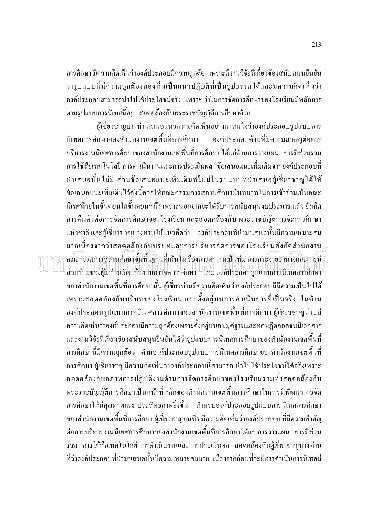ิการศึกษา มีความคิดเห็นว่าองค์ประกอบมีความถกต้อง เพราะมีงานวิจัยที่เกี่ยวข้องสนับสนนยืนยัน ้ว่ารูปแบบนี้มีความถูกต้องมองห็นเป็นแนวปฏิบัติที่เป็นรูปธรรมได้และมีความคิดเห็นว่า ้องค์ประกอบสามารถนำไปใช้ประโยชน์จริง เพราะว่าในการจัดการศึกษาของโรงเรียนมีหลักการ ิตามรูปแบบการนิเทศนี้อยู่ สอดคล้องกับพระราชบัญญัติการศึกษาด้วย

ผู้เชี่ยวชาญบางท่านเสนอแนวความคิดเห็นอย่างน่าสนใจว่าองค์ประกอบรูปแบบการ นิเทศการศึกษาของสำนักงานเขตพื้นที่การศึกษา ้องค์ประกอบด้านที่มีความสำคัญต่อการ บริหารงานนิเทศการศึกษาของสำนักงานเขตพื้นที่การศึกษา ได้แก่ด้านการวางแผน การมีส่วนร่วม ้การใช้สื่อเทคโนโลยี การดำเนินงานและการประเมินผล ข้อเสนอแนะเพิ่มเติมจากองค์ประกอบที่ นำเสนอนั้นไม่มี ส่วนข้อเสนอแนะเพิ่มเติมที่ไม่มีในรูปแบบที่นำเสนอผู้เชี่ยวชาญได้ให้ ้ข้อเสนอแนะเพิ่มเติมไว้ดังนี้ควรให้คณะกรรมการสถานศึกษามีบทบาทในการเข้าร่วมเป็นคณะ ้นิเทศด้วยในขั้นตอนใดขั้นตอนหนึ่ง เพราะนอกจากจะได้รับการสนับสนุนงบประมาณแล้ว ยังเกิด ี การตื่นตัวต่อการจัดการศึกษาของโรงเรียน และสอดคล้องกับ พระราชบัณัตการจัดการศึกษา แห่งชาติ และผู้เชี่ยวฃาญบางท่านให้แนวคืดว่า องค์ประกอบที่นำมาเสนอนั้นมีความเหมาะสม มากเนื่องจากว่าสอดคล้องกับบริบทและการบริหารจัดการของโรงเรียนสังกัดสำนักงาน $_\mathscr{C}$ ้คณะกรรมการสถานศึกษาขั้นพื้นฐานที่เน้นในเรื่องการทำงานเป็นทีม การกระจายอำนาจและการมี ส่วนร่วมของผู้มีส่วนเกี่ยวข้องกับการจัดการศึกษา และ องค์ประกอบรูปแบบการนิเทศการศึกษา ของสำนักงานเขตพื้นที่การศึกษานั้น ผู้เชี่ยวท่านมีความคิดเห็นว่าองค์ประกอบมีมีความเป็นไปได้ เพราะสอดคล้องกับบริบทของโรงเรียน และตั้งอยู่บนการคำเนินการที่เป็นจริง ในด้าน ้องค์ประกอบรูปแบบการนิเทศการศึกษาของสำนักงานเขตพื้นที่การศึกษา ผู้เชี่ยวชาญท่านมี ้ความคิดเห็นว่าองค์ประกอบมีความถูกต้องเพราะตั้งอยู่บนสมมุติฐานและทฤษฎีตลอดจนมีเอกสาร ้ และงานวิจัยที่เกี่ยวข้องสนับสนุนยืนยันได้ว่ารูปแบบการนิเทศการศึกษาของสำนักงานเจตพื้นที่ ึการศึกษานี้มีความถูกต้อง ด้านองค์ประกอบรูปแบบการนิเทศการศึกษาของสำนักงานเขตพื้นที่ ึการศึกษา ผู้เชี่ยวชาญมีความคิดเห็นว่าองค์ประกอบนี้สามารถ นำไปใช้ประโยชน์ใด้จริงเพราะ สอดคล้องกับสภาพการปฏิบัติงานด้านการจัดการศึกษาของโรงเรียนรวมทั้งสอดคล้องกับ พระราชบัญญัติการศึกษาเป็นหน้าที่หลักของสำนักงานเขตพื้นการศึกษาในการที่พัฒนาการจัด ึการศึกษาให้มีคุณภาพและ ประสิทธภาพยิ่งขึ้น สำหรับองค์ประกอบรูปแบบการนิเทศการศึกษา ี ของสำนักงานเขตพื้นที่การศึกษา ผู้เขี่ยวชาญคนที่3 มีความคิดเห็นว่าองค์ประกอบ ที่มีความสำคัญ ้ต่อการบริหารงานนิเทศการศึกษาของสำนักงานเขตพื้นที่การศึกษาได้แก่ การวางแผน การมีส่วน ร่วม การใช้สื่อเทคโนโลยี การคำเนินงานและการประเมินผล สอดคล้องกับผู้เชี่ยวชาญบางท่าน ี่ ที่ว่าองค์ประกอบที่นำมาเสนอนั้นมีความเหมาะสมมาก เนื่องจากก่อนที่จะมีการคำเนินการนิเทศมี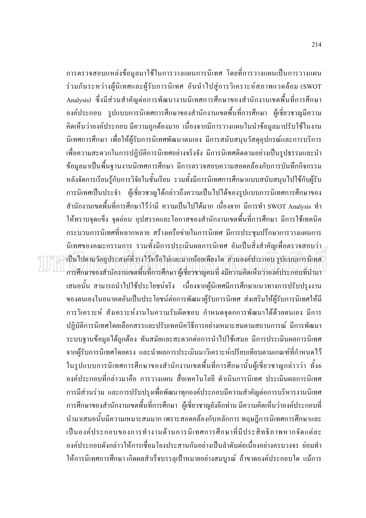้การตรวจสอบแหล่งข้อมูลมาใช้ในการวางแผนการนิเทศ โดยที่การวางแผนเป็นการวางแผน ร่วมกันระหว่างผู้นิเทศและผู้รับการนิเทศ อันนำไปสู่การวิเคราะห์สภาพแวดล้อม (SWOT Analysis) ซึ่งมีส่วนสำคัญต่อการพัฒนางานนิเทศการศึกษาของสำนักงานเขตพื้นที่การศึกษา ้องค์ประกอบ รูปแบบการนิเทศการศึกษาของสำนักงานเขตพื้นที่การศึกษา ผู้เชี่ยวชาญมีความ ้คิดเห็นว่าองค์ประกอบ มีความถูกต้องมาก เนื่องจากมีการวางแผนในนำข้อมูลมาปรับใช้ในงาน นิเทศการศึกษา เพื่อให้ผู้รับการนิเทศพัฒนาตนเอง มีการสนับสนุนวัสดุอุปกรณ์และการบริการ ้เพื่อความสะดวกในการปฏิบัติการนิเทศอย่างจริงจัง มีการนิเทศติดตามอย่างเป็นรูปธรรมและนำ ข้อมูลมาเป็นพื้นฐานงานนิเทศการศึกษา มีการตรวจสอบความสอดคล้องกับการบันทึกกิจกรรม หลังจัดการเรียนรู้กับการวิจัยในชั้นเรียน รวมทั้งมีการนิเทศการศึกษาแบบสนับสนุนไปใช้กับผู้รับ ึการนิเทศเป็นประจำ ผู้เชี่ยวชาญได้กล่าวถึงความเป็นไปได้ของรูปแบบการนิเทศการศึกษาของ ี สำนักงานเขตพื้นที่การศึกษาไว้ว่ามี ความเป็นไปได้มาก เนื่องจาก มีการทำ SWOT Analysis ทำ ให้ทราบจดแข็ง จดอ่อน อปสรรคและโอกาสของสำนักงานเขตพื้นที่การศึกษา มีการใช้เทคนิค ้ กระบวนการนิเทศที่หลากหลาย สร้างเครือข่ายในการนิเทศ มีการประชุมปรึกษาการวางแผนการ นิเทศของคณะกรรมการ รวมทั้งมีการประเมินผลการนิเทศ อันเป็นสิ่งสำคัญเพื่อตรวจสอบว่า $\scriptstyle\mathcal{P}$ เป็นไปตามวัตถุประสงค์ที่วางไว้หรือไม่และมากน้อยเพียงใด ส่วนองค์ประกอบ รูปแบบการนิเทศ การศึกษาของสำนักงานเขตพื้นที่การศึกษา ผู้เชี่ยวชาญคนที่ 4มีความคิดเห็นว่าองค์ประกอบที่นำมา ้เสนอนั้น สามารถนำไปใช้ประโยชน์จริง เนื่องจากผู้นิเทศมีการศึกษาแนวทางการปรับปรุงงาน ของตนเองในอนาคตอันเป็นประโยชน์ต่อการพัฒนาผู้รับการนิเทศ ส่งเสริมให้ผู้รับการนิเทศให้มี ึการวิเคราะห์ สังเคราะห์งานในความรับผิดชอบ กำหนดจุดกการพัฒนาได้ด้วยตนเอง มีการ ปฏิบัติการนิเทศโดยเลือกสรรและปรับเทคนิควิธีการอย่างเหมาะสมตามสถานการณ์ มีการพัฒนา ระบบฐานข้อมูลได้ถูกต้อง ทันสมัยและสะดวกต่อการนำไปใช้เสมอ มีการประเมินผลการนิเทศ ิจากผู้รับการนิเทศโดยตรง และนำผลการประเมินมาวิเคราะห์เปรียบเทียบตามเกณฑ์ที่กำหนดไว้ ในรูปแบบการนิเทศการศึกษาของสำนักงานเขตพื้นที่การศึกษานั้นผู้เชี่ยวชาญกล่าวว่า ทั้ง6 ้องค์ประกอบที่กล่าวมาคือ การวางแผน สื่อเทคโนโลยี คำเนินการนิเทศ ประเมินผลการนิเทศ ึการมีส่วนร่วม และการปรับปรุงเพื่อพัฒนาทุกองค์ประกอบมีความสำคัญต่อการบริหารงานนิเทศ ึการศึกษาของสำนักงานเขตพื้นที่การศึกษา ผู้เชี่ยวชาญยังอีกท่าน มีความคิดเห็นว่าองค์ประกอบที่ นำมาเสนอนั้นมีความเหมาะสมมาก เพราะสอดคล้องกับหลักการ ทฤษฎีการนิเทศการศึกษาและ เป็นองค์ประกอบของการทำงานด้านการนิเทศการศึกษาที่มีประสิทธิภาพหากจัดแต่ละ ้องค์ประกอบดังกล่าวให้การเชื่อมโยงประสานกันอย่างเป็นลำดับต่อเนื่องอย่างครบวงจร ย่อมทำ ให้การนิเทศการศึกษา เกิดผลสำเร็จบรรลุเป้าหมายอย่างสมบูรณ์ ถ้าขาดองค์ประกอบใด แม้การ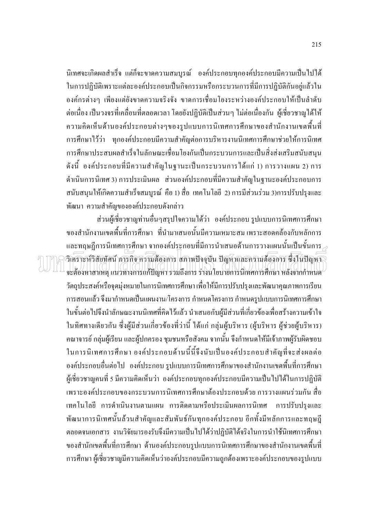นิเทศจะเกิดผลสำเร็จ แต่ก็จะขาดความสมบูรณ์ องค์ประกอบทุกองค์ประกอบมีความเป็นไปได้ ในการปฏิบัติเพราะแต่ละองค์ประกอบเป็นกิจกรรมหรือกระบวนการที่มีการปฏิบัติกันอยู่แล้วใน ้องค์กรต่างๆ เพียงแต่ยังขาดความจริงจัง ขาดการเชื่อมโยงระหว่างองค์ประกอบให้เป็นลำดับ ้ต่อเนื่อง เป็นวงจรที่เคลื่อนที่ตลอดเวลา โดยยังปฏิบัติเป็นส่วนๆ ไม่ต่อเนื่องกัน ผู้เชี่ยวชาญได้ให้ ้ความคิดเห็นด้านองค์ประกอบต่างๆของรูปแบบการนิเทศการศึกษาของสำนักงานเขตพื้นที่ ึการศึกษาไว้ว่า ทุกองค์ประกอบมีความสำคัญต่อการบริหารงานนิเทศการศึกษาช่วยให้การนิเทศ ึการศึกษาประสบผลสำเร็จในลักษณะเชื่อมโยงกันเป็นกระบวนการและเป็นสิ่งส่งเสริมสนับสนน ้ดังนี้ องค์ประกอบที่มีความสำคัญในฐานะเป็นกระบวนการได้แก่ 1) การวางแผน 2) การ ้คำเนินการนิเทศ 3) การประเมินผล ส่วนองค์ประกอบที่มีความสำคัญในฐานะองค์ประกอบการ ิสนับสนุนให้เกิดความสำเร็จสมบูรณ์ คือ 1) สื่อ เทคโนโลยี 2) การมีส่วนร่วม 3)การปรับปรุงและ พัฒนา ความสำคัญขององค์ประกอบดังกล่าว

ส่วนผู้เชี่ยวชาญท่านอื่นๆสรุปใจความได้ว่า องค์ประกอบ รูปแบบการนิเทศการศึกษา ีของสำนักงานเขตพื้นที่การศึกษา ที่นำมาเสนอนั้นมีความเหมาะสม เพราะสอดคล้องกับหลักการ และทฤษฎีการนิเทศการศึกษา จากองค์ประกอบที่มีการนำเสนอด้านการวางแผนนั้นเป็นขั้นการ $\geq$ วิเคราะห์วิสัยทัศน์ ภารกิจ ความต้องการ สภาพปัจจุบัน ปัญหาและความด้องการ ซึ่งในปัญหา จะต้องหาสาเหต แนวทางการแก้ปัญหา รวมถึงการ ร่างนโยบายการนิเทศการศึกษา หลังจากกำหนด ้วัตถุประสงค์หรือจุดมุ่งหมายในการนิเทศการศึกษา เพื่อให้มีการปรับปรุงและพัฒนาคุณภาพการเรียน ้การสอนแล้ว จึงมากำหนดเป็นแผนงาน/โครงการ กำหนดโครงการ กำหนดรูปแบบการนิเทศการศึกษา ในขั้นต่อไปจึงนำลักษณะงานนิเทศที่คิดไว้แล้ว นำเสนอกับผู้มีส่วนที่เกี่ยวข้องเพื่อสร้างความเข้าใจ ในทิศทางเดียวกัน ซึ่งผู้มีส่วนเกี่ยวข้องที่ว่านี้ ได้แก่ กลุ่มผู้บริหาร (ผู้บริหาร ผู้ช่วยผู้บริหาร) ้คณาจารย์ กลุ่มผู้เรียน และผู้ปกครอง ชุมชนหรือสังคม จากนั้น จึงกำหนดให้มีเจ้าภาพผู้รับผิดชอบ ในการนิเทศการศึกษา องค์ประกอบด้านนี้นี้จึงนับเป็นองค์ประกอบสำคัญที่จะส่งผลต่อ ้องค์ประกอบอื่นต่อไป องค์ประกอบ รูปแบบการนิเทศการศึกษาของสำนักงานเขตพื้นที่การศึกษา ผู้เชี่ยวชาญคนที่ 5 มีความคิดเห็นว่า องค์ประกอบทุกองค์ประกอบมีความเป็นไปได้ในการปฏิบัติ เพราะองค์ประกอบของกระบวนการนิเทศการศึกษาต้องประกอบด้วย การวางแผนร่วมกัน สื่อ เทคโนโลยี การคำเนินงานตามแผน การติดตามหรือประเมินผลการนิเทศ การปรับปรุงและ ้ พัฒนาการนิเทศนั้นล้วนสำคัญและสัมพันธ์กันทุกองค์ประกอบ อีกทั้งมีหลักการและทฤษฎี ้ตลอดจนเอกสาร งานวิจัยมารองรับจึงมีความเป็นไปได้ว่าปฏิบัติได้จริงในการนำใช้นิเทศการศึกษา ี ของสำนักเขตพื้นที่การศึกษา ด้านองค์ประกอบรูปแบบการนิเทศการศึกษาของสำนักงานเขตพื้นที่ ึการศึกษา ผู้เชี่ยวชาญมีความคิดเห็นว่าองค์ประกอบมีความถูกต้องเพราะองค์ประกอบของรูปแบบ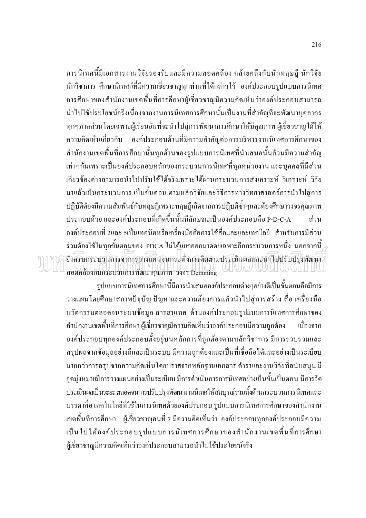ี การนิเทศนี้มีเอกสารงานวิจัยรองรับและมีความสอดคล้อง คล้ายคลึงกับนักทฤษฎี นักวิจัย ้นักวิชาการ ศึกษานิเทศก์ที่มีความเชี่ยวชาญทุกท่านที่ได้กล่าวไว้ องค์ประกอบรูปแบบการนิเทศ ึการศึกษาของสำนักงานเขตพื้นที่การศึกษาผู้เชี่ยวชาญมีความคิดเห็นว่าองค์ประกอบสามารถ นำไปใช้ประโยชน์จริงเนื่องจากงานการนิเทศการศึกษานั้นเป็นงานที่สำคัญที่จะพัฒนาบุคลากร ทุกๆภาคส่วนโดยเฉพาะผู้เรียนอันที่จะนำไปสู่การพัฒนาการศึกษาให้มีคุณภาพ ผู้เชี่ยวชาญได้ให้ ้องค์ประกอบด้านที่มีความสำคัญต่อการบริหารงานนิเทศการศึกษาของ ้ความคิดเห็นเกี่ยวกับ สำนักงานเขตพื้นที่การศึกษานั้นทุกด้านของรูปแบบการนิเทศที่นำเสนอนั้นล้วนมีความสำคัญ เท่าๆกันเพราะเป็นองค์ประกอบหลักของกระบวนการนิเทศที่ทุกหน่วยงาน และบุคคลที่มีส่วน ้เกี่ยวข้องต่างสามารถนำไปปรับใช้ได้จริงเพราะได้ผ่านกระบวนการสังเคราะห์ วิเคราะห์ วิจัย มาแล้วเป็นกระบวนการ เป็นขั้นตอน ตามหลักวิจัยและวิธีการทางวิทยาศาสตร์การนำไปสู่การ ปฏิบัติต้องมีความสัมพันธ์กับทฤษฎีเพราะทฤษฎีเกิดจากการปฏิบติซ้ำๆและต้องศึกษาวงจรคุณภาพ - ประกอบด้วย และองค์ประกอบที่เกิดขึ้นนั้นมีลักษณะเป็นองค์ประกอบคือ P-D-C-A ส่าบ ้องค์ประกอบที่ 2และ 5เป็นเทคนิคหรือเครื่องมือคือการใช้สื่อและและเทคโลยี สำหรับการมีส่วน ร่วมต้องใช้ในทกขั้นตอนของ PDCA ไม่ได้แยกออกมาดคยเฉพาะอีกกระบวนการหนึ่ง นอกจากนี้ $\scriptstyle\mathcal{Z}$ ์ยังครบกระบวนการจากเราาวแผนจนกระทั่งการคิดตามประเมินผลและนำไปปรับปรุงพัฒนา (GIN)N/W3(GIU)(GIIIII สอดคล้องกับกระบวนการพัฒนาคุณภาพ วงจร Demming

รูปแบบการนิเทศการศึกษานี้มีการนำเสนอองค์ประกอบต่างๆอย่างดีเป็นขั้นตอนคือมีการ ้วางแผนโดยศึกษาสภาพปัจุบัญ ปัญหาและความต้องการแล้วนำไปสู่การสร้าง สื่อ เครื่องมือ นวัตกรรมตลอดจนระบบข้อมูล สารสนเทศ ด้านองค์ประกอบรูปแบบการนิเทศการศึกษาของ ี สำนักงานเขตพื้นที่การศึกษา ผู้เชี่ยวชาญมีความคิดเห็นว่าองค์ประกอบมีความถูกต้อง ้เนื่องจาก ้องค์ประกอบทุกองค์ประกอบตั้งอยู่บนหลักการที่ถูกต้องตามหลักวิชาการ มีการรวบรวมและ ี สรุปผลจากข้อมูลอย่างดีและเป็นระบบ มีความถูกต้องและเป็นที่เชื่อถือได้และอย่างเป็นระเบียบ ่ มากกว่าการสรุปจากความคิดเห็นโดยปราศจากหลักฐานเอกสาร ตำราและงานวิจัยที่สนับสนุน มี จุดมุ่งหมายมีการวางแผนอย่างเป็นระเบียบ มีการคำเนินการการนิเทศอย่างเป็นขั้นเป็นตอน มีการวัด ประเมินผลเป็นระยะ ตลอดจนการปรับปรุงพัฒนางานนิเทศให้สมบูรณ์รวมทั้งค้านกระบวนการนิเทศและ ้ บรรดาสื่อ เทคโนโลยีที่ใช้ในการนิเทศด้วยองค์ประกอบ รูปแบบการนิเทศการศึกษาของสำนักงาน ้ เขตพื้นที่การศึกษา ผู้เชี่ยวชาญคนที่ 7 มีความคิดเห็นว่า องค์ประกอบทุกองค์ประกอบมีความ ้เป็นไปได้องค์ประกอบรูปแบบการนิเทศการศึกษาของสำนักงานเขตพื้นที่การศึกษา ผู้เชี่ยวชาญมีความคิดเห็นว่าองค์ประกอบสามารถนำไปใช้ประโยชน์จริง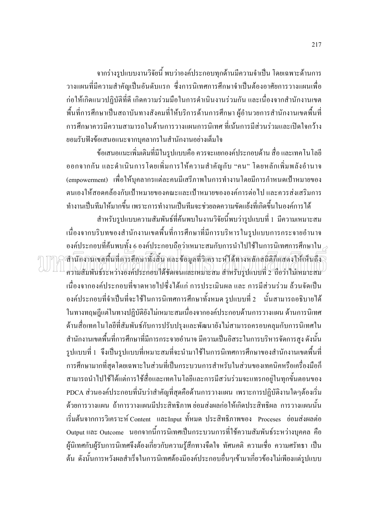จากร่างรูปแบบงานวิจัยนี้ พบว่าองค์ประกอบทุกด้านมีความจำเป็น โดยเฉพาะด้านการ ้วางแผนที่มีความสำคัญเป็นอันดับแรก ซึ่งการนิเทศการศึกษาจำเป็นต้องอาศัยการวางแผนเพื่อ ก่อให้เกิดแนวปฏิบัติที่ดี เกิดความร่วมมือในการดำเนินงานร่วมกัน และเนื่องจากสำนักงานเขต ้พื้นที่การศึกษาเป็นสถาบันทางสังคมที่ให้บริการด้านการศึกษา ผู้อำนวยการสำนักงานเขตพื้นที่ ้การศึกษาควรบี้ควาบสาบารถใบด้านการวางแผบการบิเทศ ที่เบ้นการบีส่วนร่วบและเปิดใจกว้าง ยอมรับฟังข้อเสนอแนะจากบุคลากรในสำนักงานอย่างเต็มใจ

ข้อเสนอแนะเพิ่มเติมที่มีในรูปแบบคือ ควรจะแยกองค์ประกอบด้าน สื่อ และเทคโนโลยี ้ออกจากกัน และคำเนินการโดยเพิ่มการให้ความสำคัญกับ "คน" โดยหลักเพิ่มพลังอำนาจ (empowerment) เพื่อให้บุคลากรแต่ละคนมีเสรีภาพในการทำงานโดยมีการกำหนดเป้าหมายของ ิตนเองให้สอดคล้องกับเป้าหมายของคณะและเป้าหมายขององค์การต่อไป และควรส่งเสริมการ ้ ทำงานเป็นทีมให้มากขึ้น เพราะการทำงานเป็นทีมจะช่วยลดความขัดแย้งที่เกิดขึ้นในองค์การได้

สำหรับรูปแบบความสัมพันธ์ที่ค้นพบในงานวิจัยนี้พบว่ารูปแบบที่ 1 มีความเหมาะสม เนื่องจากบริบทของสำนักงานเขตพื้นที่การศึกษาที่มีการบริหารในรูปแบบการกระจายอำนาจ องค์ประกอบที่ค้นพบทั้ง 6 องค์ประกอบถือว่าเหมาะสมกับการนำไปใช้ในการนิเทศการศึกษาใน $\scriptstyle\mathcal{P}$ สำนักงานเงคพื้นที่การศึกษาทั้งสิ้น และ ข้อมูลที่วิเคราะห์ ได้ทางหลักสถิติก็แสดงให้เห็นถึง ความสัมพันธ์ระหว่างองค์ประกอบได้ชัดเจนและเหมาะสม สำหรับรูปแบบที่ 2 ถือว่าไม่เหมาะสม เนื่องจากองค์ประกอบที่ขาดหายไปซึ่งได้แก่ การประเมินผล และ การมีส่วนร่วม ล้วนจัดเป็น ้องค์ประกอบที่จำเป็นที่จะใช้ในการนิเทศการศึกษาทั้งหมด รูปแบบที่ 2 นั้นสามารถอธิบายได้ ในทางทฤษฎีแต่ในทางปฏิบัติยังไม่เหมาะสมเนื่องจากองค์ประกอบด้านการวางแผน ด้านการนิเทศ ด้านสื่อเทคโนโลยีที่สัมพันธ์กับการปรับปรุงและพัฒนายังไม่สามารถครอบคลุมกับการนิเทศใน ี สำนักงานเขตพื้นที่การศึกษาที่มีการกระจายอำนาจ มีความเป็นอิสระในการบริหารจัดการสูง ดังนั้น รูปแบบที่ 1 จึงเป็นรูปแบบที่เหมาะสมที่จะนำมาใช้ในการนิเทศการศึกษาของสำนักงานเขตพื้นที่ การศึกษามากที่สุดโดยเฉพาะในส่วนที่เป็นกระบวนการสำหรับในส่วนของเทคนิคหรือเครื่องมือก็ สามารถนำไปใช้ได้แต่การใช้สื่อและเทคโนโลยีและการมีสว่นร่วมจะแทรกอยู่ในทุกขั้นตอนของ PDCA ส่วนองค์ประกอบที่นับว่าสำคัญที่สุดคือด้านการวางแผน เพราะการปฏิบัติงานใดๆต้องเริ่ม ้ด้วยการวางแผน ถ้าการวางแผนมีประสิทธิภาพ ย่อมส่งผลก่อให้เกิดประสิทธิผล การวางแผนนั้น เริ่มต้นจากการวิเคราะห์ Content และInput ทั้หมด ประสิทธิภาพของ Proceses ย่อมส่งผลต่อ Output และ Outcome นอกจากนี้การนิเทศเป็นกระบวนการที่ใช้ความสัมพันธ์ระหว่างบุคคล คือ ผู้นิเทศกับผู้รับการนิเทศจึงต้องเกี่ยวกับความรู้สึกทางจืดใจ ทัศนคติ ความเชื่อ ความศรัทธา เป็น ้ต้น ดังนั้นการหวังผลสำเร็จในการนิเทศต้องมืองค์ประกอบอื่นๆเข้ามาเกี่ยวข้องไม่เพียงแต่รูปแบบ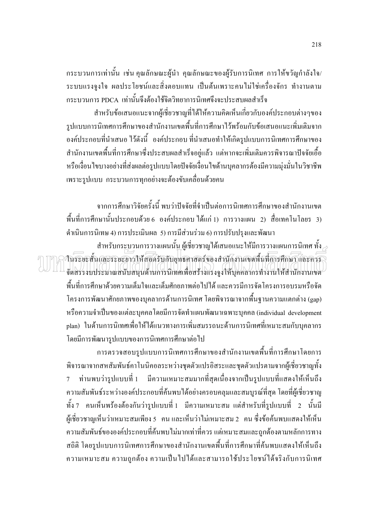ึกระบวนการเท่านั้น เช่น คุณลักษณะผู้นำ คุณลักษณะของผู้รับการนิเทศ การให้ขวัญกำลังใจ/ ระบบแรงจูงใจ ผลประโยชน์และสิ่งตอบแทน เป็นต้นเพราะคนไม่ใช่เครื่องจักร ทำงานตาม ิกระบวนการ PDCA เท่านั้นจึงต้องใช้จิตวิทยาการนิเทศจึงจะประสบผลสำเร็จ

้สำหรับข้อเสนอแนะจากผู้เชี่ยวชาญที่ได้ให้ความคิดเห็นเกี่ยวกับองค์ประกอบต่างๆของ รูปแบบการนิเทศการศึกษาของสำนักงานเขตพื้นที่การศึกษาไว้พร้อมกับข้อเสนอแนะเพิ่มเติมจาก ้องค์ประกอบที่นำเสนอ ไว้ดังนี้ องค์ประกอบ ที่นำเสนอทำให้เกิดรูปแบบการนิเทศการศึกษาของ ี สำนักงานเขตพื้นที่การศึกษาซึ่งประสบผลสำเร็จอยู่แล้ว แต่หากจะเพิ่มเติมควรพิจารณาปัจจัยเอื้อ หรือเงื่อนไขบางอย่างที่ส่งผลต่อรูปแบบโดยปัจจัยเงื่อนไขด้านบุคลากรต้องมีความมุ่งมั่นในวิชาชีพ ้เพราะรูปแบบ กระบวนการทุกอย่างจะต้องขับเคลื่อนด้วยคน

ิจากการศึกษาวิจัยครั้งนี้ พบว่าปัจจัยที่จำเป็นต่อการนิเทศการศึกษาของสำนักงานเขต ์ พื้นที่การศึกษานั้นประกอบด้วย 6 องค์ประกอบ ได้แก่ 1) การวางแผน 2) สื่อเทคโนโลยร 3) ดำเนินการนิเทษ 4) การประเมินผล 5) การมีส่วนร่วม 6) การปรับปรุงและพัฒนา

สำหรับกระบวนการวางแผนนั้น ผู้เชี่ยวชาญได้เสนอแนะให้มีการวางแผนการนิเทศ ทั้ง ه านระยะสั้นและระยะอาวให้สอครับกับยุทธคาสตร์ของสำนักงานเจตพื้นที่การศึกษาและควร จัดสรรงบประมาณสนับสนุนด้านการนิเทศเพื่อสร้างแรงจูงให้บุคคลากรทำงานให้สำนักงานเขต ้พื้นที่การศึกษาด้วยความเต็มใจและเต็มศักยภาพต่อไปได้ และควรมีการจัดโครงการอบรมหรือจัด ์ โครงการพัฒนาศักยภาพของบุคลากรด้านการนิเทศ โดยพิจารณาจากพื้นฐานความแตกต่าง (gap) หรือความจำเป็นของแต่ละบุคคลโดยมีการจัดทำแผนพัฒนาเฉพาะบุคคล (individual development plan) ในด้านการนิเทศเพื่อให้ได้แนวทางการเพิ่มสมรรถนะด้านการนิเทศที่เหมาะสมกับบุคลากร โดยมีการพัฒนารูปแบบของการนิเทศการศึกษาต่อไป

้การตรวจสอบรูปแบบการนิเทศการศึกษาของสำนักงานเขตพื้นที่การศึกษาโดยการ พิจารณาจากสหสัมพันธ์คาโนนิคอลระหว่างชุดตัวแปรอิสระและชุดตัวแปรตามจากผู้เชี่ยวชาญทั้ง ท่านพบว่ารูปแบบที่ 1 มีความเหมาะสมมากที่สุดเนื่องจากเป็นรูปแบบที่แสดงให้เห็นถึง  $7<sup>7</sup>$ ้ ความสัมพันธ์ระหว่างองค์ประกอบที่ค้นพบได้อย่างครอบคลุมและสมบูรณ์ที่สุด โดยที่ผู้เชี่ยวชาญ ์ ทั้ง 7 คนเห็นพร้องต้องกันว่ารูปแบบที่ 1 มีความเหมาะสม แต่สำหรับที่รูปแบบที่ 2 นั้นมี ผู้เชี่ยวชาญเห็นว่าเหมาะสมเพียง 5 คน และเห็นว่าไม่เหมาะสม 2 คน ซึ่งข้อค้นพบแสดงให้เห็น ้ความสัมพันธ์ขององค์ประกอบที่ค้นพบไม่มากเท่าที่ควร แต่เหมาะสมและถูกต้องตามหลักการทาง ิสถิติ โดยรูปแบบการนิเทศการศึกษาของสำนักงานเขตพื้นที่การศึกษาที่ค้นพบแสดงให้เห็นถึง ้ความเหมาะสม ความถูกต้อง ความเป็นไปได้และสามารถใช้ประโยชน์ได้จริงกับการนิเทศ